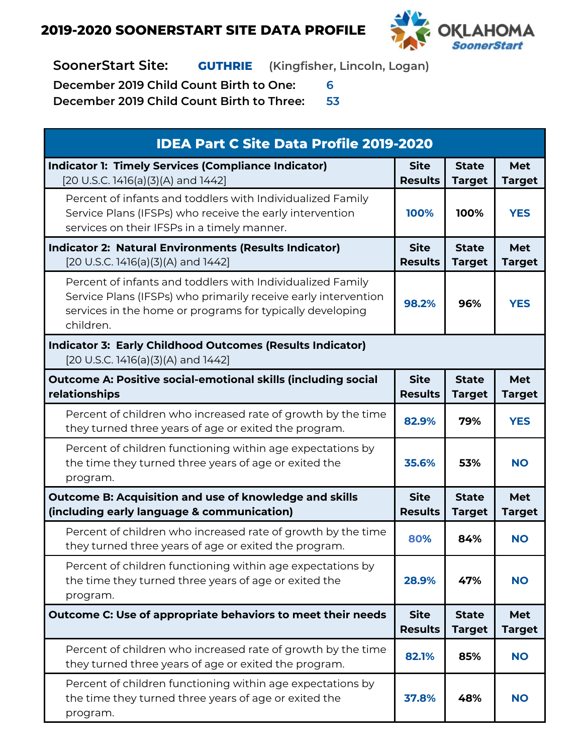

**SoonerStart Site: GUTHRIE (Kingfisher, Lincoln, Logan)**

**December 2019 Child Count Birth to One: 6**

| <b>IDEA Part C Site Data Profile 2019-2020</b>                                                                                                                                                         |                               |                               |                             |  |
|--------------------------------------------------------------------------------------------------------------------------------------------------------------------------------------------------------|-------------------------------|-------------------------------|-----------------------------|--|
| <b>Indicator 1: Timely Services (Compliance Indicator)</b><br>[20 U.S.C. 1416(a)(3)(A) and 1442]                                                                                                       | <b>Site</b><br><b>Results</b> | <b>State</b><br><b>Target</b> | <b>Met</b><br><b>Target</b> |  |
| Percent of infants and toddlers with Individualized Family<br>Service Plans (IFSPs) who receive the early intervention<br>services on their IFSPs in a timely manner.                                  | 100%                          | 100%                          | <b>YES</b>                  |  |
| <b>Indicator 2: Natural Environments (Results Indicator)</b><br>[20 U.S.C. 1416(a)(3)(A) and 1442]                                                                                                     | <b>Site</b><br><b>Results</b> | <b>State</b><br><b>Target</b> | <b>Met</b><br><b>Target</b> |  |
| Percent of infants and toddlers with Individualized Family<br>Service Plans (IFSPs) who primarily receive early intervention<br>services in the home or programs for typically developing<br>children. | 98.2%                         | 96%                           | <b>YES</b>                  |  |
| <b>Indicator 3: Early Childhood Outcomes (Results Indicator)</b><br>[20 U.S.C. 1416(a)(3)(A) and 1442]                                                                                                 |                               |                               |                             |  |
| <b>Outcome A: Positive social-emotional skills (including social</b><br>relationships                                                                                                                  | <b>Site</b><br><b>Results</b> | <b>State</b><br><b>Target</b> | <b>Met</b><br><b>Target</b> |  |
| Percent of children who increased rate of growth by the time<br>they turned three years of age or exited the program.                                                                                  | 82.9%                         | 79%                           | <b>YES</b>                  |  |
| Percent of children functioning within age expectations by<br>the time they turned three years of age or exited the<br>program.                                                                        | 35.6%                         | 53%                           | <b>NO</b>                   |  |
| <b>Outcome B: Acquisition and use of knowledge and skills</b><br>(including early language & communication)                                                                                            | <b>Site</b><br><b>Results</b> | <b>State</b><br><b>Target</b> | <b>Met</b><br><b>Target</b> |  |
| Percent of children who increased rate of growth by the time<br>they turned three years of age or exited the program.                                                                                  | 80%                           | 84%                           | <b>NO</b>                   |  |
| Percent of children functioning within age expectations by<br>the time they turned three years of age or exited the<br>program.                                                                        | 28.9%                         | 47%                           | <b>NO</b>                   |  |
| Outcome C: Use of appropriate behaviors to meet their needs                                                                                                                                            | <b>Site</b><br><b>Results</b> | <b>State</b><br><b>Target</b> | <b>Met</b><br><b>Target</b> |  |
| Percent of children who increased rate of growth by the time<br>they turned three years of age or exited the program.                                                                                  | 82.1%                         | 85%                           | <b>NO</b>                   |  |
| Percent of children functioning within age expectations by<br>the time they turned three years of age or exited the<br>program.                                                                        | 37.8%                         | 48%                           | <b>NO</b>                   |  |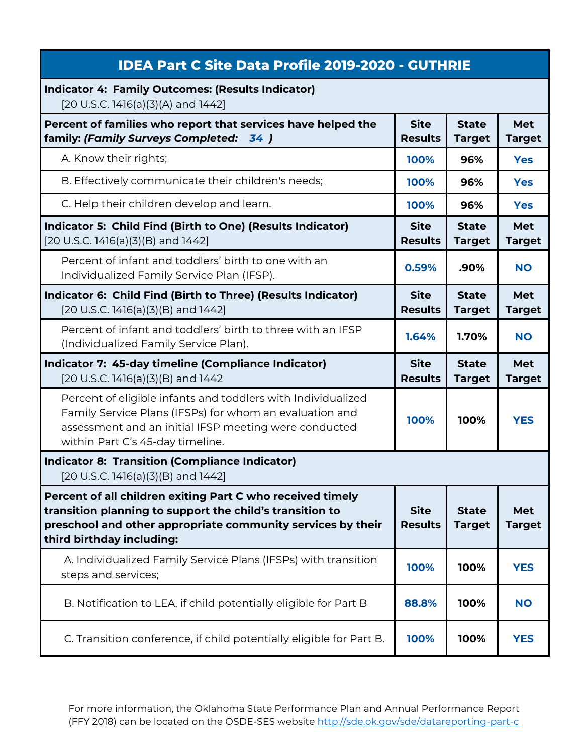| <b>IDEA Part C Site Data Profile 2019-2020 - GUTHRIE</b>                                                                                                                                                             |                               |                               |                             |
|----------------------------------------------------------------------------------------------------------------------------------------------------------------------------------------------------------------------|-------------------------------|-------------------------------|-----------------------------|
| <b>Indicator 4: Family Outcomes: (Results Indicator)</b><br>[20 U.S.C. 1416(a)(3)(A) and 1442]                                                                                                                       |                               |                               |                             |
| Percent of families who report that services have helped the<br>family: (Family Surveys Completed: 34)                                                                                                               | <b>Site</b><br><b>Results</b> | <b>State</b><br><b>Target</b> | Met<br><b>Target</b>        |
| A. Know their rights;                                                                                                                                                                                                | 100%                          | 96%                           | <b>Yes</b>                  |
| B. Effectively communicate their children's needs;                                                                                                                                                                   | 100%                          | 96%                           | <b>Yes</b>                  |
| C. Help their children develop and learn.                                                                                                                                                                            | 100%                          | 96%                           | <b>Yes</b>                  |
| Indicator 5: Child Find (Birth to One) (Results Indicator)<br>[20 U.S.C. 1416(a)(3)(B) and 1442]                                                                                                                     | <b>Site</b><br><b>Results</b> | <b>State</b><br><b>Target</b> | <b>Met</b><br><b>Target</b> |
| Percent of infant and toddlers' birth to one with an<br>Individualized Family Service Plan (IFSP).                                                                                                                   | 0.59%                         | .90%                          | <b>NO</b>                   |
| Indicator 6: Child Find (Birth to Three) (Results Indicator)<br>$[20 U.S.C. 1416(a)(3)(B)$ and $1442]$                                                                                                               | <b>Site</b><br><b>Results</b> | <b>State</b><br><b>Target</b> | Met<br><b>Target</b>        |
| Percent of infant and toddlers' birth to three with an IFSP<br>(Individualized Family Service Plan).                                                                                                                 | 1.64%                         | 1.70%                         | <b>NO</b>                   |
|                                                                                                                                                                                                                      |                               |                               |                             |
| Indicator 7: 45-day timeline (Compliance Indicator)<br>[20 U.S.C. 1416(a)(3)(B) and 1442                                                                                                                             | <b>Site</b><br><b>Results</b> | <b>State</b><br><b>Target</b> | <b>Met</b><br><b>Target</b> |
| Percent of eligible infants and toddlers with Individualized<br>Family Service Plans (IFSPs) for whom an evaluation and<br>assessment and an initial IFSP meeting were conducted<br>within Part C's 45-day timeline. | 100%                          | 100%                          | <b>YES</b>                  |
| <b>Indicator 8: Transition (Compliance Indicator)</b><br>$[20 U.S.C. 1416(a)(3)(B)$ and $1442]$                                                                                                                      |                               |                               |                             |
| Percent of all children exiting Part C who received timely<br>transition planning to support the child's transition to<br>preschool and other appropriate community services by their<br>third birthday including:   | <b>Site</b><br><b>Results</b> | <b>State</b><br><b>Target</b> | Met<br><b>Target</b>        |
| A. Individualized Family Service Plans (IFSPs) with transition<br>steps and services;                                                                                                                                | 100%                          | 100%                          | <b>YES</b>                  |
| B. Notification to LEA, if child potentially eligible for Part B                                                                                                                                                     | 88.8%                         | 100%                          | <b>NO</b>                   |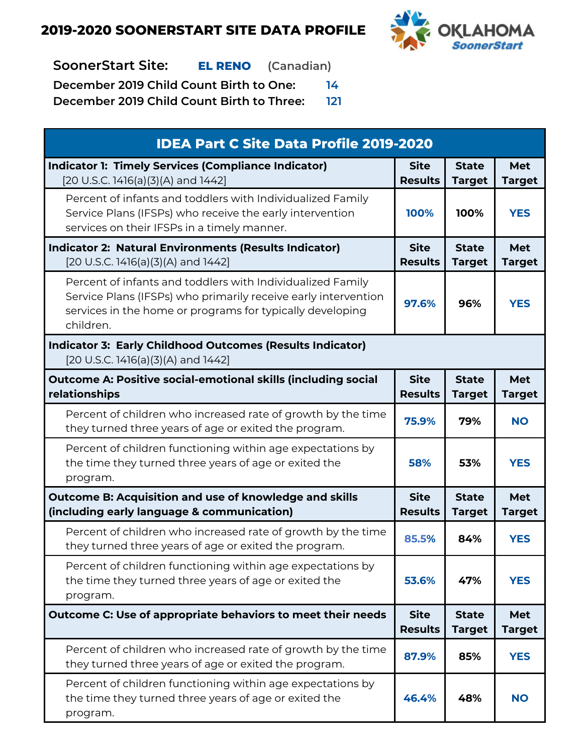

**SoonerStart Site: EL RENO (Canadian)**

**December 2019 Child Count Birth to One: 14**

| <b>IDEA Part C Site Data Profile 2019-2020</b>                                                                                                                                                         |                               |                               |                             |  |
|--------------------------------------------------------------------------------------------------------------------------------------------------------------------------------------------------------|-------------------------------|-------------------------------|-----------------------------|--|
| <b>Indicator 1: Timely Services (Compliance Indicator)</b><br>[20 U.S.C. 1416(a)(3)(A) and 1442]                                                                                                       | <b>Site</b><br><b>Results</b> | <b>State</b><br><b>Target</b> | <b>Met</b><br><b>Target</b> |  |
| Percent of infants and toddlers with Individualized Family<br>Service Plans (IFSPs) who receive the early intervention<br>services on their IFSPs in a timely manner.                                  | 100%                          | 100%                          | <b>YES</b>                  |  |
| <b>Indicator 2: Natural Environments (Results Indicator)</b><br>[20 U.S.C. 1416(a)(3)(A) and 1442]                                                                                                     | <b>Site</b><br><b>Results</b> | <b>State</b><br><b>Target</b> | <b>Met</b><br><b>Target</b> |  |
| Percent of infants and toddlers with Individualized Family<br>Service Plans (IFSPs) who primarily receive early intervention<br>services in the home or programs for typically developing<br>children. | 97.6%                         | 96%                           | <b>YES</b>                  |  |
| <b>Indicator 3: Early Childhood Outcomes (Results Indicator)</b><br>[20 U.S.C. 1416(a)(3)(A) and 1442]                                                                                                 |                               |                               |                             |  |
| <b>Outcome A: Positive social-emotional skills (including social</b><br>relationships                                                                                                                  | <b>Site</b><br><b>Results</b> | <b>State</b><br><b>Target</b> | <b>Met</b><br><b>Target</b> |  |
| Percent of children who increased rate of growth by the time<br>they turned three years of age or exited the program.                                                                                  | 75.9%                         | 79%                           | <b>NO</b>                   |  |
| Percent of children functioning within age expectations by<br>the time they turned three years of age or exited the<br>program.                                                                        | 58%                           | 53%                           | <b>YES</b>                  |  |
| <b>Outcome B: Acquisition and use of knowledge and skills</b><br>(including early language & communication)                                                                                            | <b>Site</b><br><b>Results</b> | <b>State</b><br><b>Target</b> | <b>Met</b><br><b>Target</b> |  |
| Percent of children who increased rate of growth by the time<br>they turned three years of age or exited the program.                                                                                  | 85.5%                         | 84%                           | <b>YES</b>                  |  |
| Percent of children functioning within age expectations by<br>the time they turned three years of age or exited the<br>program.                                                                        | 53.6%                         | 47%                           | <b>YES</b>                  |  |
| Outcome C: Use of appropriate behaviors to meet their needs                                                                                                                                            | <b>Site</b><br><b>Results</b> | <b>State</b><br><b>Target</b> | <b>Met</b><br><b>Target</b> |  |
| Percent of children who increased rate of growth by the time<br>they turned three years of age or exited the program.                                                                                  | 87.9%                         | 85%                           | <b>YES</b>                  |  |
| Percent of children functioning within age expectations by<br>the time they turned three years of age or exited the<br>program.                                                                        | 46.4%                         | 48%                           | <b>NO</b>                   |  |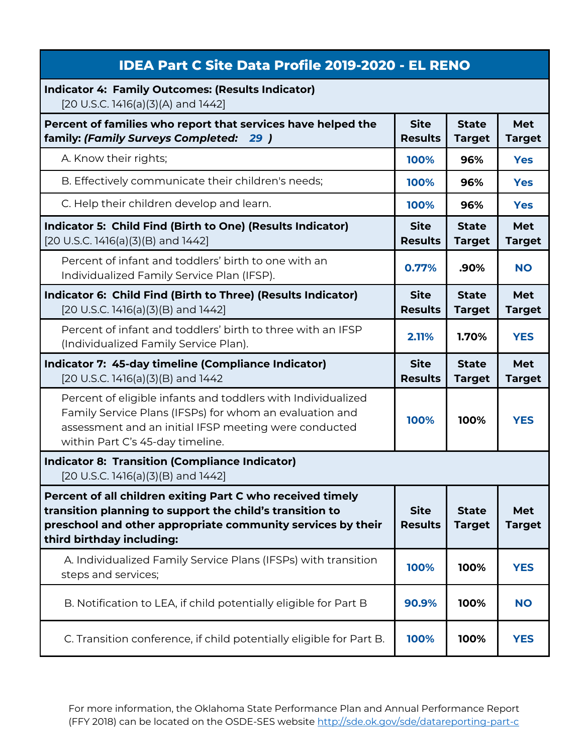| <b>IDEA Part C Site Data Profile 2019-2020 - EL RENO</b>                                                                                                                                                             |                               |                               |                             |
|----------------------------------------------------------------------------------------------------------------------------------------------------------------------------------------------------------------------|-------------------------------|-------------------------------|-----------------------------|
| <b>Indicator 4: Family Outcomes: (Results Indicator)</b><br>[20 U.S.C. 1416(a)(3)(A) and 1442]                                                                                                                       |                               |                               |                             |
| Percent of families who report that services have helped the<br>family: (Family Surveys Completed: 29)                                                                                                               | <b>Site</b><br><b>Results</b> | <b>State</b><br><b>Target</b> | Met<br><b>Target</b>        |
| A. Know their rights;                                                                                                                                                                                                | 100%                          | 96%                           | <b>Yes</b>                  |
| B. Effectively communicate their children's needs;                                                                                                                                                                   | 100%                          | 96%                           | <b>Yes</b>                  |
| C. Help their children develop and learn.                                                                                                                                                                            | 100%                          | 96%                           | <b>Yes</b>                  |
| Indicator 5: Child Find (Birth to One) (Results Indicator)<br>[20 U.S.C. 1416(a)(3)(B) and 1442]                                                                                                                     | <b>Site</b><br><b>Results</b> | <b>State</b><br><b>Target</b> | <b>Met</b><br><b>Target</b> |
| Percent of infant and toddlers' birth to one with an<br>Individualized Family Service Plan (IFSP).                                                                                                                   | 0.77%                         | .90%                          | <b>NO</b>                   |
| Indicator 6: Child Find (Birth to Three) (Results Indicator)<br>[20 U.S.C. 1416(a)(3)(B) and 1442]                                                                                                                   | <b>Site</b><br><b>Results</b> | <b>State</b><br><b>Target</b> | <b>Met</b><br><b>Target</b> |
| Percent of infant and toddlers' birth to three with an IFSP<br>(Individualized Family Service Plan).                                                                                                                 | 2.11%                         | 1.70%                         | <b>YES</b>                  |
|                                                                                                                                                                                                                      |                               |                               |                             |
| Indicator 7: 45-day timeline (Compliance Indicator)<br>$[20$ U.S.C. 1416(a)(3)(B) and 1442                                                                                                                           | <b>Site</b><br><b>Results</b> | <b>State</b><br><b>Target</b> | Met<br><b>Target</b>        |
| Percent of eligible infants and toddlers with Individualized<br>Family Service Plans (IFSPs) for whom an evaluation and<br>assessment and an initial IFSP meeting were conducted<br>within Part C's 45-day timeline. | 100%                          | 100%                          | <b>YES</b>                  |
| <b>Indicator 8: Transition (Compliance Indicator)</b><br>$[20 U.S.C. 1416(a)(3)(B)$ and $1442]$                                                                                                                      |                               |                               |                             |
| Percent of all children exiting Part C who received timely<br>transition planning to support the child's transition to<br>preschool and other appropriate community services by their<br>third birthday including:   | <b>Site</b><br><b>Results</b> | <b>State</b><br><b>Target</b> | <b>Met</b><br><b>Target</b> |
| A. Individualized Family Service Plans (IFSPs) with transition<br>steps and services;                                                                                                                                | 100%                          | 100%                          | <b>YES</b>                  |
| B. Notification to LEA, if child potentially eligible for Part B                                                                                                                                                     | 90.9%                         | 100%                          | <b>NO</b>                   |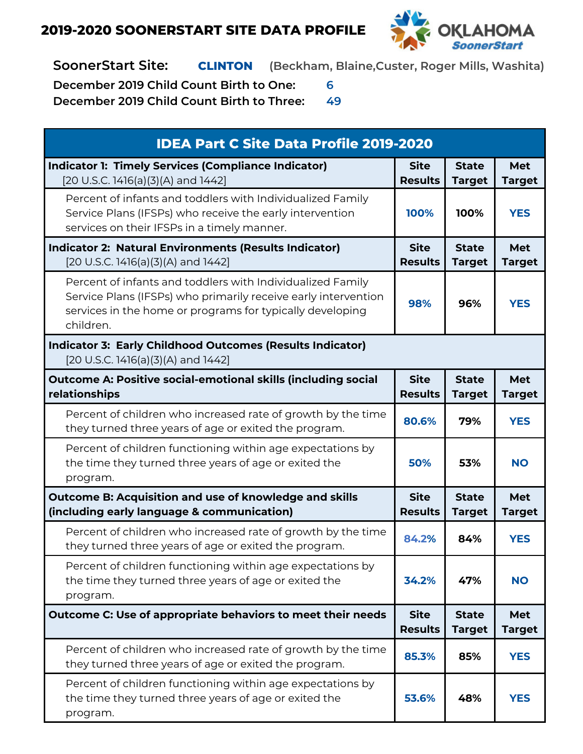

**SoonerStart Site: CLINTON (Beckham, Blaine,Custer, Roger Mills, Washita)**

**December 2019 Child Count Birth to One: 6**

| <b>IDEA Part C Site Data Profile 2019-2020</b>                                                                                                                                                         |                               |                               |                             |  |
|--------------------------------------------------------------------------------------------------------------------------------------------------------------------------------------------------------|-------------------------------|-------------------------------|-----------------------------|--|
| <b>Indicator 1: Timely Services (Compliance Indicator)</b><br>[20 U.S.C. 1416(a)(3)(A) and 1442]                                                                                                       | <b>Site</b><br><b>Results</b> | <b>State</b><br><b>Target</b> | <b>Met</b><br><b>Target</b> |  |
| Percent of infants and toddlers with Individualized Family<br>Service Plans (IFSPs) who receive the early intervention<br>services on their IFSPs in a timely manner.                                  | 100%                          | 100%                          | <b>YES</b>                  |  |
| <b>Indicator 2: Natural Environments (Results Indicator)</b><br>[20 U.S.C. 1416(a)(3)(A) and 1442]                                                                                                     | <b>Site</b><br><b>Results</b> | <b>State</b><br><b>Target</b> | <b>Met</b><br><b>Target</b> |  |
| Percent of infants and toddlers with Individualized Family<br>Service Plans (IFSPs) who primarily receive early intervention<br>services in the home or programs for typically developing<br>children. | 98%                           | 96%                           | <b>YES</b>                  |  |
| <b>Indicator 3: Early Childhood Outcomes (Results Indicator)</b><br>[20 U.S.C. 1416(a)(3)(A) and 1442]                                                                                                 |                               |                               |                             |  |
| <b>Outcome A: Positive social-emotional skills (including social</b><br>relationships                                                                                                                  | <b>Site</b><br><b>Results</b> | <b>State</b><br><b>Target</b> | <b>Met</b><br><b>Target</b> |  |
| Percent of children who increased rate of growth by the time<br>they turned three years of age or exited the program.                                                                                  | 80.6%                         | 79%                           | <b>YES</b>                  |  |
| Percent of children functioning within age expectations by<br>the time they turned three years of age or exited the<br>program.                                                                        | 50%                           | 53%                           | <b>NO</b>                   |  |
| <b>Outcome B: Acquisition and use of knowledge and skills</b><br>(including early language & communication)                                                                                            | <b>Site</b><br><b>Results</b> | <b>State</b><br><b>Target</b> | <b>Met</b><br><b>Target</b> |  |
| Percent of children who increased rate of growth by the time<br>they turned three years of age or exited the program.                                                                                  | 84.2%                         | 84%                           | <b>YES</b>                  |  |
| Percent of children functioning within age expectations by<br>the time they turned three years of age or exited the<br>program.                                                                        | 34.2%                         | 47%                           | <b>NO</b>                   |  |
| Outcome C: Use of appropriate behaviors to meet their needs                                                                                                                                            | <b>Site</b><br><b>Results</b> | <b>State</b><br><b>Target</b> | <b>Met</b><br><b>Target</b> |  |
| Percent of children who increased rate of growth by the time<br>they turned three years of age or exited the program.                                                                                  | 85.3%                         | 85%                           | <b>YES</b>                  |  |
| Percent of children functioning within age expectations by<br>the time they turned three years of age or exited the<br>program.                                                                        | 53.6%                         | 48%                           | <b>YES</b>                  |  |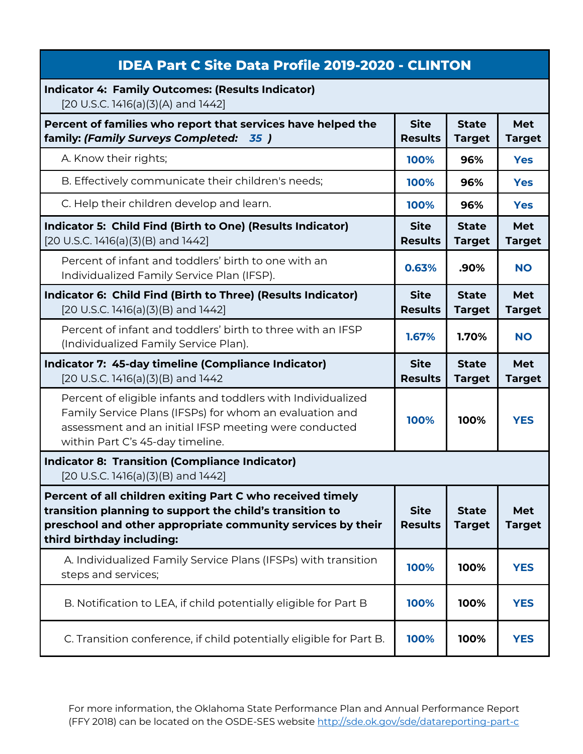| <b>IDEA Part C Site Data Profile 2019-2020 - CLINTON</b>                                                                                                                                                             |                               |                               |                             |
|----------------------------------------------------------------------------------------------------------------------------------------------------------------------------------------------------------------------|-------------------------------|-------------------------------|-----------------------------|
| <b>Indicator 4: Family Outcomes: (Results Indicator)</b><br>[20 U.S.C. 1416(a)(3)(A) and 1442]                                                                                                                       |                               |                               |                             |
| Percent of families who report that services have helped the<br>family: (Family Surveys Completed: 35)                                                                                                               | <b>Site</b><br><b>Results</b> | <b>State</b><br><b>Target</b> | Met<br><b>Target</b>        |
| A. Know their rights;                                                                                                                                                                                                | 100%                          | 96%                           | <b>Yes</b>                  |
| B. Effectively communicate their children's needs;                                                                                                                                                                   | 100%                          | 96%                           | <b>Yes</b>                  |
| C. Help their children develop and learn.                                                                                                                                                                            | 100%                          | 96%                           | <b>Yes</b>                  |
| Indicator 5: Child Find (Birth to One) (Results Indicator)<br>[20 U.S.C. 1416(a)(3)(B) and 1442]                                                                                                                     | <b>Site</b><br><b>Results</b> | <b>State</b><br><b>Target</b> | <b>Met</b><br><b>Target</b> |
| Percent of infant and toddlers' birth to one with an<br>Individualized Family Service Plan (IFSP).                                                                                                                   | 0.63%                         | .90%                          | <b>NO</b>                   |
| Indicator 6: Child Find (Birth to Three) (Results Indicator)<br>$[20 U.S.C. 1416(a)(3)(B)$ and $1442]$                                                                                                               | <b>Site</b><br><b>Results</b> | <b>State</b><br><b>Target</b> | Met<br><b>Target</b>        |
| Percent of infant and toddlers' birth to three with an IFSP<br>(Individualized Family Service Plan).                                                                                                                 | 1.67%                         | 1.70%                         | <b>NO</b>                   |
|                                                                                                                                                                                                                      |                               |                               |                             |
| Indicator 7: 45-day timeline (Compliance Indicator)<br>$[20$ U.S.C. 1416(a)(3)(B) and 1442                                                                                                                           | <b>Site</b><br><b>Results</b> | <b>State</b><br><b>Target</b> | <b>Met</b><br><b>Target</b> |
| Percent of eligible infants and toddlers with Individualized<br>Family Service Plans (IFSPs) for whom an evaluation and<br>assessment and an initial IFSP meeting were conducted<br>within Part C's 45-day timeline. | 100%                          | 100%                          | <b>YES</b>                  |
| <b>Indicator 8: Transition (Compliance Indicator)</b><br>$[20 U.S.C. 1416(a)(3)(B)$ and $1442]$                                                                                                                      |                               |                               |                             |
| Percent of all children exiting Part C who received timely<br>transition planning to support the child's transition to<br>preschool and other appropriate community services by their<br>third birthday including:   | <b>Site</b><br><b>Results</b> | <b>State</b><br><b>Target</b> | Met<br><b>Target</b>        |
| A. Individualized Family Service Plans (IFSPs) with transition<br>steps and services;                                                                                                                                | 100%                          | 100%                          | <b>YES</b>                  |
| B. Notification to LEA, if child potentially eligible for Part B                                                                                                                                                     | 100%                          | 100%                          | <b>YES</b>                  |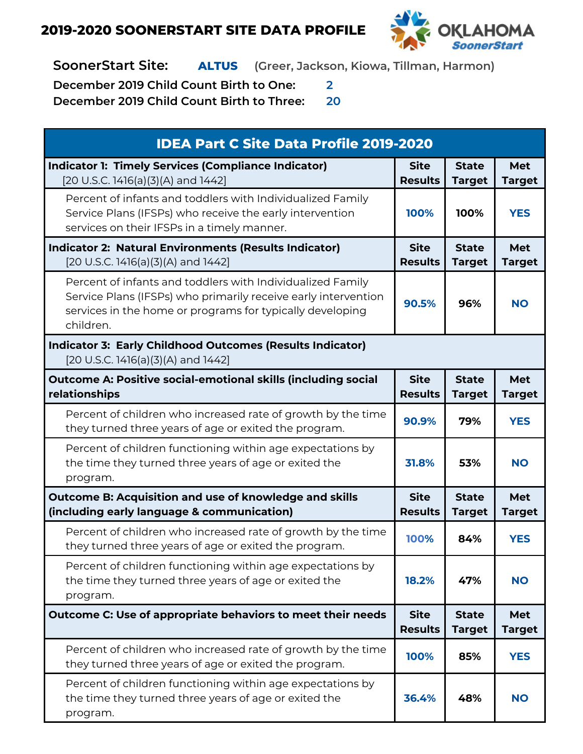

**SoonerStart Site: ALTUS (Greer, Jackson, Kiowa, Tillman, Harmon)**

**December 2019 Child Count Birth to One: 2**

| <b>IDEA Part C Site Data Profile 2019-2020</b>                                                                                                                                                         |                               |                               |                             |  |
|--------------------------------------------------------------------------------------------------------------------------------------------------------------------------------------------------------|-------------------------------|-------------------------------|-----------------------------|--|
| <b>Indicator 1: Timely Services (Compliance Indicator)</b><br>[20 U.S.C. 1416(a)(3)(A) and 1442]                                                                                                       | <b>Site</b><br><b>Results</b> | <b>State</b><br><b>Target</b> | Met<br><b>Target</b>        |  |
| Percent of infants and toddlers with Individualized Family<br>Service Plans (IFSPs) who receive the early intervention<br>services on their IFSPs in a timely manner.                                  | 100%                          | 100%                          | <b>YES</b>                  |  |
| <b>Indicator 2: Natural Environments (Results Indicator)</b><br>[20 U.S.C. 1416(a)(3)(A) and 1442]                                                                                                     | <b>Site</b><br><b>Results</b> | <b>State</b><br><b>Target</b> | <b>Met</b><br><b>Target</b> |  |
| Percent of infants and toddlers with Individualized Family<br>Service Plans (IFSPs) who primarily receive early intervention<br>services in the home or programs for typically developing<br>children. | 90.5%                         | 96%                           | <b>NO</b>                   |  |
| <b>Indicator 3: Early Childhood Outcomes (Results Indicator)</b><br>[20 U.S.C. 1416(a)(3)(A) and 1442]                                                                                                 |                               |                               |                             |  |
| <b>Outcome A: Positive social-emotional skills (including social</b><br>relationships                                                                                                                  | <b>Site</b><br><b>Results</b> | <b>State</b><br><b>Target</b> | <b>Met</b><br><b>Target</b> |  |
| Percent of children who increased rate of growth by the time<br>they turned three years of age or exited the program.                                                                                  | 90.9%                         | 79%                           | <b>YES</b>                  |  |
| Percent of children functioning within age expectations by<br>the time they turned three years of age or exited the<br>program.                                                                        | 31.8%                         | 53%                           | <b>NO</b>                   |  |
| Outcome B: Acquisition and use of knowledge and skills<br>(including early language & communication)                                                                                                   | <b>Site</b><br><b>Results</b> | <b>State</b><br><b>Target</b> | Met<br><b>Target</b>        |  |
| Percent of children who increased rate of growth by the time<br>they turned three years of age or exited the program.                                                                                  | 100%                          | 84%                           | <b>YES</b>                  |  |
| Percent of children functioning within age expectations by<br>the time they turned three years of age or exited the<br>program.                                                                        | 18.2%                         | 47%                           | <b>NO</b>                   |  |
| Outcome C: Use of appropriate behaviors to meet their needs                                                                                                                                            | <b>Site</b><br><b>Results</b> | <b>State</b><br><b>Target</b> | Met<br><b>Target</b>        |  |
| Percent of children who increased rate of growth by the time<br>they turned three years of age or exited the program.                                                                                  | 100%                          | 85%                           | <b>YES</b>                  |  |
| Percent of children functioning within age expectations by<br>the time they turned three years of age or exited the<br>program.                                                                        | 36.4%                         | 48%                           | <b>NO</b>                   |  |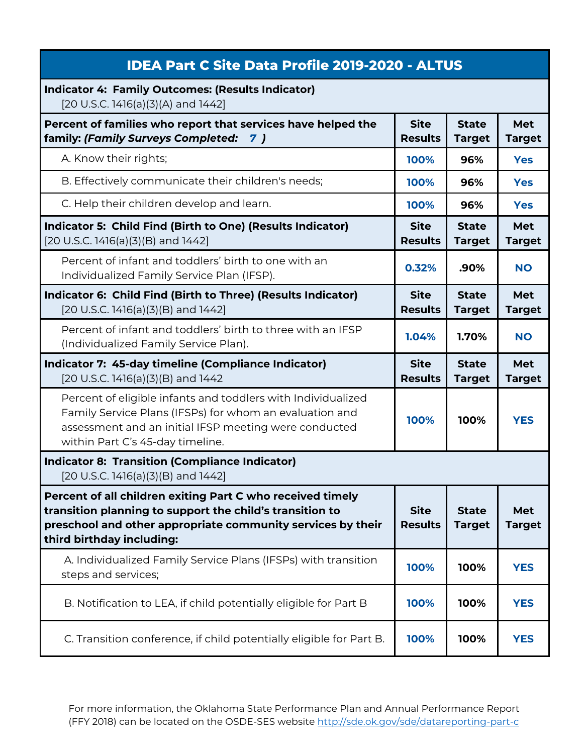| <b>IDEA Part C Site Data Profile 2019-2020 - ALTUS</b>                                                                                                                                                               |                               |                               |                             |
|----------------------------------------------------------------------------------------------------------------------------------------------------------------------------------------------------------------------|-------------------------------|-------------------------------|-----------------------------|
| <b>Indicator 4: Family Outcomes: (Results Indicator)</b><br>[20 U.S.C. 1416(a)(3)(A) and 1442]                                                                                                                       |                               |                               |                             |
| Percent of families who report that services have helped the<br>family: (Family Surveys Completed:<br><b>7</b> )                                                                                                     | <b>Site</b><br><b>Results</b> | <b>State</b><br><b>Target</b> | <b>Met</b><br><b>Target</b> |
| A. Know their rights;                                                                                                                                                                                                | 100%                          | 96%                           | <b>Yes</b>                  |
| B. Effectively communicate their children's needs;                                                                                                                                                                   | 100%                          | 96%                           | <b>Yes</b>                  |
| C. Help their children develop and learn.                                                                                                                                                                            | 100%                          | 96%                           | <b>Yes</b>                  |
| Indicator 5: Child Find (Birth to One) (Results Indicator)<br>[20 U.S.C. 1416(a)(3)(B) and 1442]                                                                                                                     | <b>Site</b><br><b>Results</b> | <b>State</b><br><b>Target</b> | Met<br><b>Target</b>        |
| Percent of infant and toddlers' birth to one with an<br>Individualized Family Service Plan (IFSP).                                                                                                                   | 0.32%                         | .90%                          | <b>NO</b>                   |
| Indicator 6: Child Find (Birth to Three) (Results Indicator)<br>[20 U.S.C. 1416(a)(3)(B) and 1442]                                                                                                                   | <b>Site</b><br><b>Results</b> | <b>State</b><br><b>Target</b> | Met<br><b>Target</b>        |
| Percent of infant and toddlers' birth to three with an IFSP<br>(Individualized Family Service Plan).                                                                                                                 | 1.04%                         | 1.70%                         | <b>NO</b>                   |
|                                                                                                                                                                                                                      |                               |                               |                             |
| Indicator 7: 45-day timeline (Compliance Indicator)<br>[20 U.S.C. 1416(a)(3)(B) and 1442                                                                                                                             | <b>Site</b><br><b>Results</b> | <b>State</b><br><b>Target</b> | <b>Met</b><br><b>Target</b> |
| Percent of eligible infants and toddlers with Individualized<br>Family Service Plans (IFSPs) for whom an evaluation and<br>assessment and an initial IFSP meeting were conducted<br>within Part C's 45-day timeline. | 100%                          | 100%                          | <b>YES</b>                  |
| <b>Indicator 8: Transition (Compliance Indicator)</b><br>[20 U.S.C. 1416(a)(3)(B) and 1442]                                                                                                                          |                               |                               |                             |
| Percent of all children exiting Part C who received timely<br>transition planning to support the child's transition to<br>preschool and other appropriate community services by their<br>third birthday including:   | <b>Site</b><br><b>Results</b> | <b>State</b><br><b>Target</b> | Met<br><b>Target</b>        |
| A. Individualized Family Service Plans (IFSPs) with transition<br>steps and services;                                                                                                                                | 100%                          | 100%                          | <b>YES</b>                  |
| B. Notification to LEA, if child potentially eligible for Part B                                                                                                                                                     | 100%                          | 100%                          | <b>YES</b>                  |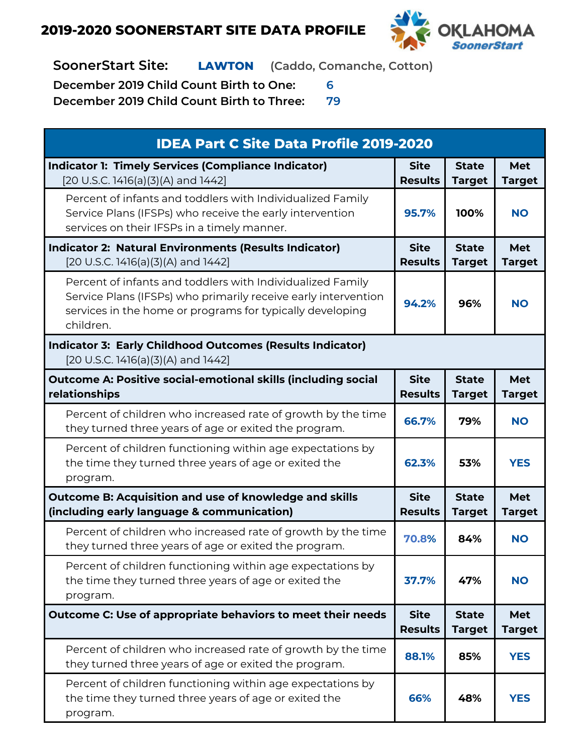

**SoonerStart Site: LAWTON (Caddo, Comanche, Cotton)**

**December 2019 Child Count Birth to One: 6**

| <b>IDEA Part C Site Data Profile 2019-2020</b>                                                                                                                                                         |                               |                               |                             |  |
|--------------------------------------------------------------------------------------------------------------------------------------------------------------------------------------------------------|-------------------------------|-------------------------------|-----------------------------|--|
| <b>Indicator 1: Timely Services (Compliance Indicator)</b><br>[20 U.S.C. 1416(a)(3)(A) and 1442]                                                                                                       | <b>Site</b><br><b>Results</b> | <b>State</b><br><b>Target</b> | Met<br><b>Target</b>        |  |
| Percent of infants and toddlers with Individualized Family<br>Service Plans (IFSPs) who receive the early intervention<br>services on their IFSPs in a timely manner.                                  | 95.7%                         | 100%                          | <b>NO</b>                   |  |
| <b>Indicator 2: Natural Environments (Results Indicator)</b><br>[20 U.S.C. 1416(a)(3)(A) and 1442]                                                                                                     | <b>Site</b><br><b>Results</b> | <b>State</b><br><b>Target</b> | <b>Met</b><br><b>Target</b> |  |
| Percent of infants and toddlers with Individualized Family<br>Service Plans (IFSPs) who primarily receive early intervention<br>services in the home or programs for typically developing<br>children. | 94.2%                         | 96%                           | <b>NO</b>                   |  |
| <b>Indicator 3: Early Childhood Outcomes (Results Indicator)</b><br>[20 U.S.C. 1416(a)(3)(A) and 1442]                                                                                                 |                               |                               |                             |  |
| <b>Outcome A: Positive social-emotional skills (including social</b><br>relationships                                                                                                                  | <b>Site</b><br><b>Results</b> | <b>State</b><br><b>Target</b> | <b>Met</b><br><b>Target</b> |  |
| Percent of children who increased rate of growth by the time<br>they turned three years of age or exited the program.                                                                                  | 66.7%                         | 79%                           | <b>NO</b>                   |  |
| Percent of children functioning within age expectations by<br>the time they turned three years of age or exited the<br>program.                                                                        | 62.3%                         | 53%                           | <b>YES</b>                  |  |
| Outcome B: Acquisition and use of knowledge and skills<br>(including early language & communication)                                                                                                   | <b>Site</b><br><b>Results</b> | <b>State</b><br><b>Target</b> | Met<br><b>Target</b>        |  |
| Percent of children who increased rate of growth by the time<br>they turned three years of age or exited the program.                                                                                  | 70.8%                         | 84%                           | <b>NO</b>                   |  |
| Percent of children functioning within age expectations by<br>the time they turned three years of age or exited the<br>program.                                                                        | 37.7%                         | 47%                           | <b>NO</b>                   |  |
| Outcome C: Use of appropriate behaviors to meet their needs                                                                                                                                            | <b>Site</b><br><b>Results</b> | <b>State</b><br><b>Target</b> | Met<br><b>Target</b>        |  |
| Percent of children who increased rate of growth by the time<br>they turned three years of age or exited the program.                                                                                  | 88.1%                         | 85%                           | <b>YES</b>                  |  |
| Percent of children functioning within age expectations by<br>the time they turned three years of age or exited the<br>program.                                                                        | 66%                           | 48%                           | <b>YES</b>                  |  |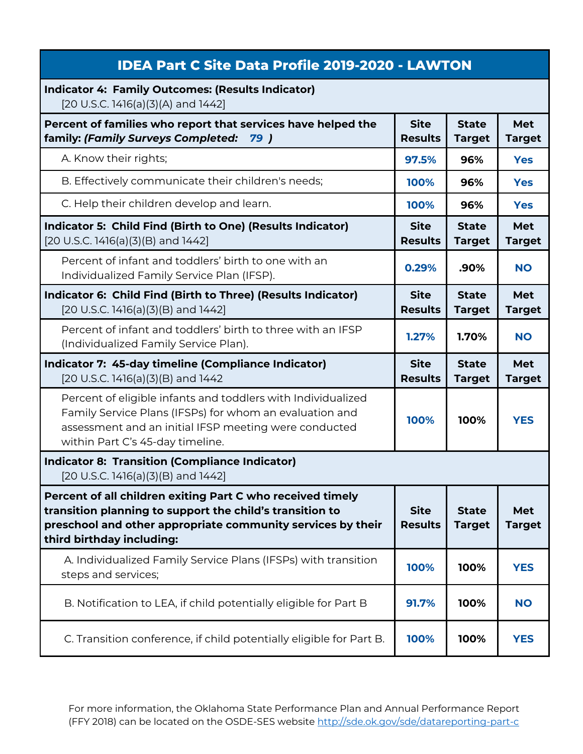| <b>IDEA Part C Site Data Profile 2019-2020 - LAWTON</b>                                                                                                                                                              |                               |                               |                      |
|----------------------------------------------------------------------------------------------------------------------------------------------------------------------------------------------------------------------|-------------------------------|-------------------------------|----------------------|
| <b>Indicator 4: Family Outcomes: (Results Indicator)</b><br>[20 U.S.C. 1416(a)(3)(A) and 1442]                                                                                                                       |                               |                               |                      |
| Percent of families who report that services have helped the<br>family: (Family Surveys Completed:<br>79 )                                                                                                           | <b>Site</b><br><b>Results</b> | <b>State</b><br><b>Target</b> | Met<br><b>Target</b> |
| A. Know their rights;                                                                                                                                                                                                | 97.5%                         | 96%                           | <b>Yes</b>           |
| B. Effectively communicate their children's needs;                                                                                                                                                                   | 100%                          | 96%                           | <b>Yes</b>           |
| C. Help their children develop and learn.                                                                                                                                                                            | 100%                          | 96%                           | <b>Yes</b>           |
| Indicator 5: Child Find (Birth to One) (Results Indicator)<br>[20 U.S.C. 1416(a)(3)(B) and 1442]                                                                                                                     | <b>Site</b><br><b>Results</b> | <b>State</b><br><b>Target</b> | Met<br><b>Target</b> |
| Percent of infant and toddlers' birth to one with an<br>Individualized Family Service Plan (IFSP).                                                                                                                   | 0.29%                         | .90%                          | <b>NO</b>            |
| Indicator 6: Child Find (Birth to Three) (Results Indicator)<br>[20 U.S.C. 1416(a)(3)(B) and 1442]                                                                                                                   | <b>Site</b><br><b>Results</b> | <b>State</b><br><b>Target</b> | Met<br><b>Target</b> |
| Percent of infant and toddlers' birth to three with an IFSP<br>(Individualized Family Service Plan).                                                                                                                 | 1.27%                         | 1.70%                         | <b>NO</b>            |
|                                                                                                                                                                                                                      |                               |                               |                      |
| Indicator 7: 45-day timeline (Compliance Indicator)<br>[20 U.S.C. 1416(a)(3)(B) and 1442                                                                                                                             | <b>Site</b><br><b>Results</b> | <b>State</b><br><b>Target</b> | Met<br><b>Target</b> |
| Percent of eligible infants and toddlers with Individualized<br>Family Service Plans (IFSPs) for whom an evaluation and<br>assessment and an initial IFSP meeting were conducted<br>within Part C's 45-day timeline. | 100%                          | 100%                          | <b>YES</b>           |
| <b>Indicator 8: Transition (Compliance Indicator)</b><br>$[20 U.S.C. 1416(a)(3)(B)$ and $1442]$                                                                                                                      |                               |                               |                      |
| Percent of all children exiting Part C who received timely<br>transition planning to support the child's transition to<br>preschool and other appropriate community services by their<br>third birthday including:   | <b>Site</b><br><b>Results</b> | <b>State</b><br><b>Target</b> | Met<br><b>Target</b> |
| A. Individualized Family Service Plans (IFSPs) with transition<br>steps and services;                                                                                                                                | 100%                          | 100%                          | <b>YES</b>           |
| B. Notification to LEA, if child potentially eligible for Part B                                                                                                                                                     | 91.7%                         | 100%                          | <b>NO</b>            |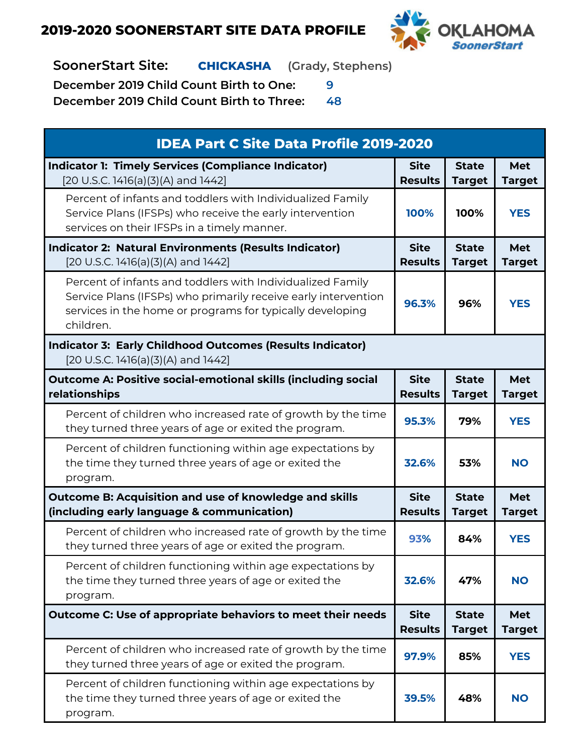

**SoonerStart Site: CHICKASHA (Grady, Stephens)**

**December 2019 Child Count Birth to One: 9**

| <b>IDEA Part C Site Data Profile 2019-2020</b>                                                                                                                                                         |                               |                               |                             |
|--------------------------------------------------------------------------------------------------------------------------------------------------------------------------------------------------------|-------------------------------|-------------------------------|-----------------------------|
| <b>Indicator 1: Timely Services (Compliance Indicator)</b><br>[20 U.S.C. 1416(a)(3)(A) and 1442]                                                                                                       | <b>Site</b><br><b>Results</b> | <b>State</b><br><b>Target</b> | <b>Met</b><br><b>Target</b> |
| Percent of infants and toddlers with Individualized Family<br>Service Plans (IFSPs) who receive the early intervention<br>services on their IFSPs in a timely manner.                                  | 100%                          | 100%                          | <b>YES</b>                  |
| <b>Indicator 2: Natural Environments (Results Indicator)</b><br>[20 U.S.C. 1416(a)(3)(A) and 1442]                                                                                                     | <b>Site</b><br><b>Results</b> | <b>State</b><br><b>Target</b> | <b>Met</b><br><b>Target</b> |
| Percent of infants and toddlers with Individualized Family<br>Service Plans (IFSPs) who primarily receive early intervention<br>services in the home or programs for typically developing<br>children. | 96.3%                         | 96%                           | <b>YES</b>                  |
| <b>Indicator 3: Early Childhood Outcomes (Results Indicator)</b><br>[20 U.S.C. 1416(a)(3)(A) and 1442]                                                                                                 |                               |                               |                             |
| <b>Outcome A: Positive social-emotional skills (including social</b><br>relationships                                                                                                                  | <b>Site</b><br><b>Results</b> | <b>State</b><br><b>Target</b> | <b>Met</b><br><b>Target</b> |
| Percent of children who increased rate of growth by the time<br>they turned three years of age or exited the program.                                                                                  | 95.3%                         | 79%                           | <b>YES</b>                  |
| Percent of children functioning within age expectations by<br>the time they turned three years of age or exited the<br>program.                                                                        | 32.6%                         | 53%                           | <b>NO</b>                   |
| <b>Outcome B: Acquisition and use of knowledge and skills</b><br>(including early language & communication)                                                                                            | <b>Site</b><br><b>Results</b> | <b>State</b><br><b>Target</b> | <b>Met</b><br><b>Target</b> |
| Percent of children who increased rate of growth by the time<br>they turned three years of age or exited the program.                                                                                  | 93%                           | 84%                           | <b>YES</b>                  |
| Percent of children functioning within age expectations by<br>the time they turned three years of age or exited the<br>program.                                                                        | 32.6%                         | 47%                           | <b>NO</b>                   |
| Outcome C: Use of appropriate behaviors to meet their needs                                                                                                                                            | <b>Site</b><br><b>Results</b> | <b>State</b><br><b>Target</b> | <b>Met</b><br><b>Target</b> |
| Percent of children who increased rate of growth by the time<br>they turned three years of age or exited the program.                                                                                  | 97.9%                         | 85%                           | <b>YES</b>                  |
| Percent of children functioning within age expectations by<br>the time they turned three years of age or exited the<br>program.                                                                        | 39.5%                         | 48%                           | <b>NO</b>                   |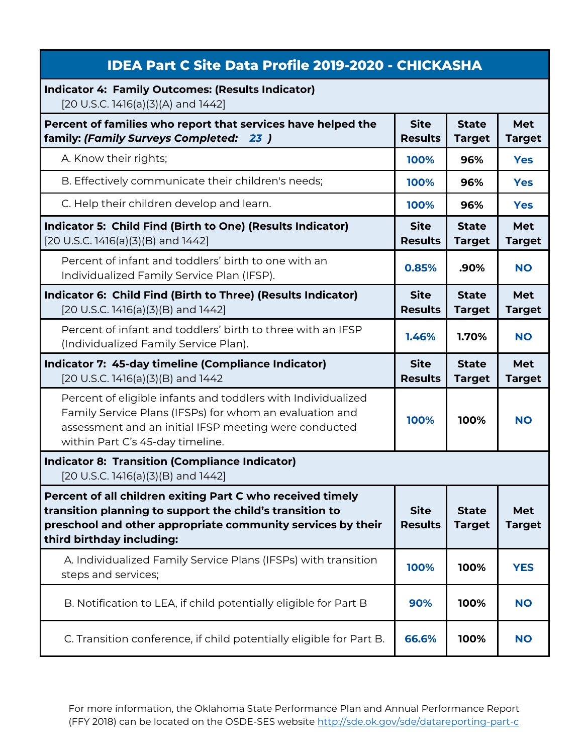| <b>IDEA Part C Site Data Profile 2019-2020 - CHICKASHA</b>                                                                                                                                                           |                               |                               |                             |
|----------------------------------------------------------------------------------------------------------------------------------------------------------------------------------------------------------------------|-------------------------------|-------------------------------|-----------------------------|
| <b>Indicator 4: Family Outcomes: (Results Indicator)</b><br>[20 U.S.C. 1416(a)(3)(A) and 1442]                                                                                                                       |                               |                               |                             |
| Percent of families who report that services have helped the<br>family: (Family Surveys Completed: 23)                                                                                                               | <b>Site</b><br><b>Results</b> | <b>State</b><br><b>Target</b> | <b>Met</b><br><b>Target</b> |
| A. Know their rights;                                                                                                                                                                                                | 100%                          | 96%                           | <b>Yes</b>                  |
| B. Effectively communicate their children's needs;                                                                                                                                                                   | 100%                          | 96%                           | <b>Yes</b>                  |
| C. Help their children develop and learn.                                                                                                                                                                            | 100%                          | 96%                           | <b>Yes</b>                  |
| Indicator 5: Child Find (Birth to One) (Results Indicator)<br>[20 U.S.C. 1416(a)(3)(B) and 1442]                                                                                                                     | <b>Site</b><br><b>Results</b> | <b>State</b><br><b>Target</b> | <b>Met</b><br><b>Target</b> |
| Percent of infant and toddlers' birth to one with an<br>Individualized Family Service Plan (IFSP).                                                                                                                   | 0.85%                         | .90%                          | <b>NO</b>                   |
| Indicator 6: Child Find (Birth to Three) (Results Indicator)<br>$[20 U.S.C. 1416(a)(3)(B)$ and $1442]$                                                                                                               | <b>Site</b><br><b>Results</b> | <b>State</b><br><b>Target</b> | <b>Met</b><br><b>Target</b> |
| Percent of infant and toddlers' birth to three with an IFSP<br>(Individualized Family Service Plan).                                                                                                                 | 1.46%                         | 1.70%                         | <b>NO</b>                   |
| Indicator 7: 45-day timeline (Compliance Indicator)<br>$[20$ U.S.C. 1416(a)(3)(B) and 1442                                                                                                                           | <b>Site</b><br><b>Results</b> | <b>State</b><br><b>Target</b> | <b>Met</b><br><b>Target</b> |
| Percent of eligible infants and toddlers with Individualized<br>Family Service Plans (IFSPs) for whom an evaluation and<br>assessment and an initial IFSP meeting were conducted<br>within Part C's 45-day timeline. | 100%                          | 100%                          | <b>NO</b>                   |
| <b>Indicator 8: Transition (Compliance Indicator)</b><br>[20 U.S.C. 1416(a)(3)(B) and 1442]                                                                                                                          |                               |                               |                             |
| Percent of all children exiting Part C who received timely<br>transition planning to support the child's transition to<br>preschool and other appropriate community services by their<br>third birthday including:   | <b>Site</b><br><b>Results</b> | <b>State</b><br><b>Target</b> | Met<br><b>Target</b>        |
| A. Individualized Family Service Plans (IFSPs) with transition<br>steps and services;                                                                                                                                | 100%                          | 100%                          | <b>YES</b>                  |
| B. Notification to LEA, if child potentially eligible for Part B                                                                                                                                                     | 90%                           | 100%                          | <b>NO</b>                   |
| C. Transition conference, if child potentially eligible for Part B.                                                                                                                                                  | 66.6%                         | 100%                          | <b>NO</b>                   |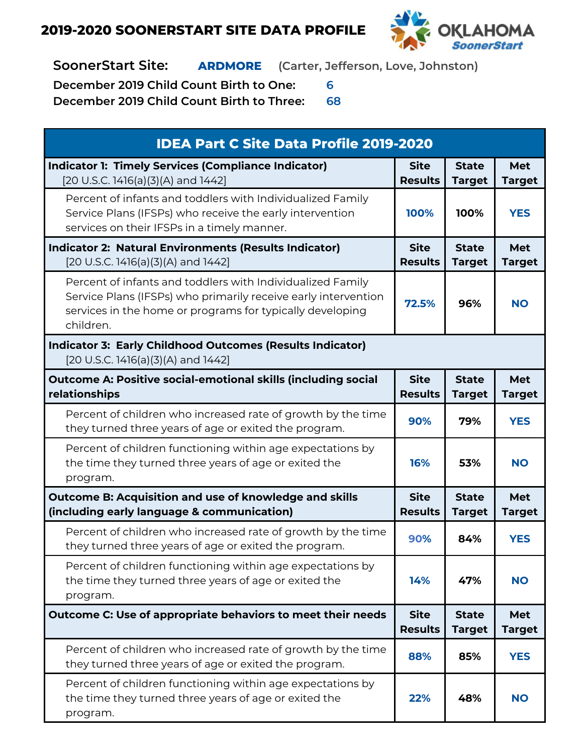

**SoonerStart Site: ARDMORE (Carter, Jefferson, Love, Johnston)**

**December 2019 Child Count Birth to One: 6**

| <b>IDEA Part C Site Data Profile 2019-2020</b>                                                                                                                                                         |                               |                               |                             |
|--------------------------------------------------------------------------------------------------------------------------------------------------------------------------------------------------------|-------------------------------|-------------------------------|-----------------------------|
| <b>Indicator 1: Timely Services (Compliance Indicator)</b><br>[20 U.S.C. 1416(a)(3)(A) and 1442]                                                                                                       | <b>Site</b><br><b>Results</b> | <b>State</b><br><b>Target</b> | Met<br><b>Target</b>        |
| Percent of infants and toddlers with Individualized Family<br>Service Plans (IFSPs) who receive the early intervention<br>services on their IFSPs in a timely manner.                                  | 100%                          | 100%                          | <b>YES</b>                  |
| <b>Indicator 2: Natural Environments (Results Indicator)</b><br>[20 U.S.C. 1416(a)(3)(A) and 1442]                                                                                                     | <b>Site</b><br><b>Results</b> | <b>State</b><br><b>Target</b> | Met<br><b>Target</b>        |
| Percent of infants and toddlers with Individualized Family<br>Service Plans (IFSPs) who primarily receive early intervention<br>services in the home or programs for typically developing<br>children. | 72.5%                         | 96%                           | <b>NO</b>                   |
| <b>Indicator 3: Early Childhood Outcomes (Results Indicator)</b><br>[20 U.S.C. 1416(a)(3)(A) and 1442]                                                                                                 |                               |                               |                             |
| <b>Outcome A: Positive social-emotional skills (including social</b><br>relationships                                                                                                                  | <b>Site</b><br><b>Results</b> | <b>State</b><br><b>Target</b> | Met<br><b>Target</b>        |
| Percent of children who increased rate of growth by the time<br>they turned three years of age or exited the program.                                                                                  | 90%                           | 79%                           | <b>YES</b>                  |
| Percent of children functioning within age expectations by<br>the time they turned three years of age or exited the<br>program.                                                                        | <b>16%</b>                    | 53%                           | <b>NO</b>                   |
| Outcome B: Acquisition and use of knowledge and skills<br>(including early language & communication)                                                                                                   | <b>Site</b><br><b>Results</b> | <b>State</b><br><b>Target</b> | Met<br><b>Target</b>        |
| Percent of children who increased rate of growth by the time<br>they turned three years of age or exited the program.                                                                                  | 90%                           | 84%                           | <b>YES</b>                  |
| Percent of children functioning within age expectations by<br>the time they turned three years of age or exited the<br>program.                                                                        | 14%                           | 47%                           | <b>NO</b>                   |
| Outcome C: Use of appropriate behaviors to meet their needs                                                                                                                                            | <b>Site</b><br><b>Results</b> | <b>State</b><br><b>Target</b> | <b>Met</b><br><b>Target</b> |
| Percent of children who increased rate of growth by the time<br>they turned three years of age or exited the program.                                                                                  | 88%                           | 85%                           | <b>YES</b>                  |
| Percent of children functioning within age expectations by<br>the time they turned three years of age or exited the<br>program.                                                                        | 22%                           | 48%                           | <b>NO</b>                   |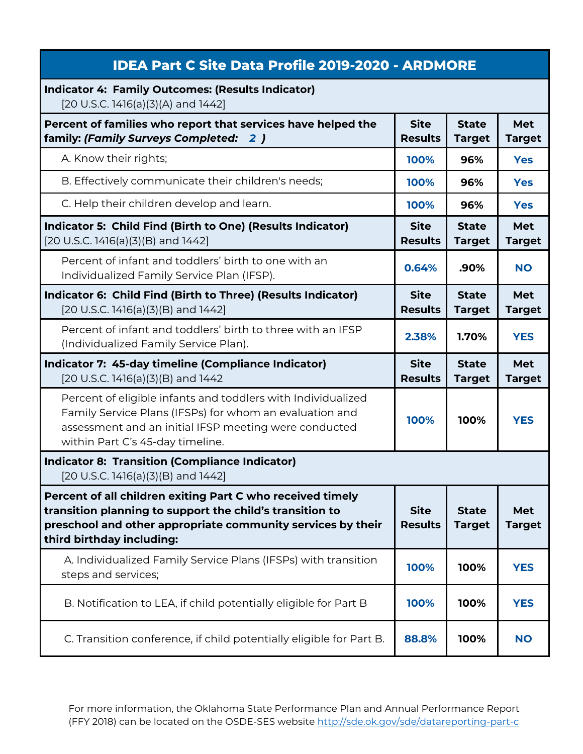| <b>IDEA Part C Site Data Profile 2019-2020 - ARDMORE</b>                                                                                                                                                             |                               |                               |                             |
|----------------------------------------------------------------------------------------------------------------------------------------------------------------------------------------------------------------------|-------------------------------|-------------------------------|-----------------------------|
| <b>Indicator 4: Family Outcomes: (Results Indicator)</b><br>[20 U.S.C. 1416(a)(3)(A) and 1442]                                                                                                                       |                               |                               |                             |
| Percent of families who report that services have helped the<br>family: (Family Surveys Completed:<br>2)                                                                                                             | <b>Site</b><br><b>Results</b> | <b>State</b><br><b>Target</b> | <b>Met</b><br><b>Target</b> |
| A. Know their rights;                                                                                                                                                                                                | 100%                          | 96%                           | <b>Yes</b>                  |
| B. Effectively communicate their children's needs;                                                                                                                                                                   | 100%                          | 96%                           | <b>Yes</b>                  |
| C. Help their children develop and learn.                                                                                                                                                                            | 100%                          | 96%                           | <b>Yes</b>                  |
| Indicator 5: Child Find (Birth to One) (Results Indicator)<br>[20 U.S.C. 1416(a)(3)(B) and 1442]                                                                                                                     | <b>Site</b><br><b>Results</b> | <b>State</b><br><b>Target</b> | Met<br><b>Target</b>        |
| Percent of infant and toddlers' birth to one with an<br>Individualized Family Service Plan (IFSP).                                                                                                                   | 0.64%                         | .90%                          | <b>NO</b>                   |
| Indicator 6: Child Find (Birth to Three) (Results Indicator)<br>[20 U.S.C. 1416(a)(3)(B) and 1442]                                                                                                                   | <b>Site</b><br><b>Results</b> | <b>State</b><br><b>Target</b> | Met<br><b>Target</b>        |
| Percent of infant and toddlers' birth to three with an IFSP<br>(Individualized Family Service Plan).                                                                                                                 | 2.38%                         | 1.70%                         | <b>YES</b>                  |
|                                                                                                                                                                                                                      |                               |                               |                             |
| Indicator 7: 45-day timeline (Compliance Indicator)<br>[20 U.S.C. 1416(a)(3)(B) and 1442                                                                                                                             | <b>Site</b><br><b>Results</b> | <b>State</b><br><b>Target</b> | Met<br><b>Target</b>        |
| Percent of eligible infants and toddlers with Individualized<br>Family Service Plans (IFSPs) for whom an evaluation and<br>assessment and an initial IFSP meeting were conducted<br>within Part C's 45-day timeline. | 100%                          | 100%                          | <b>YES</b>                  |
| <b>Indicator 8: Transition (Compliance Indicator)</b><br>$[20 U.S.C. 1416(a)(3)(B)$ and 1442]                                                                                                                        |                               |                               |                             |
| Percent of all children exiting Part C who received timely<br>transition planning to support the child's transition to<br>preschool and other appropriate community services by their<br>third birthday including:   | <b>Site</b><br><b>Results</b> | <b>State</b><br><b>Target</b> | Met<br><b>Target</b>        |
| A. Individualized Family Service Plans (IFSPs) with transition<br>steps and services;                                                                                                                                | 100%                          | 100%                          | <b>YES</b>                  |
| B. Notification to LEA, if child potentially eligible for Part B                                                                                                                                                     | 100%                          | 100%                          | <b>YES</b>                  |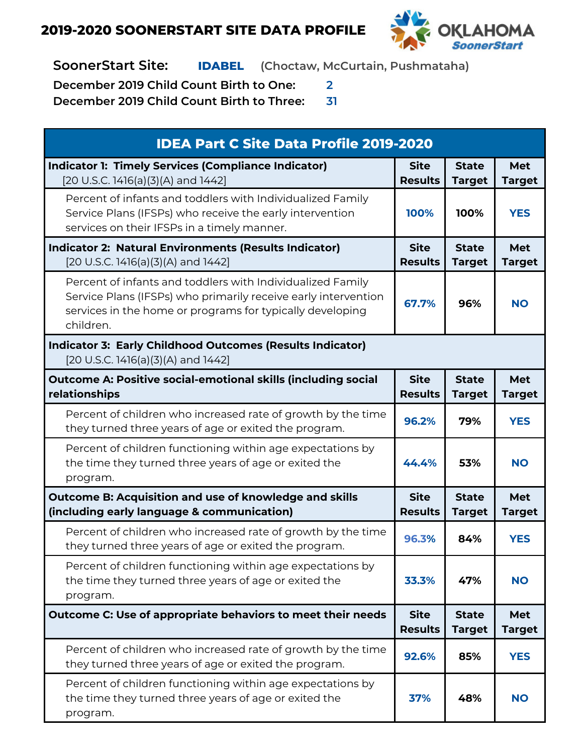

**SoonerStart Site: IDABEL (Choctaw, McCurtain, Pushmataha)**

**December 2019 Child Count Birth to One: 2**

| <b>IDEA Part C Site Data Profile 2019-2020</b>                                                                                                                                                         |                               |                               |                             |
|--------------------------------------------------------------------------------------------------------------------------------------------------------------------------------------------------------|-------------------------------|-------------------------------|-----------------------------|
| <b>Indicator 1: Timely Services (Compliance Indicator)</b><br>[20 U.S.C. 1416(a)(3)(A) and 1442]                                                                                                       | <b>Site</b><br><b>Results</b> | <b>State</b><br><b>Target</b> | <b>Met</b><br><b>Target</b> |
| Percent of infants and toddlers with Individualized Family<br>Service Plans (IFSPs) who receive the early intervention<br>services on their IFSPs in a timely manner.                                  | 100%                          | 100%                          | <b>YES</b>                  |
| <b>Indicator 2: Natural Environments (Results Indicator)</b><br>[20 U.S.C. 1416(a)(3)(A) and 1442]                                                                                                     | <b>Site</b><br><b>Results</b> | <b>State</b><br><b>Target</b> | <b>Met</b><br><b>Target</b> |
| Percent of infants and toddlers with Individualized Family<br>Service Plans (IFSPs) who primarily receive early intervention<br>services in the home or programs for typically developing<br>children. | 67.7%                         | 96%                           | <b>NO</b>                   |
| <b>Indicator 3: Early Childhood Outcomes (Results Indicator)</b><br>[20 U.S.C. 1416(a)(3)(A) and 1442]                                                                                                 |                               |                               |                             |
| <b>Outcome A: Positive social-emotional skills (including social</b><br>relationships                                                                                                                  | <b>Site</b><br><b>Results</b> | <b>State</b><br><b>Target</b> | <b>Met</b><br><b>Target</b> |
| Percent of children who increased rate of growth by the time<br>they turned three years of age or exited the program.                                                                                  | 96.2%                         | 79%                           | <b>YES</b>                  |
| Percent of children functioning within age expectations by<br>the time they turned three years of age or exited the<br>program.                                                                        | 44.4%                         | 53%                           | <b>NO</b>                   |
| <b>Outcome B: Acquisition and use of knowledge and skills</b><br>(including early language & communication)                                                                                            | <b>Site</b><br><b>Results</b> | <b>State</b><br><b>Target</b> | <b>Met</b><br><b>Target</b> |
| Percent of children who increased rate of growth by the time<br>they turned three years of age or exited the program.                                                                                  | 96.3%                         | 84%                           | <b>YES</b>                  |
| Percent of children functioning within age expectations by<br>the time they turned three years of age or exited the<br>program.                                                                        | 33.3%                         | 47%                           | <b>NO</b>                   |
| Outcome C: Use of appropriate behaviors to meet their needs                                                                                                                                            | <b>Site</b><br><b>Results</b> | <b>State</b><br><b>Target</b> | <b>Met</b><br><b>Target</b> |
| Percent of children who increased rate of growth by the time<br>they turned three years of age or exited the program.                                                                                  | 92.6%                         | 85%                           | <b>YES</b>                  |
| Percent of children functioning within age expectations by<br>the time they turned three years of age or exited the<br>program.                                                                        | 37%                           | 48%                           | <b>NO</b>                   |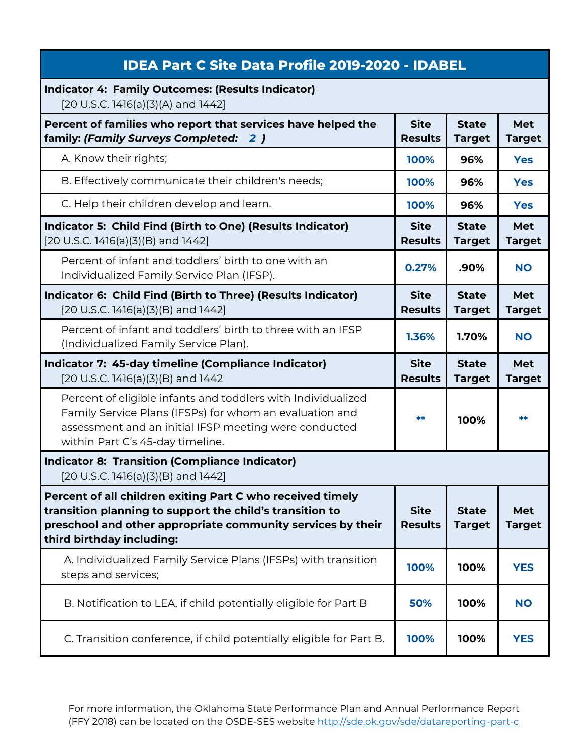| <b>IDEA Part C Site Data Profile 2019-2020 - IDABEL</b>                                                                                                                                                              |                               |                               |                             |
|----------------------------------------------------------------------------------------------------------------------------------------------------------------------------------------------------------------------|-------------------------------|-------------------------------|-----------------------------|
| <b>Indicator 4: Family Outcomes: (Results Indicator)</b><br>[20 U.S.C. 1416(a)(3)(A) and 1442]                                                                                                                       |                               |                               |                             |
| Percent of families who report that services have helped the<br>family: (Family Surveys Completed: 2)                                                                                                                | <b>Site</b><br><b>Results</b> | <b>State</b><br><b>Target</b> | <b>Met</b><br><b>Target</b> |
| A. Know their rights;                                                                                                                                                                                                | 100%                          | 96%                           | <b>Yes</b>                  |
| B. Effectively communicate their children's needs;                                                                                                                                                                   | 100%                          | 96%                           | <b>Yes</b>                  |
| C. Help their children develop and learn.                                                                                                                                                                            | 100%                          | 96%                           | <b>Yes</b>                  |
| Indicator 5: Child Find (Birth to One) (Results Indicator)<br>$[20 U.S.C. 1416(a)(3)(B)$ and $1442]$                                                                                                                 | <b>Site</b><br><b>Results</b> | <b>State</b><br><b>Target</b> | Met<br><b>Target</b>        |
| Percent of infant and toddlers' birth to one with an<br>Individualized Family Service Plan (IFSP).                                                                                                                   | 0.27%                         | .90%                          | <b>NO</b>                   |
| Indicator 6: Child Find (Birth to Three) (Results Indicator)<br>[20 U.S.C. 1416(a)(3)(B) and 1442]                                                                                                                   | <b>Site</b><br><b>Results</b> | <b>State</b><br><b>Target</b> | Met<br><b>Target</b>        |
| Percent of infant and toddlers' birth to three with an IFSP<br>(Individualized Family Service Plan).                                                                                                                 | 1.36%                         | 1.70%                         | <b>NO</b>                   |
|                                                                                                                                                                                                                      |                               |                               |                             |
| Indicator 7: 45-day timeline (Compliance Indicator)<br>[20 U.S.C. 1416(a)(3)(B) and 1442                                                                                                                             | <b>Site</b><br><b>Results</b> | <b>State</b><br><b>Target</b> | Met<br><b>Target</b>        |
| Percent of eligible infants and toddlers with Individualized<br>Family Service Plans (IFSPs) for whom an evaluation and<br>assessment and an initial IFSP meeting were conducted<br>within Part C's 45-day timeline. | **                            | 100%                          | **                          |
| <b>Indicator 8: Transition (Compliance Indicator)</b><br>$[20 U.S.C. 1416(a)(3)(B)$ and $1442]$                                                                                                                      |                               |                               |                             |
| Percent of all children exiting Part C who received timely<br>transition planning to support the child's transition to<br>preschool and other appropriate community services by their<br>third birthday including:   | <b>Site</b><br><b>Results</b> | <b>State</b><br><b>Target</b> | Met<br><b>Target</b>        |
| A. Individualized Family Service Plans (IFSPs) with transition<br>steps and services;                                                                                                                                | 100%                          | 100%                          | <b>YES</b>                  |
| B. Notification to LEA, if child potentially eligible for Part B                                                                                                                                                     | 50%                           | 100%                          | <b>NO</b>                   |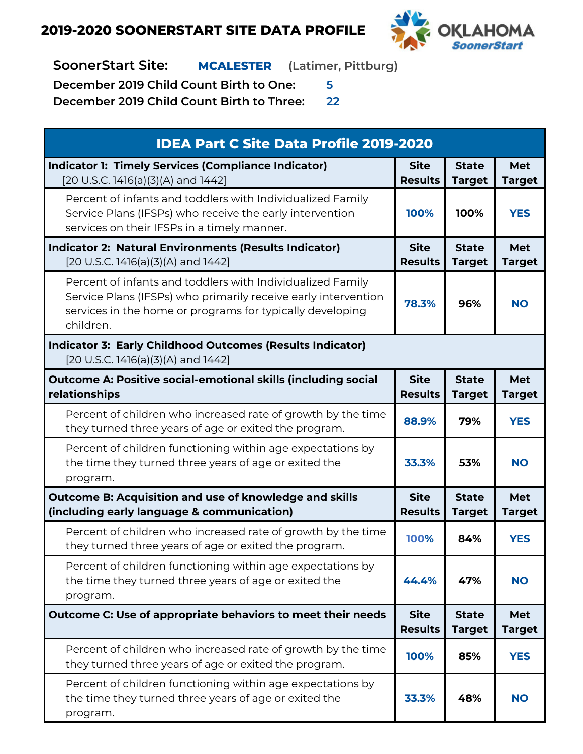

**SoonerStart Site: MCALESTER (Latimer, Pittburg)**

**December 2019 Child Count Birth to One: 5**

| <b>IDEA Part C Site Data Profile 2019-2020</b>                                                                                                                                                         |                               |                               |                             |
|--------------------------------------------------------------------------------------------------------------------------------------------------------------------------------------------------------|-------------------------------|-------------------------------|-----------------------------|
| <b>Indicator 1: Timely Services (Compliance Indicator)</b><br>[20 U.S.C. 1416(a)(3)(A) and 1442]                                                                                                       | <b>Site</b><br><b>Results</b> | <b>State</b><br><b>Target</b> | <b>Met</b><br><b>Target</b> |
| Percent of infants and toddlers with Individualized Family<br>Service Plans (IFSPs) who receive the early intervention<br>services on their IFSPs in a timely manner.                                  | 100%                          | 100%                          | <b>YES</b>                  |
| <b>Indicator 2: Natural Environments (Results Indicator)</b><br>[20 U.S.C. 1416(a)(3)(A) and 1442]                                                                                                     | <b>Site</b><br><b>Results</b> | <b>State</b><br><b>Target</b> | <b>Met</b><br><b>Target</b> |
| Percent of infants and toddlers with Individualized Family<br>Service Plans (IFSPs) who primarily receive early intervention<br>services in the home or programs for typically developing<br>children. | 78.3%                         | 96%                           | <b>NO</b>                   |
| <b>Indicator 3: Early Childhood Outcomes (Results Indicator)</b><br>[20 U.S.C. 1416(a)(3)(A) and 1442]                                                                                                 |                               |                               |                             |
| <b>Outcome A: Positive social-emotional skills (including social</b><br>relationships                                                                                                                  | <b>Site</b><br><b>Results</b> | <b>State</b><br><b>Target</b> | <b>Met</b><br><b>Target</b> |
| Percent of children who increased rate of growth by the time<br>they turned three years of age or exited the program.                                                                                  | 88.9%                         | 79%                           | <b>YES</b>                  |
| Percent of children functioning within age expectations by<br>the time they turned three years of age or exited the<br>program.                                                                        | 33.3%                         | 53%                           | <b>NO</b>                   |
| Outcome B: Acquisition and use of knowledge and skills<br>(including early language & communication)                                                                                                   | <b>Site</b><br><b>Results</b> | <b>State</b><br><b>Target</b> | <b>Met</b><br><b>Target</b> |
| Percent of children who increased rate of growth by the time<br>they turned three years of age or exited the program.                                                                                  | 100%                          | 84%                           | <b>YES</b>                  |
| Percent of children functioning within age expectations by<br>the time they turned three years of age or exited the<br>program.                                                                        | 44.4%                         | 47%                           | <b>NO</b>                   |
| Outcome C: Use of appropriate behaviors to meet their needs                                                                                                                                            | <b>Site</b><br><b>Results</b> | <b>State</b><br><b>Target</b> | <b>Met</b><br><b>Target</b> |
| Percent of children who increased rate of growth by the time<br>they turned three years of age or exited the program.                                                                                  | 100%                          | 85%                           | <b>YES</b>                  |
| Percent of children functioning within age expectations by<br>the time they turned three years of age or exited the<br>program.                                                                        | 33.3%                         | 48%                           | <b>NO</b>                   |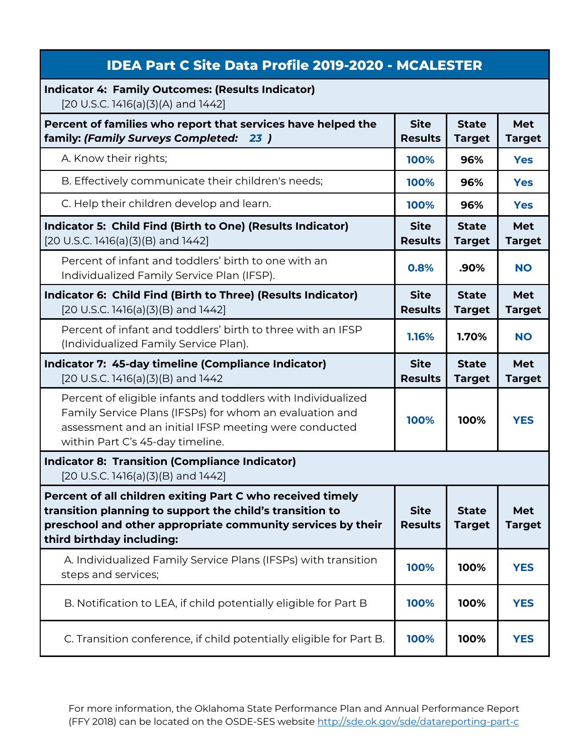| <b>IDEA Part C Site Data Profile 2019-2020 - MCALESTER</b>                                                                                                                                                           |                               |                               |                      |
|----------------------------------------------------------------------------------------------------------------------------------------------------------------------------------------------------------------------|-------------------------------|-------------------------------|----------------------|
| <b>Indicator 4: Family Outcomes: (Results Indicator)</b><br>[20 U.S.C. 1416(a)(3)(A) and 1442]                                                                                                                       |                               |                               |                      |
| Percent of families who report that services have helped the<br>family: (Family Surveys Completed: 23)                                                                                                               | <b>Site</b><br><b>Results</b> | <b>State</b><br><b>Target</b> | Met<br><b>Target</b> |
| A. Know their rights;                                                                                                                                                                                                | 100%                          | 96%                           | <b>Yes</b>           |
| B. Effectively communicate their children's needs;                                                                                                                                                                   | 100%                          | 96%                           | <b>Yes</b>           |
| C. Help their children develop and learn.                                                                                                                                                                            | 100%                          | 96%                           | <b>Yes</b>           |
| Indicator 5: Child Find (Birth to One) (Results Indicator)<br>[20 U.S.C. 1416(a)(3)(B) and 1442]                                                                                                                     | <b>Site</b><br><b>Results</b> | <b>State</b><br><b>Target</b> | Met<br><b>Target</b> |
| Percent of infant and toddlers' birth to one with an<br>Individualized Family Service Plan (IFSP).                                                                                                                   | 0.8%                          | .90%                          | <b>NO</b>            |
| Indicator 6: Child Find (Birth to Three) (Results Indicator)<br>[20 U.S.C. 1416(a)(3)(B) and 1442]                                                                                                                   | <b>Site</b><br><b>Results</b> | <b>State</b><br><b>Target</b> | Met<br><b>Target</b> |
| Percent of infant and toddlers' birth to three with an IFSP<br>(Individualized Family Service Plan).                                                                                                                 | 1.16%                         | 1.70%                         | <b>NO</b>            |
| Indicator 7: 45-day timeline (Compliance Indicator)<br>$[20 U.S.C. 1416(a)(3)(B)$ and 1442                                                                                                                           | <b>Site</b><br><b>Results</b> | <b>State</b><br><b>Target</b> | Met<br><b>Target</b> |
| Percent of eligible infants and toddlers with Individualized<br>Family Service Plans (IFSPs) for whom an evaluation and<br>assessment and an initial IFSP meeting were conducted<br>within Part C's 45-day timeline. | 100%                          | 100%                          | <b>YES</b>           |
| <b>Indicator 8: Transition (Compliance Indicator)</b><br>[20 U.S.C. 1416(a)(3)(B) and 1442]                                                                                                                          |                               |                               |                      |
| Percent of all children exiting Part C who received timely<br>transition planning to support the child's transition to<br>preschool and other appropriate community services by their<br>third birthday including:   | <b>Site</b><br><b>Results</b> | <b>State</b><br><b>Target</b> | Met<br><b>Target</b> |
| A. Individualized Family Service Plans (IFSPs) with transition<br>steps and services;                                                                                                                                | 100%                          | 100%                          | <b>YES</b>           |
| B. Notification to LEA, if child potentially eligible for Part B                                                                                                                                                     | 100%                          | 100%                          | <b>YES</b>           |
| C. Transition conference, if child potentially eligible for Part B.                                                                                                                                                  | 100%                          | 100%                          | <b>YES</b>           |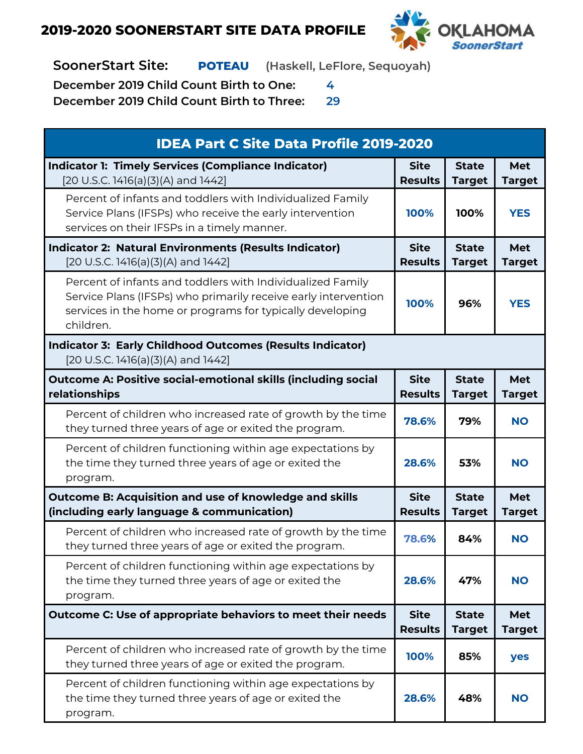

**SoonerStart Site: POTEAU (Haskell, LeFlore, Sequoyah)**

**December 2019 Child Count Birth to One: 4**

| <b>IDEA Part C Site Data Profile 2019-2020</b>                                                                                                                                                         |                               |                               |                             |
|--------------------------------------------------------------------------------------------------------------------------------------------------------------------------------------------------------|-------------------------------|-------------------------------|-----------------------------|
| <b>Indicator 1: Timely Services (Compliance Indicator)</b><br>[20 U.S.C. 1416(a)(3)(A) and 1442]                                                                                                       | <b>Site</b><br><b>Results</b> | <b>State</b><br><b>Target</b> | <b>Met</b><br><b>Target</b> |
| Percent of infants and toddlers with Individualized Family<br>Service Plans (IFSPs) who receive the early intervention<br>services on their IFSPs in a timely manner.                                  | 100%                          | 100%                          | <b>YES</b>                  |
| <b>Indicator 2: Natural Environments (Results Indicator)</b><br>[20 U.S.C. 1416(a)(3)(A) and 1442]                                                                                                     | <b>Site</b><br><b>Results</b> | <b>State</b><br><b>Target</b> | Met<br><b>Target</b>        |
| Percent of infants and toddlers with Individualized Family<br>Service Plans (IFSPs) who primarily receive early intervention<br>services in the home or programs for typically developing<br>children. | 100%                          | 96%                           | <b>YES</b>                  |
| <b>Indicator 3: Early Childhood Outcomes (Results Indicator)</b><br>[20 U.S.C. 1416(a)(3)(A) and 1442]                                                                                                 |                               |                               |                             |
| <b>Outcome A: Positive social-emotional skills (including social</b><br>relationships                                                                                                                  | <b>Site</b><br><b>Results</b> | <b>State</b><br><b>Target</b> | <b>Met</b><br><b>Target</b> |
| Percent of children who increased rate of growth by the time<br>they turned three years of age or exited the program.                                                                                  | 78.6%                         | 79%                           | <b>NO</b>                   |
| Percent of children functioning within age expectations by<br>the time they turned three years of age or exited the<br>program.                                                                        | 28.6%                         | 53%                           | <b>NO</b>                   |
| Outcome B: Acquisition and use of knowledge and skills<br>(including early language & communication)                                                                                                   | <b>Site</b><br><b>Results</b> | <b>State</b><br><b>Target</b> | <b>Met</b><br><b>Target</b> |
| Percent of children who increased rate of growth by the time<br>they turned three years of age or exited the program.                                                                                  | 78.6%                         | 84%                           | <b>NO</b>                   |
| Percent of children functioning within age expectations by<br>the time they turned three years of age or exited the<br>program.                                                                        | 28.6%                         | 47%                           | <b>NO</b>                   |
| Outcome C: Use of appropriate behaviors to meet their needs                                                                                                                                            | <b>Site</b><br><b>Results</b> | <b>State</b><br><b>Target</b> | <b>Met</b><br><b>Target</b> |
| Percent of children who increased rate of growth by the time<br>they turned three years of age or exited the program.                                                                                  | 100%                          | 85%                           | yes                         |
| Percent of children functioning within age expectations by<br>the time they turned three years of age or exited the<br>program.                                                                        | 28.6%                         | 48%                           | <b>NO</b>                   |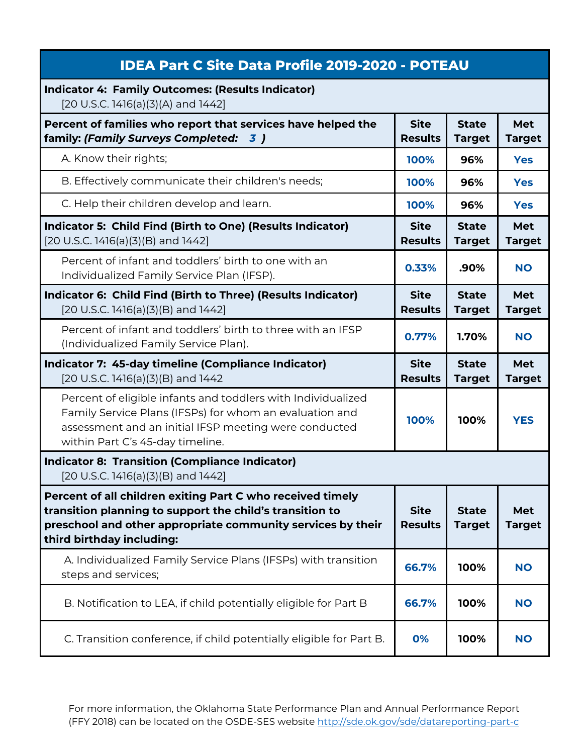| <b>IDEA Part C Site Data Profile 2019-2020 - POTEAU</b>                                                                                                                                                              |                               |                               |                      |
|----------------------------------------------------------------------------------------------------------------------------------------------------------------------------------------------------------------------|-------------------------------|-------------------------------|----------------------|
| <b>Indicator 4: Family Outcomes: (Results Indicator)</b><br>[20 U.S.C. 1416(a)(3)(A) and 1442]                                                                                                                       |                               |                               |                      |
| Percent of families who report that services have helped the<br>family: (Family Surveys Completed: 3)                                                                                                                | <b>Site</b><br><b>Results</b> | <b>State</b><br><b>Target</b> | Met<br><b>Target</b> |
| A. Know their rights;                                                                                                                                                                                                | 100%                          | 96%                           | <b>Yes</b>           |
| B. Effectively communicate their children's needs;                                                                                                                                                                   | 100%                          | 96%                           | <b>Yes</b>           |
| C. Help their children develop and learn.                                                                                                                                                                            | 100%                          | 96%                           | <b>Yes</b>           |
| Indicator 5: Child Find (Birth to One) (Results Indicator)<br>[20 U.S.C. 1416(a)(3)(B) and 1442]                                                                                                                     | <b>Site</b><br><b>Results</b> | <b>State</b><br><b>Target</b> | Met<br><b>Target</b> |
| Percent of infant and toddlers' birth to one with an<br>Individualized Family Service Plan (IFSP).                                                                                                                   | 0.33%                         | .90%                          | <b>NO</b>            |
| Indicator 6: Child Find (Birth to Three) (Results Indicator)<br>$[20 U.S.C. 1416(a)(3)(B)$ and $1442]$                                                                                                               | <b>Site</b><br><b>Results</b> | <b>State</b><br><b>Target</b> | Met<br><b>Target</b> |
| Percent of infant and toddlers' birth to three with an IFSP<br>(Individualized Family Service Plan).                                                                                                                 | 0.77%                         | 1.70%                         | <b>NO</b>            |
|                                                                                                                                                                                                                      |                               |                               |                      |
| Indicator 7: 45-day timeline (Compliance Indicator)<br>$[20$ U.S.C. 1416(a)(3)(B) and 1442                                                                                                                           | <b>Site</b><br><b>Results</b> | <b>State</b><br><b>Target</b> | Met<br><b>Target</b> |
| Percent of eligible infants and toddlers with Individualized<br>Family Service Plans (IFSPs) for whom an evaluation and<br>assessment and an initial IFSP meeting were conducted<br>within Part C's 45-day timeline. | 100%                          | 100%                          | <b>YES</b>           |
| <b>Indicator 8: Transition (Compliance Indicator)</b><br>$[20 U.S.C. 1416(a)(3)(B)$ and $1442]$                                                                                                                      |                               |                               |                      |
| Percent of all children exiting Part C who received timely<br>transition planning to support the child's transition to<br>preschool and other appropriate community services by their<br>third birthday including:   | <b>Site</b><br><b>Results</b> | <b>State</b><br><b>Target</b> | Met<br><b>Target</b> |
| A. Individualized Family Service Plans (IFSPs) with transition<br>steps and services;                                                                                                                                | 66.7%                         | 100%                          | <b>NO</b>            |
| B. Notification to LEA, if child potentially eligible for Part B                                                                                                                                                     | 66.7%                         | 100%                          | <b>NO</b>            |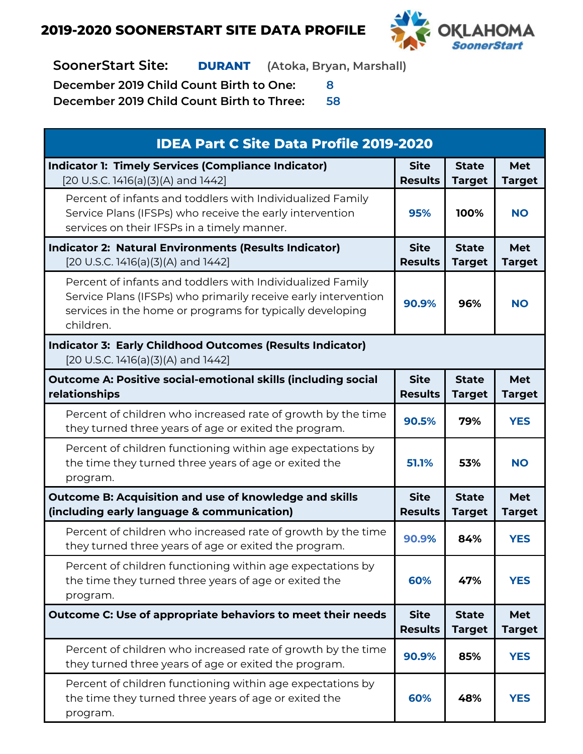

**SoonerStart Site: DURANT (Atoka, Bryan, Marshall)**

**December 2019 Child Count Birth to One: 8**

| <b>IDEA Part C Site Data Profile 2019-2020</b>                                                                                                                                                         |                               |                               |                             |
|--------------------------------------------------------------------------------------------------------------------------------------------------------------------------------------------------------|-------------------------------|-------------------------------|-----------------------------|
| <b>Indicator 1: Timely Services (Compliance Indicator)</b><br>[20 U.S.C. 1416(a)(3)(A) and 1442]                                                                                                       | <b>Site</b><br><b>Results</b> | <b>State</b><br><b>Target</b> | <b>Met</b><br><b>Target</b> |
| Percent of infants and toddlers with Individualized Family<br>Service Plans (IFSPs) who receive the early intervention<br>services on their IFSPs in a timely manner.                                  | 95%                           | 100%                          | <b>NO</b>                   |
| <b>Indicator 2: Natural Environments (Results Indicator)</b><br>[20 U.S.C. 1416(a)(3)(A) and 1442]                                                                                                     | <b>Site</b><br><b>Results</b> | <b>State</b><br><b>Target</b> | <b>Met</b><br><b>Target</b> |
| Percent of infants and toddlers with Individualized Family<br>Service Plans (IFSPs) who primarily receive early intervention<br>services in the home or programs for typically developing<br>children. | 90.9%                         | 96%                           | <b>NO</b>                   |
| <b>Indicator 3: Early Childhood Outcomes (Results Indicator)</b><br>[20 U.S.C. 1416(a)(3)(A) and 1442]                                                                                                 |                               |                               |                             |
| <b>Outcome A: Positive social-emotional skills (including social</b><br>relationships                                                                                                                  | <b>Site</b><br><b>Results</b> | <b>State</b><br><b>Target</b> | <b>Met</b><br><b>Target</b> |
| Percent of children who increased rate of growth by the time<br>they turned three years of age or exited the program.                                                                                  | 90.5%                         | 79%                           | <b>YES</b>                  |
| Percent of children functioning within age expectations by<br>the time they turned three years of age or exited the<br>program.                                                                        | 51.1%                         | 53%                           | <b>NO</b>                   |
| Outcome B: Acquisition and use of knowledge and skills<br>(including early language & communication)                                                                                                   | <b>Site</b><br><b>Results</b> | <b>State</b><br><b>Target</b> | <b>Met</b><br><b>Target</b> |
| Percent of children who increased rate of growth by the time<br>they turned three years of age or exited the program.                                                                                  | 90.9%                         | 84%                           | <b>YES</b>                  |
| Percent of children functioning within age expectations by<br>the time they turned three years of age or exited the<br>program.                                                                        | 60%                           | 47%                           | <b>YES</b>                  |
| Outcome C: Use of appropriate behaviors to meet their needs                                                                                                                                            | <b>Site</b><br><b>Results</b> | <b>State</b><br><b>Target</b> | <b>Met</b><br><b>Target</b> |
| Percent of children who increased rate of growth by the time<br>they turned three years of age or exited the program.                                                                                  | 90.9%                         | 85%                           | <b>YES</b>                  |
| Percent of children functioning within age expectations by<br>the time they turned three years of age or exited the<br>program.                                                                        | 60%                           | 48%                           | <b>YES</b>                  |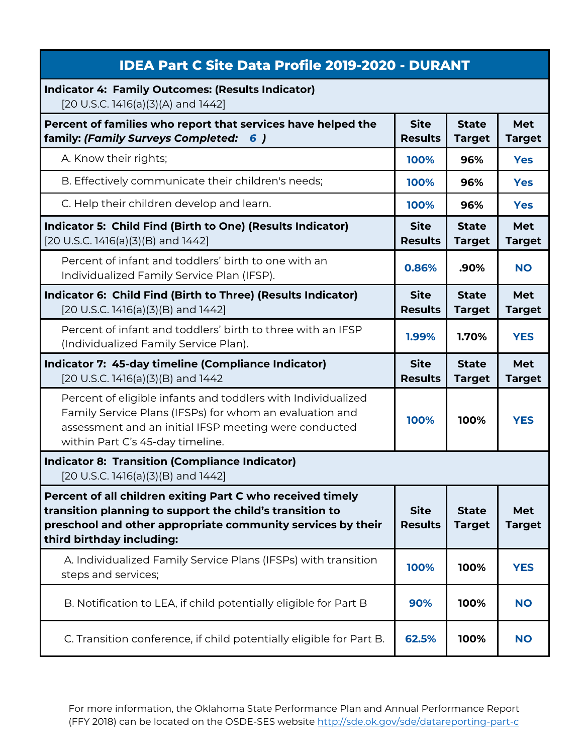| <b>IDEA Part C Site Data Profile 2019-2020 - DURANT</b>                                                                                                                                                              |                               |                               |                      |
|----------------------------------------------------------------------------------------------------------------------------------------------------------------------------------------------------------------------|-------------------------------|-------------------------------|----------------------|
| <b>Indicator 4: Family Outcomes: (Results Indicator)</b><br>[20 U.S.C. 1416(a)(3)(A) and 1442]                                                                                                                       |                               |                               |                      |
| Percent of families who report that services have helped the<br>family: (Family Surveys Completed:<br>6)                                                                                                             | <b>Site</b><br><b>Results</b> | <b>State</b><br><b>Target</b> | Met<br><b>Target</b> |
| A. Know their rights;                                                                                                                                                                                                | 100%                          | 96%                           | <b>Yes</b>           |
| B. Effectively communicate their children's needs;                                                                                                                                                                   | 100%                          | 96%                           | <b>Yes</b>           |
| C. Help their children develop and learn.                                                                                                                                                                            | 100%                          | 96%                           | <b>Yes</b>           |
| Indicator 5: Child Find (Birth to One) (Results Indicator)<br>$[20 U.S.C. 1416(a)(3)(B)$ and $1442]$                                                                                                                 | <b>Site</b><br><b>Results</b> | <b>State</b><br><b>Target</b> | Met<br><b>Target</b> |
| Percent of infant and toddlers' birth to one with an<br>Individualized Family Service Plan (IFSP).                                                                                                                   | 0.86%                         | .90%                          | <b>NO</b>            |
| Indicator 6: Child Find (Birth to Three) (Results Indicator)<br>[20 U.S.C. 1416(a)(3)(B) and 1442]                                                                                                                   | <b>Site</b><br><b>Results</b> | <b>State</b><br><b>Target</b> | Met<br><b>Target</b> |
| Percent of infant and toddlers' birth to three with an IFSP<br>(Individualized Family Service Plan).                                                                                                                 | 1.99%                         | 1.70%                         | <b>YES</b>           |
|                                                                                                                                                                                                                      |                               |                               |                      |
| Indicator 7: 45-day timeline (Compliance Indicator)<br>[20 U.S.C. 1416(a)(3)(B) and 1442                                                                                                                             | <b>Site</b><br><b>Results</b> | <b>State</b><br><b>Target</b> | Met<br><b>Target</b> |
| Percent of eligible infants and toddlers with Individualized<br>Family Service Plans (IFSPs) for whom an evaluation and<br>assessment and an initial IFSP meeting were conducted<br>within Part C's 45-day timeline. | 100%                          | 100%                          | <b>YES</b>           |
| <b>Indicator 8: Transition (Compliance Indicator)</b><br>$[20 U.S.C. 1416(a)(3)(B)$ and $1442]$                                                                                                                      |                               |                               |                      |
| Percent of all children exiting Part C who received timely<br>transition planning to support the child's transition to<br>preschool and other appropriate community services by their<br>third birthday including:   | <b>Site</b><br><b>Results</b> | <b>State</b><br><b>Target</b> | Met<br><b>Target</b> |
| A. Individualized Family Service Plans (IFSPs) with transition<br>steps and services;                                                                                                                                | 100%                          | 100%                          | <b>YES</b>           |
| B. Notification to LEA, if child potentially eligible for Part B                                                                                                                                                     | 90%                           | 100%                          | <b>NO</b>            |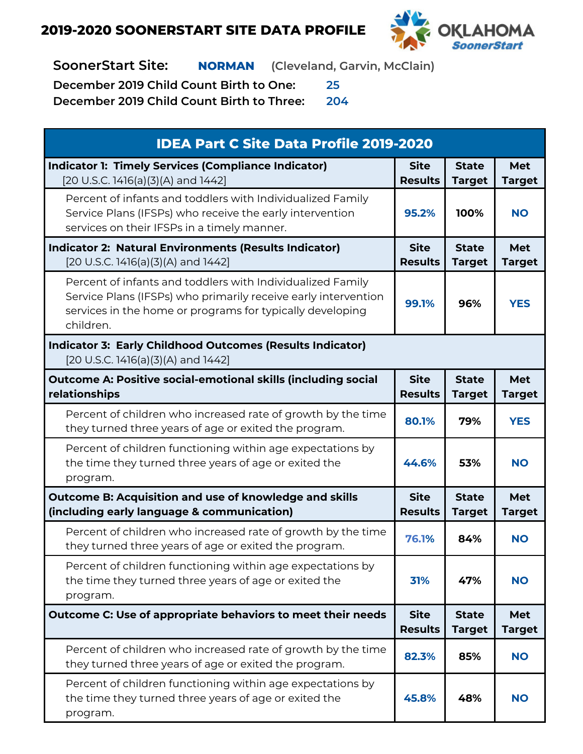

**SoonerStart Site: NORMAN (Cleveland, Garvin, McClain)**

**December 2019 Child Count Birth to One: 25**

| <b>IDEA Part C Site Data Profile 2019-2020</b>                                                                                                                                                         |                               |                               |                             |
|--------------------------------------------------------------------------------------------------------------------------------------------------------------------------------------------------------|-------------------------------|-------------------------------|-----------------------------|
| <b>Indicator 1: Timely Services (Compliance Indicator)</b><br>[20 U.S.C. 1416(a)(3)(A) and 1442]                                                                                                       | <b>Site</b><br><b>Results</b> | <b>State</b><br><b>Target</b> | Met<br><b>Target</b>        |
| Percent of infants and toddlers with Individualized Family<br>Service Plans (IFSPs) who receive the early intervention<br>services on their IFSPs in a timely manner.                                  | 95.2%                         | 100%                          | <b>NO</b>                   |
| <b>Indicator 2: Natural Environments (Results Indicator)</b><br>[20 U.S.C. 1416(a)(3)(A) and 1442]                                                                                                     | <b>Site</b><br><b>Results</b> | <b>State</b><br><b>Target</b> | Met<br><b>Target</b>        |
| Percent of infants and toddlers with Individualized Family<br>Service Plans (IFSPs) who primarily receive early intervention<br>services in the home or programs for typically developing<br>children. | 99.1%                         | 96%                           | <b>YES</b>                  |
| <b>Indicator 3: Early Childhood Outcomes (Results Indicator)</b><br>[20 U.S.C. 1416(a)(3)(A) and 1442]                                                                                                 |                               |                               |                             |
| <b>Outcome A: Positive social-emotional skills (including social</b><br>relationships                                                                                                                  | <b>Site</b><br><b>Results</b> | <b>State</b><br><b>Target</b> | Met<br><b>Target</b>        |
| Percent of children who increased rate of growth by the time<br>they turned three years of age or exited the program.                                                                                  | 80.1%                         | 79%                           | <b>YES</b>                  |
| Percent of children functioning within age expectations by<br>the time they turned three years of age or exited the<br>program.                                                                        | 44.6%                         | 53%                           | <b>NO</b>                   |
| Outcome B: Acquisition and use of knowledge and skills<br>(including early language & communication)                                                                                                   | <b>Site</b><br><b>Results</b> | <b>State</b><br><b>Target</b> | <b>Met</b><br><b>Target</b> |
| Percent of children who increased rate of growth by the time<br>they turned three years of age or exited the program.                                                                                  | 76.1%                         | 84%                           | <b>NO</b>                   |
| Percent of children functioning within age expectations by<br>the time they turned three years of age or exited the<br>program.                                                                        | 31%                           | 47%                           | <b>NO</b>                   |
| Outcome C: Use of appropriate behaviors to meet their needs                                                                                                                                            | <b>Site</b><br><b>Results</b> | <b>State</b><br><b>Target</b> | Met<br><b>Target</b>        |
| Percent of children who increased rate of growth by the time<br>they turned three years of age or exited the program.                                                                                  | 82.3%                         | 85%                           | <b>NO</b>                   |
| Percent of children functioning within age expectations by<br>the time they turned three years of age or exited the<br>program.                                                                        | 45.8%                         | 48%                           | <b>NO</b>                   |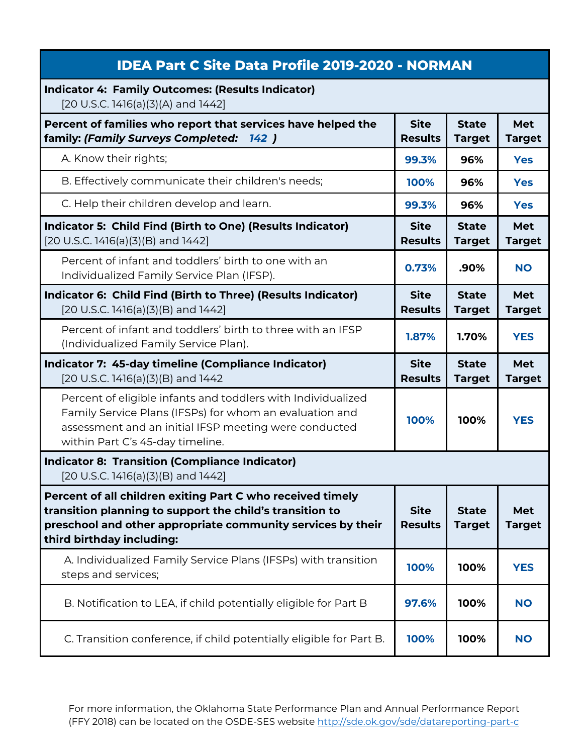| <b>IDEA Part C Site Data Profile 2019-2020 - NORMAN</b>                                                                                                                                                              |                               |                               |                             |
|----------------------------------------------------------------------------------------------------------------------------------------------------------------------------------------------------------------------|-------------------------------|-------------------------------|-----------------------------|
| <b>Indicator 4: Family Outcomes: (Results Indicator)</b><br>[20 U.S.C. 1416(a)(3)(A) and 1442]                                                                                                                       |                               |                               |                             |
| Percent of families who report that services have helped the<br>family: (Family Surveys Completed:<br>142)                                                                                                           | <b>Site</b><br><b>Results</b> | <b>State</b><br><b>Target</b> | Met<br><b>Target</b>        |
| A. Know their rights;                                                                                                                                                                                                | 99.3%                         | 96%                           | <b>Yes</b>                  |
| B. Effectively communicate their children's needs;                                                                                                                                                                   | 100%                          | 96%                           | <b>Yes</b>                  |
| C. Help their children develop and learn.                                                                                                                                                                            | 99.3%                         | 96%                           | <b>Yes</b>                  |
| Indicator 5: Child Find (Birth to One) (Results Indicator)<br>[20 U.S.C. 1416(a)(3)(B) and 1442]                                                                                                                     | <b>Site</b><br><b>Results</b> | <b>State</b><br><b>Target</b> | <b>Met</b><br><b>Target</b> |
| Percent of infant and toddlers' birth to one with an<br>Individualized Family Service Plan (IFSP).                                                                                                                   | 0.73%                         | .90%                          | <b>NO</b>                   |
| Indicator 6: Child Find (Birth to Three) (Results Indicator)<br>$[20 U.S.C. 1416(a)(3)(B)$ and $1442]$                                                                                                               | <b>Site</b><br><b>Results</b> | <b>State</b><br><b>Target</b> | Met<br><b>Target</b>        |
| Percent of infant and toddlers' birth to three with an IFSP<br>(Individualized Family Service Plan).                                                                                                                 | 1.87%                         | 1.70%                         | <b>YES</b>                  |
|                                                                                                                                                                                                                      |                               |                               |                             |
| Indicator 7: 45-day timeline (Compliance Indicator)<br>$[20$ U.S.C. 1416(a)(3)(B) and 1442                                                                                                                           | <b>Site</b><br><b>Results</b> | <b>State</b><br><b>Target</b> | <b>Met</b><br><b>Target</b> |
| Percent of eligible infants and toddlers with Individualized<br>Family Service Plans (IFSPs) for whom an evaluation and<br>assessment and an initial IFSP meeting were conducted<br>within Part C's 45-day timeline. | 100%                          | 100%                          | <b>YES</b>                  |
| <b>Indicator 8: Transition (Compliance Indicator)</b><br>$[20 U.S.C. 1416(a)(3)(B)$ and $1442]$                                                                                                                      |                               |                               |                             |
| Percent of all children exiting Part C who received timely<br>transition planning to support the child's transition to<br>preschool and other appropriate community services by their<br>third birthday including:   | <b>Site</b><br><b>Results</b> | <b>State</b><br><b>Target</b> | Met<br><b>Target</b>        |
| A. Individualized Family Service Plans (IFSPs) with transition<br>steps and services;                                                                                                                                | 100%                          | 100%                          | <b>YES</b>                  |
| B. Notification to LEA, if child potentially eligible for Part B                                                                                                                                                     | 97.6%                         | 100%                          | <b>NO</b>                   |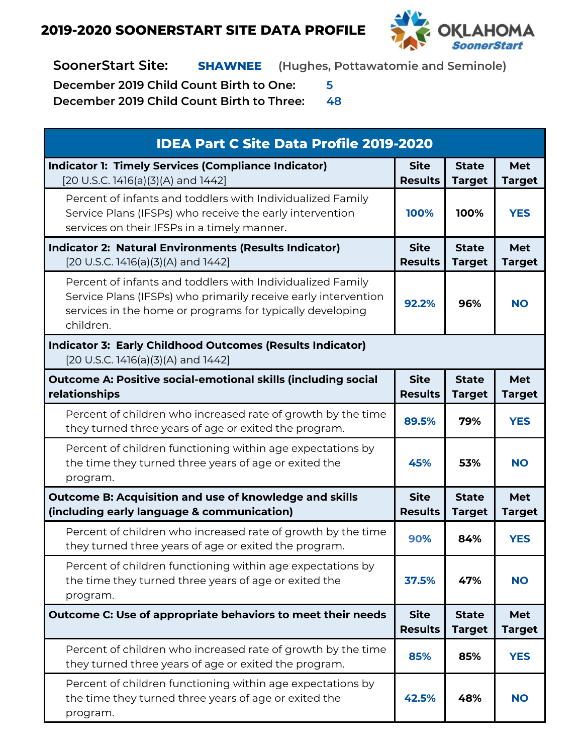

**SoonerStart Site: SHAWNEE (Hughes, Pottawatomie and Seminole)**

**December 2019 Child Count Birth to One: 5**

| <b>IDEA Part C Site Data Profile 2019-2020</b>                                                                                                                                                         |                               |                               |                             |
|--------------------------------------------------------------------------------------------------------------------------------------------------------------------------------------------------------|-------------------------------|-------------------------------|-----------------------------|
| <b>Indicator 1: Timely Services (Compliance Indicator)</b><br>[20 U.S.C. 1416(a)(3)(A) and 1442]                                                                                                       | <b>Site</b><br><b>Results</b> | <b>State</b><br><b>Target</b> | Met<br><b>Target</b>        |
| Percent of infants and toddlers with Individualized Family<br>Service Plans (IFSPs) who receive the early intervention<br>services on their IFSPs in a timely manner.                                  | 100%                          | 100%                          | <b>YES</b>                  |
| <b>Indicator 2: Natural Environments (Results Indicator)</b><br>[20 U.S.C. 1416(a)(3)(A) and 1442]                                                                                                     | <b>Site</b><br><b>Results</b> | <b>State</b><br><b>Target</b> | <b>Met</b><br><b>Target</b> |
| Percent of infants and toddlers with Individualized Family<br>Service Plans (IFSPs) who primarily receive early intervention<br>services in the home or programs for typically developing<br>children. | 92.2%                         | 96%                           | <b>NO</b>                   |
| <b>Indicator 3: Early Childhood Outcomes (Results Indicator)</b><br>[20 U.S.C. 1416(a)(3)(A) and 1442]                                                                                                 |                               |                               |                             |
| <b>Outcome A: Positive social-emotional skills (including social</b><br>relationships                                                                                                                  | <b>Site</b><br><b>Results</b> | <b>State</b><br><b>Target</b> | <b>Met</b><br><b>Target</b> |
| Percent of children who increased rate of growth by the time<br>they turned three years of age or exited the program.                                                                                  | 89.5%                         | 79%                           | <b>YES</b>                  |
| Percent of children functioning within age expectations by<br>the time they turned three years of age or exited the<br>program.                                                                        | 45%                           | 53%                           | <b>NO</b>                   |
| Outcome B: Acquisition and use of knowledge and skills<br>(including early language & communication)                                                                                                   | <b>Site</b><br><b>Results</b> | <b>State</b><br><b>Target</b> | Met<br><b>Target</b>        |
| Percent of children who increased rate of growth by the time<br>they turned three years of age or exited the program.                                                                                  | 90%                           | 84%                           | <b>YES</b>                  |
| Percent of children functioning within age expectations by<br>the time they turned three years of age or exited the<br>program.                                                                        | 37.5%                         | 47%                           | <b>NO</b>                   |
| Outcome C: Use of appropriate behaviors to meet their needs                                                                                                                                            | <b>Site</b><br><b>Results</b> | <b>State</b><br><b>Target</b> | <b>Met</b><br><b>Target</b> |
| Percent of children who increased rate of growth by the time<br>they turned three years of age or exited the program.                                                                                  | 85%                           | 85%                           | <b>YES</b>                  |
| Percent of children functioning within age expectations by<br>the time they turned three years of age or exited the<br>program.                                                                        | 42.5%                         | 48%                           | <b>NO</b>                   |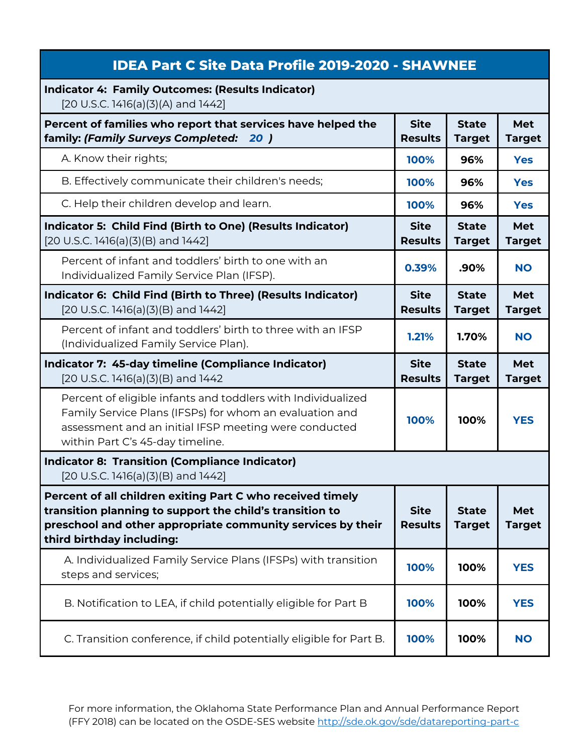| <b>IDEA Part C Site Data Profile 2019-2020 - SHAWNEE</b>                                                                                                                                                             |                               |                               |                             |
|----------------------------------------------------------------------------------------------------------------------------------------------------------------------------------------------------------------------|-------------------------------|-------------------------------|-----------------------------|
| <b>Indicator 4: Family Outcomes: (Results Indicator)</b><br>[20 U.S.C. 1416(a)(3)(A) and 1442]                                                                                                                       |                               |                               |                             |
| Percent of families who report that services have helped the<br>family: (Family Surveys Completed: 20 )                                                                                                              | <b>Site</b><br><b>Results</b> | <b>State</b><br><b>Target</b> | <b>Met</b><br><b>Target</b> |
| A. Know their rights;                                                                                                                                                                                                | 100%                          | 96%                           | <b>Yes</b>                  |
| B. Effectively communicate their children's needs;                                                                                                                                                                   | 100%                          | 96%                           | <b>Yes</b>                  |
| C. Help their children develop and learn.                                                                                                                                                                            | 100%                          | 96%                           | <b>Yes</b>                  |
| Indicator 5: Child Find (Birth to One) (Results Indicator)<br>$[20 U.S.C. 1416(a)(3)(B)$ and $1442]$                                                                                                                 | <b>Site</b><br><b>Results</b> | <b>State</b><br><b>Target</b> | <b>Met</b><br><b>Target</b> |
| Percent of infant and toddlers' birth to one with an<br>Individualized Family Service Plan (IFSP).                                                                                                                   | 0.39%                         | .90%                          | <b>NO</b>                   |
| Indicator 6: Child Find (Birth to Three) (Results Indicator)<br>[20 U.S.C. 1416(a)(3)(B) and 1442]                                                                                                                   | <b>Site</b><br><b>Results</b> | <b>State</b><br><b>Target</b> | <b>Met</b><br><b>Target</b> |
| Percent of infant and toddlers' birth to three with an IFSP<br>(Individualized Family Service Plan).                                                                                                                 | 1.21%                         | 1.70%                         | <b>NO</b>                   |
|                                                                                                                                                                                                                      |                               |                               |                             |
| Indicator 7: 45-day timeline (Compliance Indicator)<br>$[20$ U.S.C. 1416(a)(3)(B) and 1442                                                                                                                           | <b>Site</b><br><b>Results</b> | <b>State</b><br><b>Target</b> | <b>Met</b><br><b>Target</b> |
| Percent of eligible infants and toddlers with Individualized<br>Family Service Plans (IFSPs) for whom an evaluation and<br>assessment and an initial IFSP meeting were conducted<br>within Part C's 45-day timeline. | 100%                          | 100%                          | <b>YES</b>                  |
| <b>Indicator 8: Transition (Compliance Indicator)</b><br>$[20 U.S.C. 1416(a)(3)(B)$ and $1442]$                                                                                                                      |                               |                               |                             |
| Percent of all children exiting Part C who received timely<br>transition planning to support the child's transition to<br>preschool and other appropriate community services by their<br>third birthday including:   | <b>Site</b><br><b>Results</b> | <b>State</b><br><b>Target</b> | Met<br><b>Target</b>        |
| A. Individualized Family Service Plans (IFSPs) with transition<br>steps and services;                                                                                                                                | 100%                          | 100%                          | <b>YES</b>                  |
| B. Notification to LEA, if child potentially eligible for Part B                                                                                                                                                     | 100%                          | 100%                          | <b>YES</b>                  |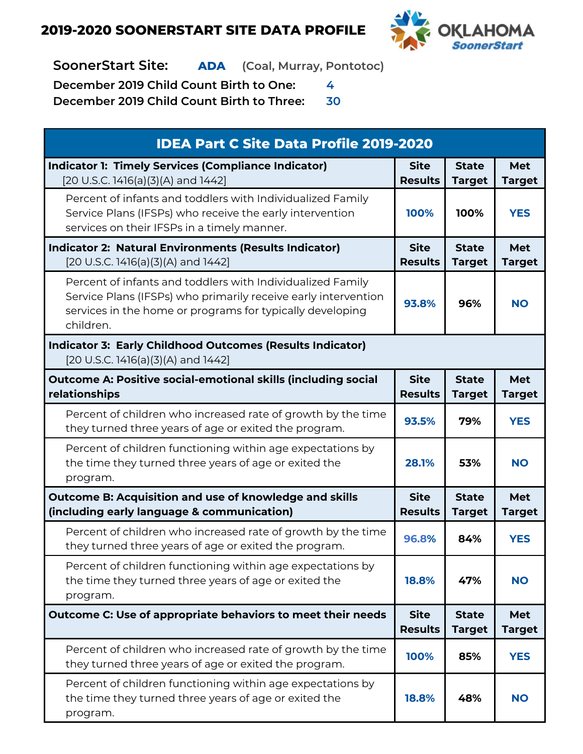

## **SoonerStart Site: ADA (Coal, Murray, Pontotoc)**

**December 2019 Child Count Birth to One: 4**

| <b>IDEA Part C Site Data Profile 2019-2020</b>                                                                                                                                                         |                               |                               |                             |
|--------------------------------------------------------------------------------------------------------------------------------------------------------------------------------------------------------|-------------------------------|-------------------------------|-----------------------------|
| <b>Indicator 1: Timely Services (Compliance Indicator)</b><br>[20 U.S.C. 1416(a)(3)(A) and 1442]                                                                                                       | <b>Site</b><br><b>Results</b> | <b>State</b><br><b>Target</b> | <b>Met</b><br><b>Target</b> |
| Percent of infants and toddlers with Individualized Family<br>Service Plans (IFSPs) who receive the early intervention<br>services on their IFSPs in a timely manner.                                  | 100%                          | 100%                          | <b>YES</b>                  |
| <b>Indicator 2: Natural Environments (Results Indicator)</b><br>[20 U.S.C. 1416(a)(3)(A) and 1442]                                                                                                     | <b>Site</b><br><b>Results</b> | <b>State</b><br><b>Target</b> | <b>Met</b><br><b>Target</b> |
| Percent of infants and toddlers with Individualized Family<br>Service Plans (IFSPs) who primarily receive early intervention<br>services in the home or programs for typically developing<br>children. | 93.8%                         | 96%                           | <b>NO</b>                   |
| <b>Indicator 3: Early Childhood Outcomes (Results Indicator)</b><br>[20 U.S.C. 1416(a)(3)(A) and 1442]                                                                                                 |                               |                               |                             |
| <b>Outcome A: Positive social-emotional skills (including social</b><br>relationships                                                                                                                  | <b>Site</b><br><b>Results</b> | <b>State</b><br><b>Target</b> | <b>Met</b><br><b>Target</b> |
| Percent of children who increased rate of growth by the time<br>they turned three years of age or exited the program.                                                                                  | 93.5%                         | 79%                           | <b>YES</b>                  |
| Percent of children functioning within age expectations by<br>the time they turned three years of age or exited the<br>program.                                                                        | 28.1%                         | 53%                           | <b>NO</b>                   |
| Outcome B: Acquisition and use of knowledge and skills<br>(including early language & communication)                                                                                                   | <b>Site</b><br><b>Results</b> | <b>State</b><br><b>Target</b> | <b>Met</b><br><b>Target</b> |
| Percent of children who increased rate of growth by the time<br>they turned three years of age or exited the program.                                                                                  | 96.8%                         | 84%                           | <b>YES</b>                  |
| Percent of children functioning within age expectations by<br>the time they turned three years of age or exited the<br>program.                                                                        | 18.8%                         | 47%                           | <b>NO</b>                   |
| Outcome C: Use of appropriate behaviors to meet their needs                                                                                                                                            | <b>Site</b><br><b>Results</b> | <b>State</b><br><b>Target</b> | <b>Met</b><br><b>Target</b> |
| Percent of children who increased rate of growth by the time<br>they turned three years of age or exited the program.                                                                                  | 100%                          | 85%                           | <b>YES</b>                  |
| Percent of children functioning within age expectations by<br>the time they turned three years of age or exited the<br>program.                                                                        | 18.8%                         | 48%                           | <b>NO</b>                   |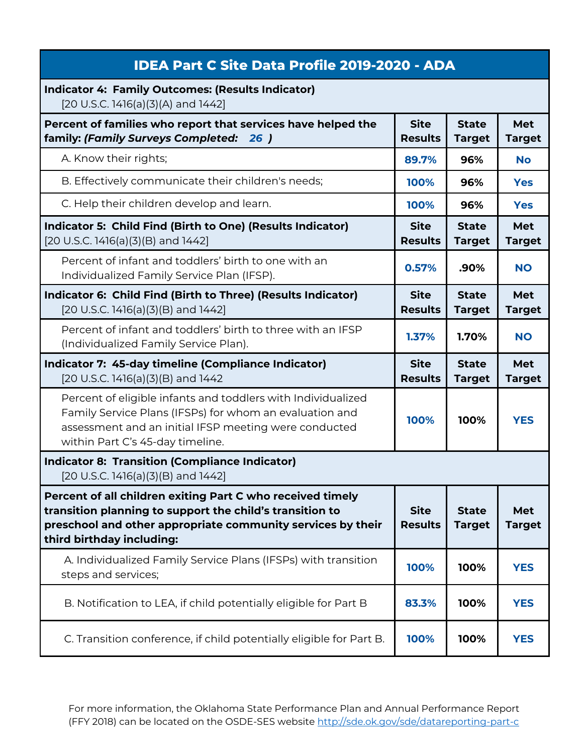| <b>IDEA Part C Site Data Profile 2019-2020 - ADA</b>                                                                                                                                                                 |                               |                               |                             |
|----------------------------------------------------------------------------------------------------------------------------------------------------------------------------------------------------------------------|-------------------------------|-------------------------------|-----------------------------|
| <b>Indicator 4: Family Outcomes: (Results Indicator)</b><br>[20 U.S.C. 1416(a)(3)(A) and 1442]                                                                                                                       |                               |                               |                             |
| Percent of families who report that services have helped the<br>family: (Family Surveys Completed: 26 )                                                                                                              | <b>Site</b><br><b>Results</b> | <b>State</b><br><b>Target</b> | Met<br><b>Target</b>        |
| A. Know their rights;                                                                                                                                                                                                | 89.7%                         | 96%                           | <b>No</b>                   |
| B. Effectively communicate their children's needs;                                                                                                                                                                   | 100%                          | 96%                           | <b>Yes</b>                  |
| C. Help their children develop and learn.                                                                                                                                                                            | 100%                          | 96%                           | <b>Yes</b>                  |
| Indicator 5: Child Find (Birth to One) (Results Indicator)<br>[20 U.S.C. 1416(a)(3)(B) and 1442]                                                                                                                     | <b>Site</b><br><b>Results</b> | <b>State</b><br><b>Target</b> | Met<br><b>Target</b>        |
| Percent of infant and toddlers' birth to one with an<br>Individualized Family Service Plan (IFSP).                                                                                                                   | 0.57%                         | .90%                          | <b>NO</b>                   |
| Indicator 6: Child Find (Birth to Three) (Results Indicator)<br>[20 U.S.C. 1416(a)(3)(B) and 1442]                                                                                                                   | <b>Site</b><br><b>Results</b> | <b>State</b><br><b>Target</b> | Met<br><b>Target</b>        |
| Percent of infant and toddlers' birth to three with an IFSP<br>(Individualized Family Service Plan).                                                                                                                 | 1.37%                         | 1.70%                         | <b>NO</b>                   |
|                                                                                                                                                                                                                      |                               |                               |                             |
| Indicator 7: 45-day timeline (Compliance Indicator)<br>$[20$ U.S.C. 1416(a)(3)(B) and 1442                                                                                                                           | <b>Site</b><br><b>Results</b> | <b>State</b><br><b>Target</b> | <b>Met</b><br><b>Target</b> |
| Percent of eligible infants and toddlers with Individualized<br>Family Service Plans (IFSPs) for whom an evaluation and<br>assessment and an initial IFSP meeting were conducted<br>within Part C's 45-day timeline. | 100%                          | 100%                          | <b>YES</b>                  |
| <b>Indicator 8: Transition (Compliance Indicator)</b><br>$[20 U.S.C. 1416(a)(3)(B)$ and $1442]$                                                                                                                      |                               |                               |                             |
| Percent of all children exiting Part C who received timely<br>transition planning to support the child's transition to<br>preschool and other appropriate community services by their<br>third birthday including:   | <b>Site</b><br><b>Results</b> | <b>State</b><br><b>Target</b> | Met<br><b>Target</b>        |
| A. Individualized Family Service Plans (IFSPs) with transition<br>steps and services;                                                                                                                                | 100%                          | 100%                          | <b>YES</b>                  |
| B. Notification to LEA, if child potentially eligible for Part B                                                                                                                                                     | 83.3%                         | 100%                          | <b>YES</b>                  |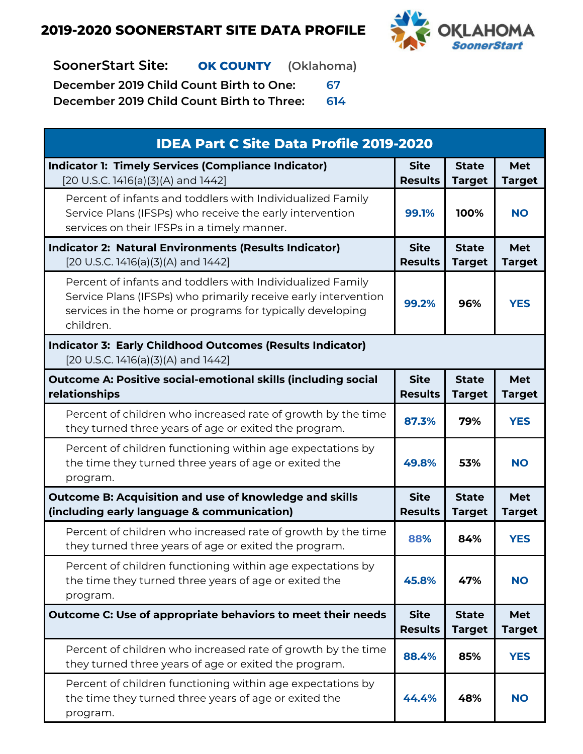

**SoonerStart Site: OK COUNTY (Oklahoma)**

**December 2019 Child Count Birth to One: 67**

| <b>IDEA Part C Site Data Profile 2019-2020</b>                                                                                                                                                         |                               |                               |                             |
|--------------------------------------------------------------------------------------------------------------------------------------------------------------------------------------------------------|-------------------------------|-------------------------------|-----------------------------|
| <b>Indicator 1: Timely Services (Compliance Indicator)</b><br>[20 U.S.C. 1416(a)(3)(A) and 1442]                                                                                                       | <b>Site</b><br><b>Results</b> | <b>State</b><br><b>Target</b> | <b>Met</b><br><b>Target</b> |
| Percent of infants and toddlers with Individualized Family<br>Service Plans (IFSPs) who receive the early intervention<br>services on their IFSPs in a timely manner.                                  | 99.1%                         | 100%                          | <b>NO</b>                   |
| <b>Indicator 2: Natural Environments (Results Indicator)</b><br>[20 U.S.C. 1416(a)(3)(A) and 1442]                                                                                                     | <b>Site</b><br><b>Results</b> | <b>State</b><br><b>Target</b> | <b>Met</b><br><b>Target</b> |
| Percent of infants and toddlers with Individualized Family<br>Service Plans (IFSPs) who primarily receive early intervention<br>services in the home or programs for typically developing<br>children. | 99.2%                         | 96%                           | <b>YES</b>                  |
| <b>Indicator 3: Early Childhood Outcomes (Results Indicator)</b><br>[20 U.S.C. 1416(a)(3)(A) and 1442]                                                                                                 |                               |                               |                             |
| <b>Outcome A: Positive social-emotional skills (including social</b><br>relationships                                                                                                                  | <b>Site</b><br><b>Results</b> | <b>State</b><br><b>Target</b> | <b>Met</b><br><b>Target</b> |
| Percent of children who increased rate of growth by the time<br>they turned three years of age or exited the program.                                                                                  | 87.3%                         | 79%                           | <b>YES</b>                  |
| Percent of children functioning within age expectations by<br>the time they turned three years of age or exited the<br>program.                                                                        | 49.8%                         | 53%                           | <b>NO</b>                   |
| <b>Outcome B: Acquisition and use of knowledge and skills</b><br>(including early language & communication)                                                                                            | <b>Site</b><br><b>Results</b> | <b>State</b><br><b>Target</b> | <b>Met</b><br><b>Target</b> |
| Percent of children who increased rate of growth by the time<br>they turned three years of age or exited the program.                                                                                  | 88%                           | 84%                           | <b>YES</b>                  |
| Percent of children functioning within age expectations by<br>the time they turned three years of age or exited the<br>program.                                                                        | 45.8%                         | 47%                           | <b>NO</b>                   |
| Outcome C: Use of appropriate behaviors to meet their needs                                                                                                                                            | <b>Site</b><br><b>Results</b> | <b>State</b><br><b>Target</b> | <b>Met</b><br><b>Target</b> |
| Percent of children who increased rate of growth by the time<br>they turned three years of age or exited the program.                                                                                  | 88.4%                         | 85%                           | <b>YES</b>                  |
| Percent of children functioning within age expectations by<br>the time they turned three years of age or exited the<br>program.                                                                        | 44.4%                         | 48%                           | <b>NO</b>                   |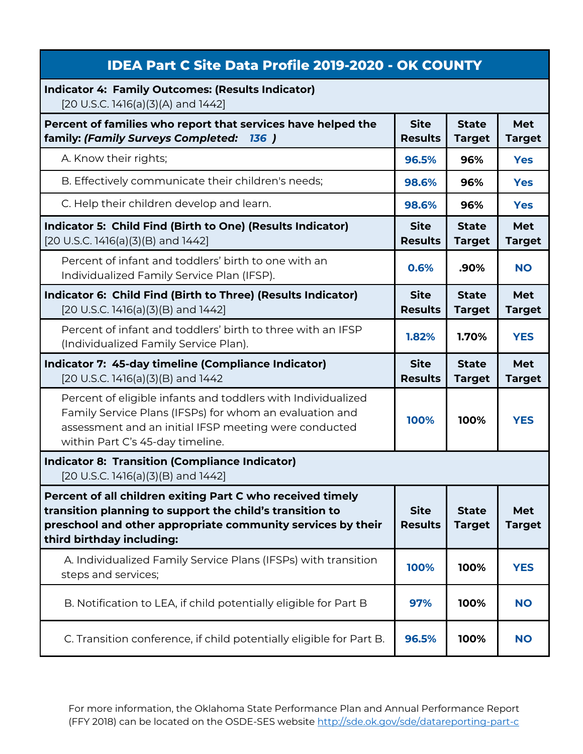| <b>IDEA Part C Site Data Profile 2019-2020 - OK COUNTY</b>                                                                                                                                                           |                               |                               |                             |
|----------------------------------------------------------------------------------------------------------------------------------------------------------------------------------------------------------------------|-------------------------------|-------------------------------|-----------------------------|
| <b>Indicator 4: Family Outcomes: (Results Indicator)</b><br>[20 U.S.C. 1416(a)(3)(A) and 1442]                                                                                                                       |                               |                               |                             |
| Percent of families who report that services have helped the<br>family: (Family Surveys Completed:<br><b>136</b> )                                                                                                   | <b>Site</b><br><b>Results</b> | <b>State</b><br><b>Target</b> | <b>Met</b><br><b>Target</b> |
| A. Know their rights;                                                                                                                                                                                                | 96.5%                         | 96%                           | <b>Yes</b>                  |
| B. Effectively communicate their children's needs;                                                                                                                                                                   | 98.6%                         | 96%                           | <b>Yes</b>                  |
| C. Help their children develop and learn.                                                                                                                                                                            | 98.6%                         | 96%                           | <b>Yes</b>                  |
| Indicator 5: Child Find (Birth to One) (Results Indicator)<br>[20 U.S.C. 1416(a)(3)(B) and 1442]                                                                                                                     | <b>Site</b><br><b>Results</b> | <b>State</b><br><b>Target</b> | <b>Met</b><br><b>Target</b> |
| Percent of infant and toddlers' birth to one with an<br>Individualized Family Service Plan (IFSP).                                                                                                                   | 0.6%                          | .90%                          | <b>NO</b>                   |
| Indicator 6: Child Find (Birth to Three) (Results Indicator)<br>[20 U.S.C. 1416(a)(3)(B) and 1442]                                                                                                                   | <b>Site</b><br><b>Results</b> | <b>State</b><br><b>Target</b> | <b>Met</b><br><b>Target</b> |
| Percent of infant and toddlers' birth to three with an IFSP<br>(Individualized Family Service Plan).                                                                                                                 | 1.82%                         | 1.70%                         | <b>YES</b>                  |
|                                                                                                                                                                                                                      |                               |                               |                             |
| Indicator 7: 45-day timeline (Compliance Indicator)<br>$[20$ U.S.C. 1416(a) $(3)$ (B) and 1442                                                                                                                       | <b>Site</b><br><b>Results</b> | <b>State</b><br><b>Target</b> | <b>Met</b><br><b>Target</b> |
| Percent of eligible infants and toddlers with Individualized<br>Family Service Plans (IFSPs) for whom an evaluation and<br>assessment and an initial IFSP meeting were conducted<br>within Part C's 45-day timeline. | 100%                          | 100%                          | <b>YES</b>                  |
| <b>Indicator 8: Transition (Compliance Indicator)</b><br>$[20 U.S.C. 1416(a)(3)(B)$ and 1442]                                                                                                                        |                               |                               |                             |
| Percent of all children exiting Part C who received timely<br>transition planning to support the child's transition to<br>preschool and other appropriate community services by their<br>third birthday including:   | <b>Site</b><br><b>Results</b> | <b>State</b><br><b>Target</b> | Met<br><b>Target</b>        |
| A. Individualized Family Service Plans (IFSPs) with transition<br>steps and services;                                                                                                                                | 100%                          | 100%                          | <b>YES</b>                  |
| B. Notification to LEA, if child potentially eligible for Part B                                                                                                                                                     | 97%                           | 100%                          | <b>NO</b>                   |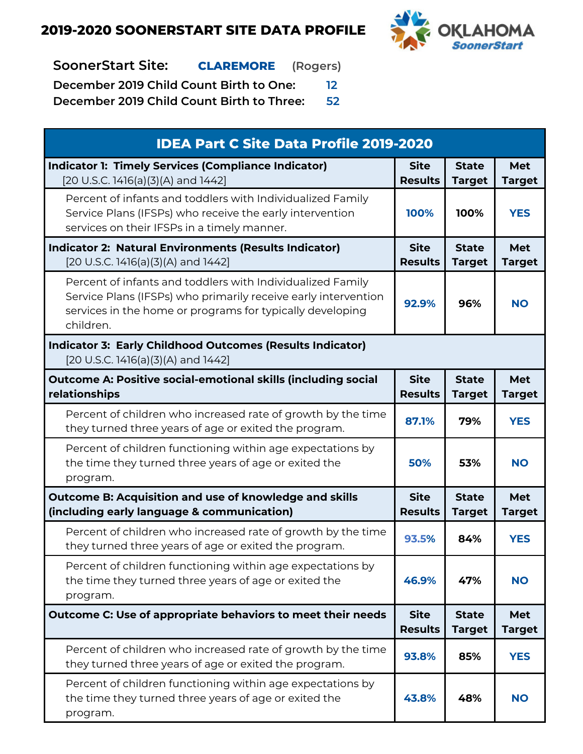

**SoonerStart Site: CLAREMORE (Rogers)**

**December 2019 Child Count Birth to One: 12**

| <b>IDEA Part C Site Data Profile 2019-2020</b>                                                                                                                                                         |                               |                               |                             |
|--------------------------------------------------------------------------------------------------------------------------------------------------------------------------------------------------------|-------------------------------|-------------------------------|-----------------------------|
| <b>Indicator 1: Timely Services (Compliance Indicator)</b><br>[20 U.S.C. 1416(a)(3)(A) and 1442]                                                                                                       | <b>Site</b><br><b>Results</b> | <b>State</b><br><b>Target</b> | <b>Met</b><br><b>Target</b> |
| Percent of infants and toddlers with Individualized Family<br>Service Plans (IFSPs) who receive the early intervention<br>services on their IFSPs in a timely manner.                                  | 100%                          | 100%                          | <b>YES</b>                  |
| <b>Indicator 2: Natural Environments (Results Indicator)</b><br>[20 U.S.C. 1416(a)(3)(A) and 1442]                                                                                                     | <b>Site</b><br><b>Results</b> | <b>State</b><br><b>Target</b> | <b>Met</b><br><b>Target</b> |
| Percent of infants and toddlers with Individualized Family<br>Service Plans (IFSPs) who primarily receive early intervention<br>services in the home or programs for typically developing<br>children. | 92.9%                         | 96%                           | <b>NO</b>                   |
| <b>Indicator 3: Early Childhood Outcomes (Results Indicator)</b><br>[20 U.S.C. 1416(a)(3)(A) and 1442]                                                                                                 |                               |                               |                             |
| <b>Outcome A: Positive social-emotional skills (including social</b><br><b>relationships</b>                                                                                                           | <b>Site</b><br><b>Results</b> | <b>State</b><br><b>Target</b> | <b>Met</b><br><b>Target</b> |
| Percent of children who increased rate of growth by the time<br>they turned three years of age or exited the program.                                                                                  | 87.1%                         | 79%                           | <b>YES</b>                  |
| Percent of children functioning within age expectations by<br>the time they turned three years of age or exited the<br>program.                                                                        | 50%                           | 53%                           | <b>NO</b>                   |
| Outcome B: Acquisition and use of knowledge and skills<br>(including early language & communication)                                                                                                   | <b>Site</b><br><b>Results</b> | <b>State</b><br><b>Target</b> | <b>Met</b><br><b>Target</b> |
| Percent of children who increased rate of growth by the time<br>they turned three years of age or exited the program.                                                                                  | 93.5%                         | 84%                           | <b>YES</b>                  |
| Percent of children functioning within age expectations by<br>the time they turned three years of age or exited the<br>program.                                                                        | 46.9%                         | 47%                           | <b>NO</b>                   |
| Outcome C: Use of appropriate behaviors to meet their needs                                                                                                                                            | <b>Site</b><br><b>Results</b> | <b>State</b><br><b>Target</b> | <b>Met</b><br><b>Target</b> |
| Percent of children who increased rate of growth by the time<br>they turned three years of age or exited the program.                                                                                  | 93.8%                         | 85%                           | <b>YES</b>                  |
| Percent of children functioning within age expectations by<br>the time they turned three years of age or exited the<br>program.                                                                        | 43.8%                         | 48%                           | <b>NO</b>                   |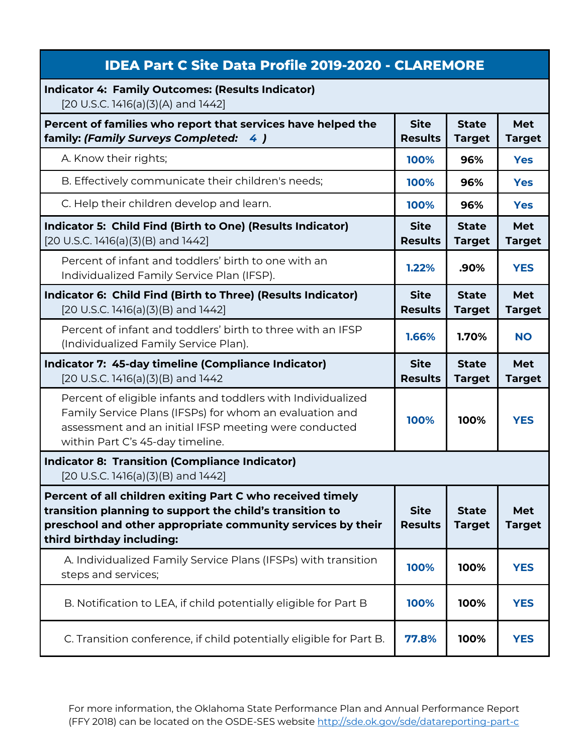| <b>IDEA Part C Site Data Profile 2019-2020 - CLAREMORE</b>                                                                                                                                                           |                               |                               |                             |
|----------------------------------------------------------------------------------------------------------------------------------------------------------------------------------------------------------------------|-------------------------------|-------------------------------|-----------------------------|
| <b>Indicator 4: Family Outcomes: (Results Indicator)</b><br>[20 U.S.C. 1416(a)(3)(A) and 1442]                                                                                                                       |                               |                               |                             |
| Percent of families who report that services have helped the<br>family: (Family Surveys Completed: 4)                                                                                                                | <b>Site</b><br><b>Results</b> | <b>State</b><br><b>Target</b> | <b>Met</b><br><b>Target</b> |
| A. Know their rights;                                                                                                                                                                                                | 100%                          | 96%                           | <b>Yes</b>                  |
| B. Effectively communicate their children's needs;                                                                                                                                                                   | 100%                          | 96%                           | <b>Yes</b>                  |
| C. Help their children develop and learn.                                                                                                                                                                            | 100%                          | 96%                           | <b>Yes</b>                  |
| Indicator 5: Child Find (Birth to One) (Results Indicator)<br>$[20 U.S.C. 1416(a)(3)(B)$ and $1442]$                                                                                                                 | <b>Site</b><br><b>Results</b> | <b>State</b><br><b>Target</b> | <b>Met</b><br><b>Target</b> |
| Percent of infant and toddlers' birth to one with an<br>Individualized Family Service Plan (IFSP).                                                                                                                   | 1.22%                         | .90%                          | <b>YES</b>                  |
| Indicator 6: Child Find (Birth to Three) (Results Indicator)<br>[20 U.S.C. 1416(a)(3)(B) and 1442]                                                                                                                   | <b>Site</b><br><b>Results</b> | <b>State</b><br><b>Target</b> | <b>Met</b><br><b>Target</b> |
| Percent of infant and toddlers' birth to three with an IFSP<br>(Individualized Family Service Plan).                                                                                                                 | 1.66%                         | 1.70%                         | <b>NO</b>                   |
|                                                                                                                                                                                                                      |                               |                               |                             |
| Indicator 7: 45-day timeline (Compliance Indicator)<br>[20 U.S.C. 1416(a)(3)(B) and 1442                                                                                                                             | <b>Site</b><br><b>Results</b> | <b>State</b><br><b>Target</b> | <b>Met</b><br><b>Target</b> |
| Percent of eligible infants and toddlers with Individualized<br>Family Service Plans (IFSPs) for whom an evaluation and<br>assessment and an initial IFSP meeting were conducted<br>within Part C's 45-day timeline. | 100%                          | 100%                          | <b>YES</b>                  |
| <b>Indicator 8: Transition (Compliance Indicator)</b><br>$[20 U.S.C. 1416(a)(3)(B)$ and $1442]$                                                                                                                      |                               |                               |                             |
| Percent of all children exiting Part C who received timely<br>transition planning to support the child's transition to<br>preschool and other appropriate community services by their<br>third birthday including:   | <b>Site</b><br><b>Results</b> | <b>State</b><br><b>Target</b> | <b>Met</b><br><b>Target</b> |
| A. Individualized Family Service Plans (IFSPs) with transition<br>steps and services;                                                                                                                                | 100%                          | 100%                          | <b>YES</b>                  |
| B. Notification to LEA, if child potentially eligible for Part B                                                                                                                                                     | 100%                          | 100%                          | <b>YES</b>                  |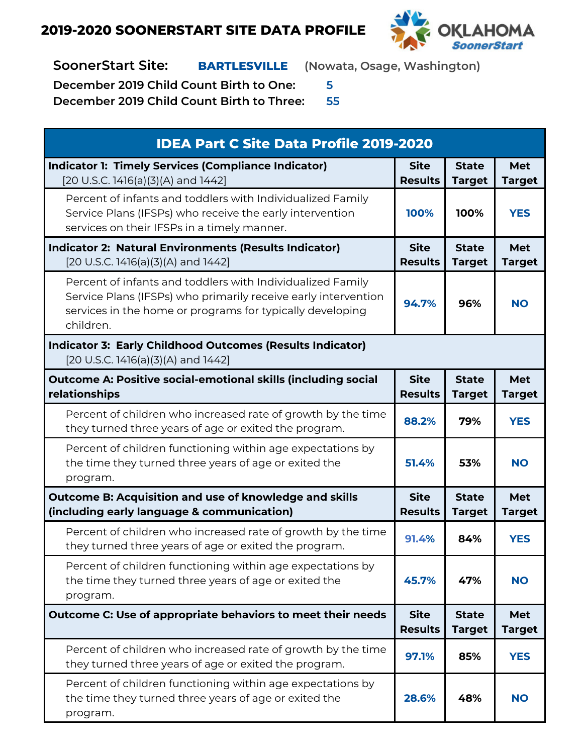

**SoonerStart Site: BARTLESVILLE (Nowata, Osage, Washington)**

**December 2019 Child Count Birth to One: 5**

| <b>IDEA Part C Site Data Profile 2019-2020</b>                                                                                                                                                         |                               |                               |                             |
|--------------------------------------------------------------------------------------------------------------------------------------------------------------------------------------------------------|-------------------------------|-------------------------------|-----------------------------|
| <b>Indicator 1: Timely Services (Compliance Indicator)</b><br>[20 U.S.C. 1416(a)(3)(A) and 1442]                                                                                                       | <b>Site</b><br><b>Results</b> | <b>State</b><br><b>Target</b> | <b>Met</b><br><b>Target</b> |
| Percent of infants and toddlers with Individualized Family<br>Service Plans (IFSPs) who receive the early intervention<br>services on their IFSPs in a timely manner.                                  | 100%                          | 100%                          | <b>YES</b>                  |
| <b>Indicator 2: Natural Environments (Results Indicator)</b><br>[20 U.S.C. 1416(a)(3)(A) and 1442]                                                                                                     | <b>Site</b><br><b>Results</b> | <b>State</b><br><b>Target</b> | <b>Met</b><br><b>Target</b> |
| Percent of infants and toddlers with Individualized Family<br>Service Plans (IFSPs) who primarily receive early intervention<br>services in the home or programs for typically developing<br>children. | 94.7%                         | 96%                           | <b>NO</b>                   |
| <b>Indicator 3: Early Childhood Outcomes (Results Indicator)</b><br>[20 U.S.C. 1416(a)(3)(A) and 1442]                                                                                                 |                               |                               |                             |
| <b>Outcome A: Positive social-emotional skills (including social</b><br>relationships                                                                                                                  | <b>Site</b><br><b>Results</b> | <b>State</b><br><b>Target</b> | <b>Met</b><br><b>Target</b> |
| Percent of children who increased rate of growth by the time<br>they turned three years of age or exited the program.                                                                                  | 88.2%                         | 79%                           | <b>YES</b>                  |
| Percent of children functioning within age expectations by<br>the time they turned three years of age or exited the<br>program.                                                                        | 51.4%                         | 53%                           | <b>NO</b>                   |
| Outcome B: Acquisition and use of knowledge and skills<br>(including early language & communication)                                                                                                   | <b>Site</b><br><b>Results</b> | <b>State</b><br><b>Target</b> | <b>Met</b><br><b>Target</b> |
| Percent of children who increased rate of growth by the time<br>they turned three years of age or exited the program.                                                                                  | 91.4%                         | 84%                           | <b>YES</b>                  |
| Percent of children functioning within age expectations by<br>the time they turned three years of age or exited the<br>program.                                                                        | 45.7%                         | 47%                           | <b>NO</b>                   |
| Outcome C: Use of appropriate behaviors to meet their needs                                                                                                                                            | <b>Site</b><br><b>Results</b> | <b>State</b><br><b>Target</b> | <b>Met</b><br><b>Target</b> |
| Percent of children who increased rate of growth by the time<br>they turned three years of age or exited the program.                                                                                  | 97.1%                         | 85%                           | <b>YES</b>                  |
| Percent of children functioning within age expectations by<br>the time they turned three years of age or exited the<br>program.                                                                        | 28.6%                         | 48%                           | <b>NO</b>                   |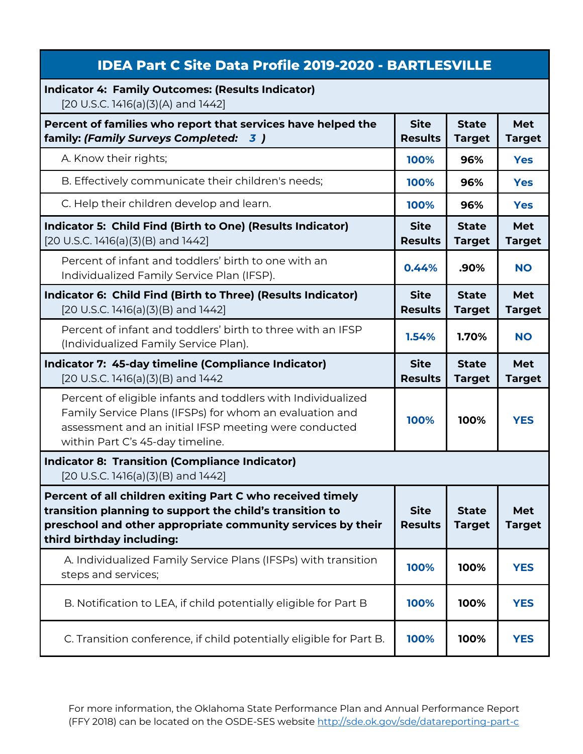| <b>IDEA Part C Site Data Profile 2019-2020 - BARTLESVILLE</b>                                                                                                                                                        |                               |                               |                             |
|----------------------------------------------------------------------------------------------------------------------------------------------------------------------------------------------------------------------|-------------------------------|-------------------------------|-----------------------------|
| <b>Indicator 4: Family Outcomes: (Results Indicator)</b><br>[20 U.S.C. 1416(a)(3)(A) and 1442]                                                                                                                       |                               |                               |                             |
| Percent of families who report that services have helped the<br>family: (Family Surveys Completed: 3)                                                                                                                | <b>Site</b><br><b>Results</b> | <b>State</b><br><b>Target</b> | <b>Met</b><br><b>Target</b> |
| A. Know their rights;                                                                                                                                                                                                | 100%                          | 96%                           | <b>Yes</b>                  |
| B. Effectively communicate their children's needs;                                                                                                                                                                   | 100%                          | 96%                           | <b>Yes</b>                  |
| C. Help their children develop and learn.                                                                                                                                                                            | 100%                          | 96%                           | <b>Yes</b>                  |
| Indicator 5: Child Find (Birth to One) (Results Indicator)<br>$[20 U.S.C. 1416(a)(3)(B)$ and $1442]$                                                                                                                 | <b>Site</b><br><b>Results</b> | <b>State</b><br><b>Target</b> | <b>Met</b><br><b>Target</b> |
| Percent of infant and toddlers' birth to one with an<br>Individualized Family Service Plan (IFSP).                                                                                                                   | 0.44%                         | .90%                          | <b>NO</b>                   |
| Indicator 6: Child Find (Birth to Three) (Results Indicator)<br>[20 U.S.C. 1416(a)(3)(B) and 1442]                                                                                                                   | <b>Site</b><br><b>Results</b> | <b>State</b><br><b>Target</b> | <b>Met</b><br><b>Target</b> |
| Percent of infant and toddlers' birth to three with an IFSP<br>(Individualized Family Service Plan).                                                                                                                 | 1.54%                         | 1.70%                         | <b>NO</b>                   |
| Indicator 7: 45-day timeline (Compliance Indicator)<br>$[20$ U.S.C. 1416(a)(3)(B) and 1442                                                                                                                           | <b>Site</b><br><b>Results</b> | <b>State</b><br><b>Target</b> | <b>Met</b><br><b>Target</b> |
| Percent of eligible infants and toddlers with Individualized<br>Family Service Plans (IFSPs) for whom an evaluation and<br>assessment and an initial IFSP meeting were conducted<br>within Part C's 45-day timeline. | 100%                          | 100%                          | <b>YES</b>                  |
| <b>Indicator 8: Transition (Compliance Indicator)</b><br>$[20 U.S.C. 1416(a)(3)(B)$ and $1442]$                                                                                                                      |                               |                               |                             |
| Percent of all children exiting Part C who received timely<br>transition planning to support the child's transition to<br>preschool and other appropriate community services by their<br>third birthday including:   | <b>Site</b><br><b>Results</b> | <b>State</b><br><b>Target</b> | <b>Met</b><br><b>Target</b> |
| A. Individualized Family Service Plans (IFSPs) with transition<br>steps and services;                                                                                                                                | 100%                          | 100%                          | <b>YES</b>                  |
| B. Notification to LEA, if child potentially eligible for Part B                                                                                                                                                     | 100%                          | 100%                          | <b>YES</b>                  |
| C. Transition conference, if child potentially eligible for Part B.                                                                                                                                                  | 100%                          | 100%                          | <b>YES</b>                  |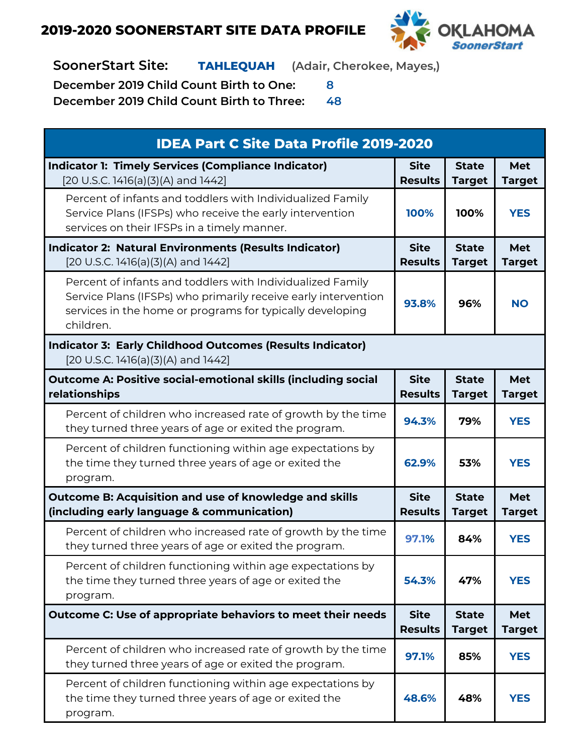

**SoonerStart Site: TAHLEQUAH (Adair, Cherokee, Mayes,)**

**December 2019 Child Count Birth to One: 8**

| <b>IDEA Part C Site Data Profile 2019-2020</b>                                                                                                                                                         |                               |                               |                             |
|--------------------------------------------------------------------------------------------------------------------------------------------------------------------------------------------------------|-------------------------------|-------------------------------|-----------------------------|
| <b>Indicator 1: Timely Services (Compliance Indicator)</b><br>[20 U.S.C. 1416(a)(3)(A) and 1442]                                                                                                       | <b>Site</b><br><b>Results</b> | <b>State</b><br><b>Target</b> | Met<br><b>Target</b>        |
| Percent of infants and toddlers with Individualized Family<br>Service Plans (IFSPs) who receive the early intervention<br>services on their IFSPs in a timely manner.                                  | 100%                          | 100%                          | <b>YES</b>                  |
| <b>Indicator 2: Natural Environments (Results Indicator)</b><br>[20 U.S.C. 1416(a)(3)(A) and 1442]                                                                                                     | <b>Site</b><br><b>Results</b> | <b>State</b><br><b>Target</b> | Met<br><b>Target</b>        |
| Percent of infants and toddlers with Individualized Family<br>Service Plans (IFSPs) who primarily receive early intervention<br>services in the home or programs for typically developing<br>children. | 93.8%                         | 96%                           | <b>NO</b>                   |
| <b>Indicator 3: Early Childhood Outcomes (Results Indicator)</b><br>[20 U.S.C. 1416(a)(3)(A) and 1442]                                                                                                 |                               |                               |                             |
| <b>Outcome A: Positive social-emotional skills (including social</b><br>relationships                                                                                                                  | <b>Site</b><br><b>Results</b> | <b>State</b><br><b>Target</b> | <b>Met</b><br><b>Target</b> |
| Percent of children who increased rate of growth by the time<br>they turned three years of age or exited the program.                                                                                  | 94.3%                         | 79%                           | <b>YES</b>                  |
| Percent of children functioning within age expectations by<br>the time they turned three years of age or exited the<br>program.                                                                        | 62.9%                         | 53%                           | <b>YES</b>                  |
| Outcome B: Acquisition and use of knowledge and skills<br>(including early language & communication)                                                                                                   | <b>Site</b><br><b>Results</b> | <b>State</b><br><b>Target</b> | Met<br><b>Target</b>        |
| Percent of children who increased rate of growth by the time<br>they turned three years of age or exited the program.                                                                                  | 97.1%                         | 84%                           | <b>YES</b>                  |
| Percent of children functioning within age expectations by<br>the time they turned three years of age or exited the<br>program.                                                                        | 54.3%                         | 47%                           | <b>YES</b>                  |
| Outcome C: Use of appropriate behaviors to meet their needs                                                                                                                                            | <b>Site</b><br><b>Results</b> | <b>State</b><br><b>Target</b> | Met<br><b>Target</b>        |
| Percent of children who increased rate of growth by the time<br>they turned three years of age or exited the program.                                                                                  | 97.1%                         | 85%                           | <b>YES</b>                  |
| Percent of children functioning within age expectations by<br>the time they turned three years of age or exited the<br>program.                                                                        | 48.6%                         | 48%                           | <b>YES</b>                  |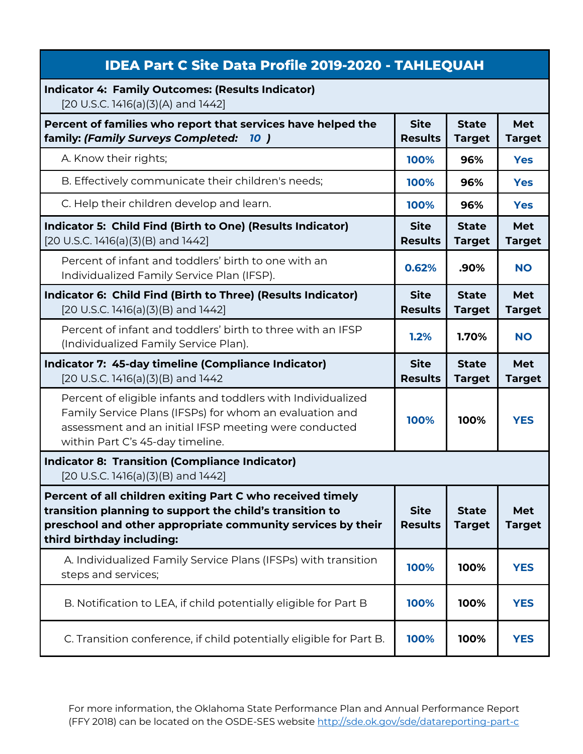| <b>IDEA Part C Site Data Profile 2019-2020 - TAHLEQUAH</b>                                                                                                                                                           |                               |                               |                      |
|----------------------------------------------------------------------------------------------------------------------------------------------------------------------------------------------------------------------|-------------------------------|-------------------------------|----------------------|
| <b>Indicator 4: Family Outcomes: (Results Indicator)</b><br>[20 U.S.C. 1416(a)(3)(A) and 1442]                                                                                                                       |                               |                               |                      |
| Percent of families who report that services have helped the<br>family: (Family Surveys Completed:<br>10 <sup>1</sup>                                                                                                | <b>Site</b><br><b>Results</b> | <b>State</b><br><b>Target</b> | Met<br><b>Target</b> |
| A. Know their rights;                                                                                                                                                                                                | 100%                          | 96%                           | <b>Yes</b>           |
| B. Effectively communicate their children's needs;                                                                                                                                                                   | 100%                          | 96%                           | <b>Yes</b>           |
| C. Help their children develop and learn.                                                                                                                                                                            | 100%                          | 96%                           | <b>Yes</b>           |
| Indicator 5: Child Find (Birth to One) (Results Indicator)<br>[20 U.S.C. 1416(a)(3)(B) and 1442]                                                                                                                     | <b>Site</b><br><b>Results</b> | <b>State</b><br><b>Target</b> | Met<br><b>Target</b> |
| Percent of infant and toddlers' birth to one with an<br>Individualized Family Service Plan (IFSP).                                                                                                                   | 0.62%                         | .90%                          | <b>NO</b>            |
| Indicator 6: Child Find (Birth to Three) (Results Indicator)<br>$[20 U.S.C. 1416(a)(3)(B)$ and $1442]$                                                                                                               | <b>Site</b><br><b>Results</b> | <b>State</b><br><b>Target</b> | Met<br><b>Target</b> |
| Percent of infant and toddlers' birth to three with an IFSP<br>(Individualized Family Service Plan).                                                                                                                 | 1.2%                          | 1.70%                         | <b>NO</b>            |
| Indicator 7: 45-day timeline (Compliance Indicator)<br>[20 U.S.C. 1416(a)(3)(B) and 1442                                                                                                                             | <b>Site</b><br><b>Results</b> | <b>State</b><br><b>Target</b> | Met<br><b>Target</b> |
| Percent of eligible infants and toddlers with Individualized<br>Family Service Plans (IFSPs) for whom an evaluation and<br>assessment and an initial IFSP meeting were conducted<br>within Part C's 45-day timeline. | 100%                          | 100%                          | <b>YES</b>           |
| <b>Indicator 8: Transition (Compliance Indicator)</b><br>[20 U.S.C. 1416(a)(3)(B) and 1442]                                                                                                                          |                               |                               |                      |
| Percent of all children exiting Part C who received timely<br>transition planning to support the child's transition to<br>preschool and other appropriate community services by their<br>third birthday including:   | <b>Site</b><br><b>Results</b> | <b>State</b><br><b>Target</b> | Met<br><b>Target</b> |
| A. Individualized Family Service Plans (IFSPs) with transition<br>steps and services;                                                                                                                                | 100%                          | 100%                          | <b>YES</b>           |
| B. Notification to LEA, if child potentially eligible for Part B                                                                                                                                                     | 100%                          | 100%                          | <b>YES</b>           |
|                                                                                                                                                                                                                      |                               |                               |                      |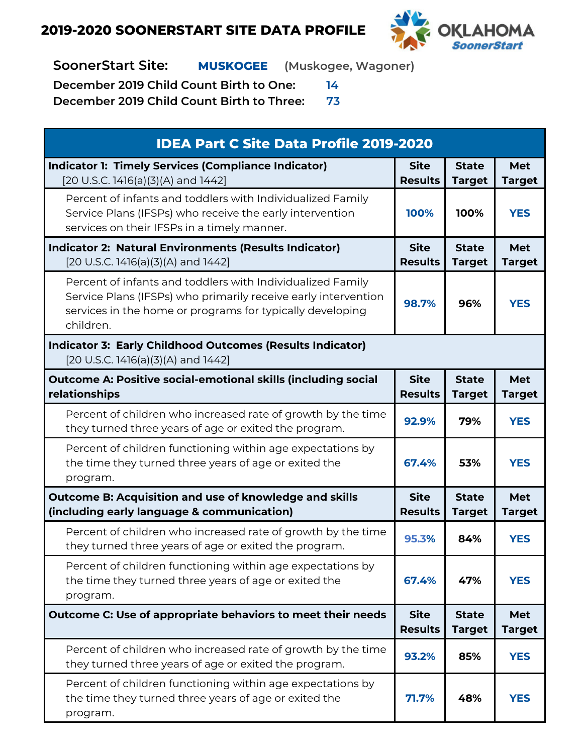

**SoonerStart Site: MUSKOGEE (Muskogee, Wagoner)**

**December 2019 Child Count Birth to One: 14**

| <b>IDEA Part C Site Data Profile 2019-2020</b>                                                                                                                                                         |                               |                               |                             |
|--------------------------------------------------------------------------------------------------------------------------------------------------------------------------------------------------------|-------------------------------|-------------------------------|-----------------------------|
| <b>Indicator 1: Timely Services (Compliance Indicator)</b><br>[20 U.S.C. 1416(a)(3)(A) and 1442]                                                                                                       | <b>Site</b><br><b>Results</b> | <b>State</b><br><b>Target</b> | <b>Met</b><br><b>Target</b> |
| Percent of infants and toddlers with Individualized Family<br>Service Plans (IFSPs) who receive the early intervention<br>services on their IFSPs in a timely manner.                                  | 100%                          | 100%                          | <b>YES</b>                  |
| <b>Indicator 2: Natural Environments (Results Indicator)</b><br>[20 U.S.C. 1416(a)(3)(A) and 1442]                                                                                                     | <b>Site</b><br><b>Results</b> | <b>State</b><br><b>Target</b> | <b>Met</b><br><b>Target</b> |
| Percent of infants and toddlers with Individualized Family<br>Service Plans (IFSPs) who primarily receive early intervention<br>services in the home or programs for typically developing<br>children. | 98.7%                         | 96%                           | <b>YES</b>                  |
| <b>Indicator 3: Early Childhood Outcomes (Results Indicator)</b><br>[20 U.S.C. 1416(a)(3)(A) and 1442]                                                                                                 |                               |                               |                             |
| <b>Outcome A: Positive social-emotional skills (including social</b><br>relationships                                                                                                                  | <b>Site</b><br><b>Results</b> | <b>State</b><br><b>Target</b> | <b>Met</b><br><b>Target</b> |
| Percent of children who increased rate of growth by the time<br>they turned three years of age or exited the program.                                                                                  | 92.9%                         | 79%                           | <b>YES</b>                  |
| Percent of children functioning within age expectations by<br>the time they turned three years of age or exited the<br>program.                                                                        | 67.4%                         | 53%                           | <b>YES</b>                  |
| Outcome B: Acquisition and use of knowledge and skills<br>(including early language & communication)                                                                                                   | <b>Site</b><br><b>Results</b> | <b>State</b><br><b>Target</b> | <b>Met</b><br><b>Target</b> |
| Percent of children who increased rate of growth by the time<br>they turned three years of age or exited the program.                                                                                  | 95.3%                         | 84%                           | <b>YES</b>                  |
| Percent of children functioning within age expectations by<br>the time they turned three years of age or exited the<br>program.                                                                        | 67.4%                         | 47%                           | <b>YES</b>                  |
| Outcome C: Use of appropriate behaviors to meet their needs                                                                                                                                            | <b>Site</b><br><b>Results</b> | <b>State</b><br><b>Target</b> | Met<br><b>Target</b>        |
| Percent of children who increased rate of growth by the time<br>they turned three years of age or exited the program.                                                                                  | 93.2%                         | 85%                           | <b>YES</b>                  |
| Percent of children functioning within age expectations by<br>the time they turned three years of age or exited the<br>program.                                                                        | 71.7%                         | 48%                           | <b>YES</b>                  |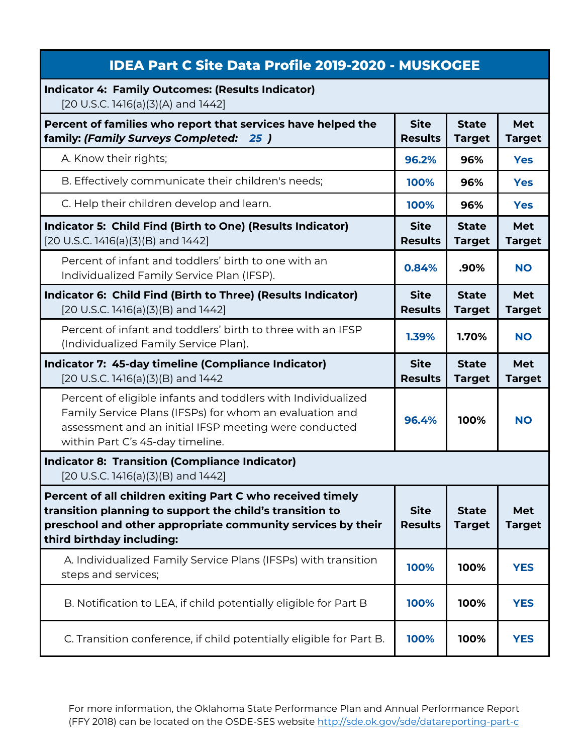| <b>IDEA Part C Site Data Profile 2019-2020 - MUSKOGEE</b>                                                                                                                                                            |                               |                               |                             |
|----------------------------------------------------------------------------------------------------------------------------------------------------------------------------------------------------------------------|-------------------------------|-------------------------------|-----------------------------|
| <b>Indicator 4: Family Outcomes: (Results Indicator)</b><br>[20 U.S.C. 1416(a)(3)(A) and 1442]                                                                                                                       |                               |                               |                             |
| Percent of families who report that services have helped the<br>family: (Family Surveys Completed: 25)                                                                                                               | <b>Site</b><br><b>Results</b> | <b>State</b><br><b>Target</b> | <b>Met</b><br><b>Target</b> |
| A. Know their rights;                                                                                                                                                                                                | 96.2%                         | 96%                           | <b>Yes</b>                  |
| B. Effectively communicate their children's needs;                                                                                                                                                                   | 100%                          | 96%                           | <b>Yes</b>                  |
| C. Help their children develop and learn.                                                                                                                                                                            | 100%                          | 96%                           | <b>Yes</b>                  |
| Indicator 5: Child Find (Birth to One) (Results Indicator)<br>[20 U.S.C. 1416(a)(3)(B) and 1442]                                                                                                                     | <b>Site</b><br><b>Results</b> | <b>State</b><br><b>Target</b> | <b>Met</b><br><b>Target</b> |
| Percent of infant and toddlers' birth to one with an<br>Individualized Family Service Plan (IFSP).                                                                                                                   | 0.84%                         | .90%                          | <b>NO</b>                   |
| Indicator 6: Child Find (Birth to Three) (Results Indicator)<br>[20 U.S.C. 1416(a)(3)(B) and 1442]                                                                                                                   | <b>Site</b><br><b>Results</b> | <b>State</b><br><b>Target</b> | <b>Met</b><br><b>Target</b> |
| Percent of infant and toddlers' birth to three with an IFSP<br>(Individualized Family Service Plan).                                                                                                                 | 1.39%                         | 1.70%                         | <b>NO</b>                   |
| Indicator 7: 45-day timeline (Compliance Indicator)<br>[20 U.S.C. 1416(a)(3)(B) and 1442                                                                                                                             | <b>Site</b><br><b>Results</b> | <b>State</b><br><b>Target</b> | <b>Met</b><br><b>Target</b> |
| Percent of eligible infants and toddlers with Individualized<br>Family Service Plans (IFSPs) for whom an evaluation and<br>assessment and an initial IFSP meeting were conducted<br>within Part C's 45-day timeline. | 96.4%                         | 100%                          | <b>NO</b>                   |
| <b>Indicator 8: Transition (Compliance Indicator)</b><br>[20 U.S.C. 1416(a)(3)(B) and 1442]                                                                                                                          |                               |                               |                             |
| Percent of all children exiting Part C who received timely<br>transition planning to support the child's transition to<br>preschool and other appropriate community services by their<br>third birthday including:   | <b>Site</b><br><b>Results</b> | <b>State</b><br><b>Target</b> | <b>Met</b><br><b>Target</b> |
| A. Individualized Family Service Plans (IFSPs) with transition<br>steps and services;                                                                                                                                | 100%                          | 100%                          | <b>YES</b>                  |
|                                                                                                                                                                                                                      |                               |                               |                             |
| B. Notification to LEA, if child potentially eligible for Part B                                                                                                                                                     | 100%                          | 100%                          | <b>YES</b>                  |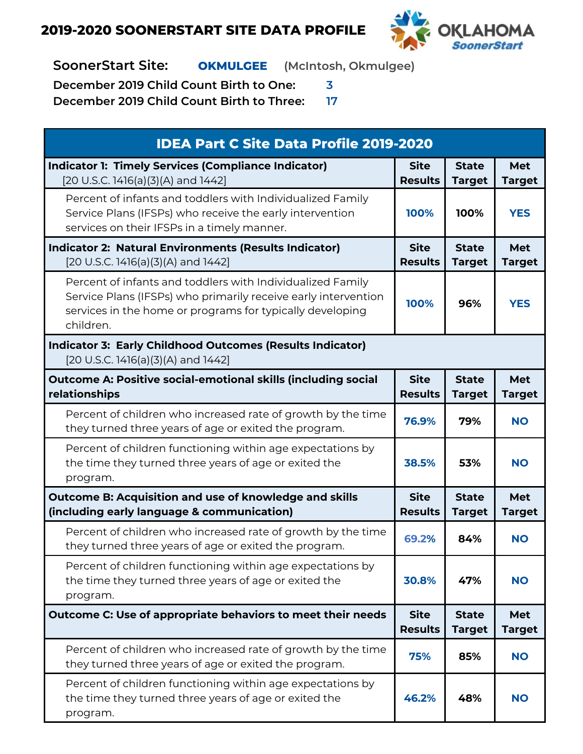

**SoonerStart Site: OKMULGEE (McIntosh, Okmulgee)**

**December 2019 Child Count Birth to One: 3**

| <b>IDEA Part C Site Data Profile 2019-2020</b>                                                                                                                                                         |                               |                               |                             |
|--------------------------------------------------------------------------------------------------------------------------------------------------------------------------------------------------------|-------------------------------|-------------------------------|-----------------------------|
| <b>Indicator 1: Timely Services (Compliance Indicator)</b><br>[20 U.S.C. 1416(a)(3)(A) and 1442]                                                                                                       | <b>Site</b><br><b>Results</b> | <b>State</b><br><b>Target</b> | <b>Met</b><br><b>Target</b> |
| Percent of infants and toddlers with Individualized Family<br>Service Plans (IFSPs) who receive the early intervention<br>services on their IFSPs in a timely manner.                                  | 100%                          | 100%                          | <b>YES</b>                  |
| <b>Indicator 2: Natural Environments (Results Indicator)</b><br>[20 U.S.C. 1416(a)(3)(A) and 1442]                                                                                                     | <b>Site</b><br><b>Results</b> | <b>State</b><br><b>Target</b> | <b>Met</b><br><b>Target</b> |
| Percent of infants and toddlers with Individualized Family<br>Service Plans (IFSPs) who primarily receive early intervention<br>services in the home or programs for typically developing<br>children. | 100%                          | 96%                           | <b>YES</b>                  |
| <b>Indicator 3: Early Childhood Outcomes (Results Indicator)</b><br>[20 U.S.C. 1416(a)(3)(A) and 1442]                                                                                                 |                               |                               |                             |
| <b>Outcome A: Positive social-emotional skills (including social</b><br>relationships                                                                                                                  | <b>Site</b><br><b>Results</b> | <b>State</b><br><b>Target</b> | <b>Met</b><br><b>Target</b> |
| Percent of children who increased rate of growth by the time<br>they turned three years of age or exited the program.                                                                                  | 76.9%                         | 79%                           | <b>NO</b>                   |
| Percent of children functioning within age expectations by<br>the time they turned three years of age or exited the<br>program.                                                                        | 38.5%                         | 53%                           | <b>NO</b>                   |
| <b>Outcome B: Acquisition and use of knowledge and skills</b><br>(including early language & communication)                                                                                            | <b>Site</b><br><b>Results</b> | <b>State</b><br><b>Target</b> | <b>Met</b><br><b>Target</b> |
| Percent of children who increased rate of growth by the time<br>they turned three years of age or exited the program.                                                                                  | 69.2%                         | 84%                           | <b>NO</b>                   |
| Percent of children functioning within age expectations by<br>the time they turned three years of age or exited the<br>program.                                                                        | 30.8%                         | 47%                           | <b>NO</b>                   |
| Outcome C: Use of appropriate behaviors to meet their needs                                                                                                                                            | <b>Site</b><br><b>Results</b> | <b>State</b><br><b>Target</b> | <b>Met</b><br><b>Target</b> |
| Percent of children who increased rate of growth by the time<br>they turned three years of age or exited the program.                                                                                  | 75%                           | 85%                           | <b>NO</b>                   |
| Percent of children functioning within age expectations by<br>the time they turned three years of age or exited the<br>program.                                                                        | 46.2%                         | 48%                           | <b>NO</b>                   |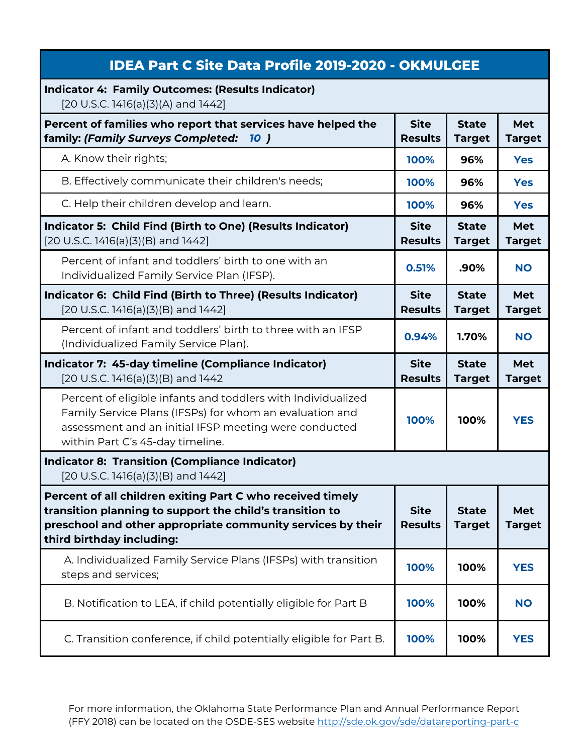| <b>IDEA Part C Site Data Profile 2019-2020 - OKMULGEE</b>                                                                                                                                                            |                               |                               |                             |
|----------------------------------------------------------------------------------------------------------------------------------------------------------------------------------------------------------------------|-------------------------------|-------------------------------|-----------------------------|
| <b>Indicator 4: Family Outcomes: (Results Indicator)</b><br>[20 U.S.C. 1416(a)(3)(A) and 1442]                                                                                                                       |                               |                               |                             |
| Percent of families who report that services have helped the<br>family: (Family Surveys Completed:<br><b>10</b> )                                                                                                    | <b>Site</b><br><b>Results</b> | <b>State</b><br><b>Target</b> | Met<br><b>Target</b>        |
| A. Know their rights;                                                                                                                                                                                                | 100%                          | 96%                           | <b>Yes</b>                  |
| B. Effectively communicate their children's needs;                                                                                                                                                                   | 100%                          | 96%                           | <b>Yes</b>                  |
| C. Help their children develop and learn.                                                                                                                                                                            | 100%                          | 96%                           | <b>Yes</b>                  |
| Indicator 5: Child Find (Birth to One) (Results Indicator)<br>[20 U.S.C. 1416(a)(3)(B) and 1442]                                                                                                                     | <b>Site</b><br><b>Results</b> | <b>State</b><br><b>Target</b> | <b>Met</b><br><b>Target</b> |
| Percent of infant and toddlers' birth to one with an<br>Individualized Family Service Plan (IFSP).                                                                                                                   | 0.51%                         | .90%                          | <b>NO</b>                   |
| Indicator 6: Child Find (Birth to Three) (Results Indicator)<br>[20 U.S.C. 1416(a)(3)(B) and 1442]                                                                                                                   | <b>Site</b><br><b>Results</b> | <b>State</b><br><b>Target</b> | <b>Met</b><br><b>Target</b> |
| Percent of infant and toddlers' birth to three with an IFSP<br>(Individualized Family Service Plan).                                                                                                                 | 0.94%                         | 1.70%                         | <b>NO</b>                   |
| Indicator 7: 45-day timeline (Compliance Indicator)<br>[20 U.S.C. 1416(a)(3)(B) and 1442                                                                                                                             | <b>Site</b><br><b>Results</b> | <b>State</b><br><b>Target</b> | <b>Met</b><br><b>Target</b> |
| Percent of eligible infants and toddlers with Individualized<br>Family Service Plans (IFSPs) for whom an evaluation and<br>assessment and an initial IFSP meeting were conducted<br>within Part C's 45-day timeline. | 100%                          | 100%                          | <b>YES</b>                  |
| <b>Indicator 8: Transition (Compliance Indicator)</b><br>[20 U.S.C. 1416(a)(3)(B) and 1442]                                                                                                                          |                               |                               |                             |
|                                                                                                                                                                                                                      |                               |                               |                             |
| Percent of all children exiting Part C who received timely<br>transition planning to support the child's transition to<br>preschool and other appropriate community services by their<br>third birthday including:   | <b>Site</b><br><b>Results</b> | <b>State</b><br><b>Target</b> | Met<br><b>Target</b>        |
| A. Individualized Family Service Plans (IFSPs) with transition<br>steps and services;                                                                                                                                | 100%                          | 100%                          | <b>YES</b>                  |
| B. Notification to LEA, if child potentially eligible for Part B                                                                                                                                                     | 100%                          | 100%                          | <b>NO</b>                   |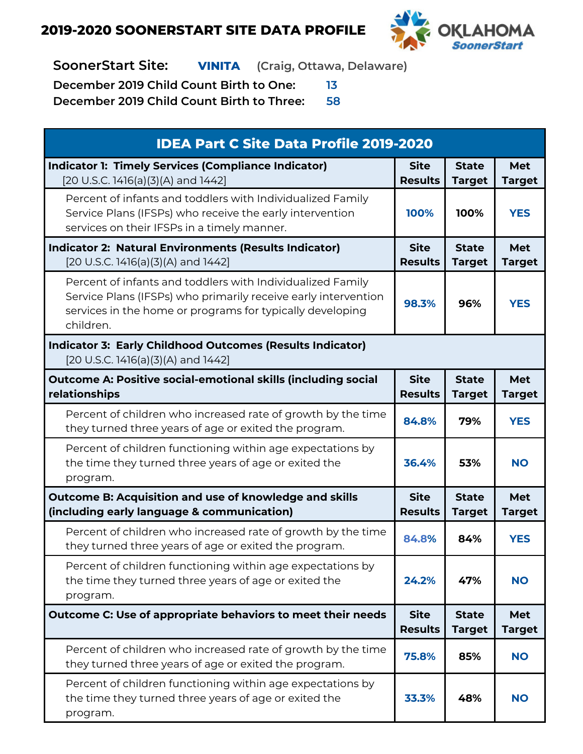

**SoonerStart Site: VINITA (Craig, Ottawa, Delaware)**

**December 2019 Child Count Birth to One: 13**

| <b>IDEA Part C Site Data Profile 2019-2020</b>                                                                                                                                                         |                               |                               |                             |
|--------------------------------------------------------------------------------------------------------------------------------------------------------------------------------------------------------|-------------------------------|-------------------------------|-----------------------------|
| <b>Indicator 1: Timely Services (Compliance Indicator)</b><br>[20 U.S.C. 1416(a)(3)(A) and 1442]                                                                                                       | <b>Site</b><br><b>Results</b> | <b>State</b><br><b>Target</b> | <b>Met</b><br><b>Target</b> |
| Percent of infants and toddlers with Individualized Family<br>Service Plans (IFSPs) who receive the early intervention<br>services on their IFSPs in a timely manner.                                  | 100%                          | 100%                          | <b>YES</b>                  |
| <b>Indicator 2: Natural Environments (Results Indicator)</b><br>[20 U.S.C. 1416(a)(3)(A) and 1442]                                                                                                     | <b>Site</b><br><b>Results</b> | <b>State</b><br><b>Target</b> | <b>Met</b><br><b>Target</b> |
| Percent of infants and toddlers with Individualized Family<br>Service Plans (IFSPs) who primarily receive early intervention<br>services in the home or programs for typically developing<br>children. | 98.3%                         | 96%                           | <b>YES</b>                  |
| <b>Indicator 3: Early Childhood Outcomes (Results Indicator)</b><br>[20 U.S.C. 1416(a)(3)(A) and 1442]                                                                                                 |                               |                               |                             |
| <b>Outcome A: Positive social-emotional skills (including social</b><br>relationships                                                                                                                  | <b>Site</b><br><b>Results</b> | <b>State</b><br><b>Target</b> | <b>Met</b><br><b>Target</b> |
| Percent of children who increased rate of growth by the time<br>they turned three years of age or exited the program.                                                                                  | 84.8%                         | 79%                           | <b>YES</b>                  |
| Percent of children functioning within age expectations by<br>the time they turned three years of age or exited the<br>program.                                                                        | 36.4%                         | 53%                           | <b>NO</b>                   |
| <b>Outcome B: Acquisition and use of knowledge and skills</b><br>(including early language & communication)                                                                                            | <b>Site</b><br><b>Results</b> | <b>State</b><br><b>Target</b> | <b>Met</b><br><b>Target</b> |
| Percent of children who increased rate of growth by the time<br>they turned three years of age or exited the program.                                                                                  | 84.8%                         | 84%                           | <b>YES</b>                  |
| Percent of children functioning within age expectations by<br>the time they turned three years of age or exited the<br>program.                                                                        | 24.2%                         | 47%                           | <b>NO</b>                   |
| <b>Outcome C: Use of appropriate behaviors to meet their needs</b>                                                                                                                                     | <b>Site</b><br><b>Results</b> | <b>State</b><br><b>Target</b> | <b>Met</b><br><b>Target</b> |
| Percent of children who increased rate of growth by the time<br>they turned three years of age or exited the program.                                                                                  | 75.8%                         | 85%                           | <b>NO</b>                   |
| Percent of children functioning within age expectations by<br>the time they turned three years of age or exited the<br>program.                                                                        | 33.3%                         | 48%                           | <b>NO</b>                   |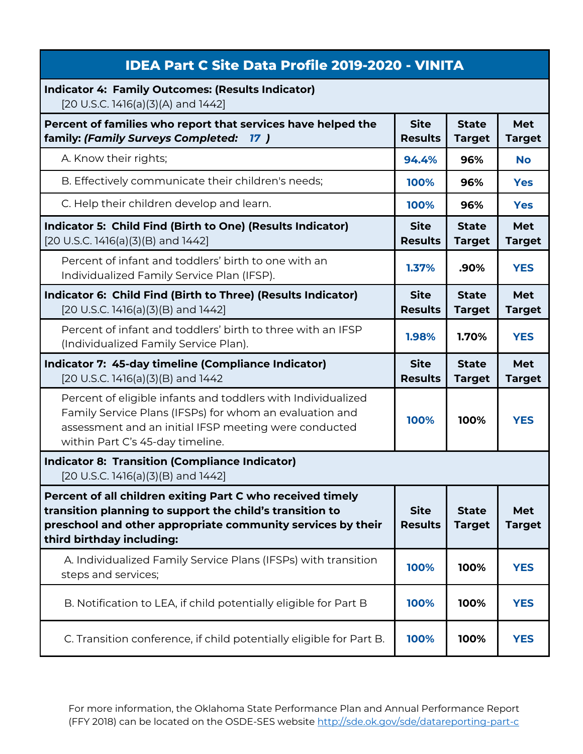| <b>IDEA Part C Site Data Profile 2019-2020 - VINITA</b>                                                                                                                                                              |                               |                               |                      |
|----------------------------------------------------------------------------------------------------------------------------------------------------------------------------------------------------------------------|-------------------------------|-------------------------------|----------------------|
| <b>Indicator 4: Family Outcomes: (Results Indicator)</b><br>[20 U.S.C. 1416(a)(3)(A) and 1442]                                                                                                                       |                               |                               |                      |
| Percent of families who report that services have helped the<br>family: (Family Surveys Completed:<br>17)                                                                                                            | <b>Site</b><br><b>Results</b> | <b>State</b><br><b>Target</b> | Met<br><b>Target</b> |
| A. Know their rights;                                                                                                                                                                                                | 94.4%                         | 96%                           | <b>No</b>            |
| B. Effectively communicate their children's needs;                                                                                                                                                                   | 100%                          | 96%                           | <b>Yes</b>           |
| C. Help their children develop and learn.                                                                                                                                                                            | 100%                          | 96%                           | <b>Yes</b>           |
| Indicator 5: Child Find (Birth to One) (Results Indicator)<br>$[20 U.S.C. 1416(a)(3)(B)$ and $1442]$                                                                                                                 | <b>Site</b><br><b>Results</b> | <b>State</b><br><b>Target</b> | Met<br><b>Target</b> |
| Percent of infant and toddlers' birth to one with an<br>Individualized Family Service Plan (IFSP).                                                                                                                   | 1.37%                         | .90%                          | <b>YES</b>           |
| Indicator 6: Child Find (Birth to Three) (Results Indicator)<br>$[20 U.S.C. 1416(a)(3)(B)$ and $1442]$                                                                                                               | <b>Site</b><br><b>Results</b> | <b>State</b><br><b>Target</b> | Met<br><b>Target</b> |
| Percent of infant and toddlers' birth to three with an IFSP<br>(Individualized Family Service Plan).                                                                                                                 | 1.98%                         | 1.70%                         | <b>YES</b>           |
|                                                                                                                                                                                                                      |                               |                               |                      |
| Indicator 7: 45-day timeline (Compliance Indicator)<br>[20 U.S.C. 1416(a)(3)(B) and 1442                                                                                                                             | <b>Site</b><br><b>Results</b> | <b>State</b><br><b>Target</b> | Met<br><b>Target</b> |
| Percent of eligible infants and toddlers with Individualized<br>Family Service Plans (IFSPs) for whom an evaluation and<br>assessment and an initial IFSP meeting were conducted<br>within Part C's 45-day timeline. | 100%                          | 100%                          | <b>YES</b>           |
| <b>Indicator 8: Transition (Compliance Indicator)</b><br>$[20 U.S.C. 1416(a)(3)(B)$ and $1442]$                                                                                                                      |                               |                               |                      |
| Percent of all children exiting Part C who received timely<br>transition planning to support the child's transition to<br>preschool and other appropriate community services by their<br>third birthday including:   | <b>Site</b><br><b>Results</b> | <b>State</b><br><b>Target</b> | Met<br><b>Target</b> |
| A. Individualized Family Service Plans (IFSPs) with transition<br>steps and services;                                                                                                                                | 100%                          | 100%                          | <b>YES</b>           |
| B. Notification to LEA, if child potentially eligible for Part B                                                                                                                                                     | 100%                          | 100%                          | <b>YES</b>           |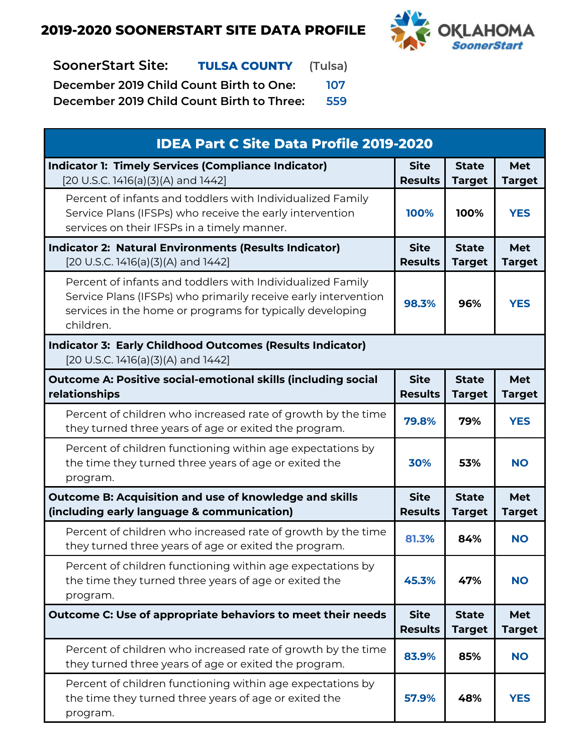

# **SoonerStart Site: TULSA COUNTY (Tulsa)**

**December 2019 Child Count Birth to One: 107**

| <b>IDEA Part C Site Data Profile 2019-2020</b>                                                                                                                                                         |                               |                               |                             |
|--------------------------------------------------------------------------------------------------------------------------------------------------------------------------------------------------------|-------------------------------|-------------------------------|-----------------------------|
| <b>Indicator 1: Timely Services (Compliance Indicator)</b><br>[20 U.S.C. 1416(a)(3)(A) and 1442]                                                                                                       | <b>Site</b><br><b>Results</b> | <b>State</b><br><b>Target</b> | <b>Met</b><br><b>Target</b> |
| Percent of infants and toddlers with Individualized Family<br>Service Plans (IFSPs) who receive the early intervention<br>services on their IFSPs in a timely manner.                                  | 100%                          | 100%                          | <b>YES</b>                  |
| <b>Indicator 2: Natural Environments (Results Indicator)</b><br>[20 U.S.C. 1416(a)(3)(A) and 1442]                                                                                                     | <b>Site</b><br><b>Results</b> | <b>State</b><br><b>Target</b> | <b>Met</b><br><b>Target</b> |
| Percent of infants and toddlers with Individualized Family<br>Service Plans (IFSPs) who primarily receive early intervention<br>services in the home or programs for typically developing<br>children. | 98.3%                         | 96%                           | <b>YES</b>                  |
| <b>Indicator 3: Early Childhood Outcomes (Results Indicator)</b><br>[20 U.S.C. 1416(a)(3)(A) and 1442]                                                                                                 |                               |                               |                             |
| <b>Outcome A: Positive social-emotional skills (including social</b><br>relationships                                                                                                                  | <b>Site</b><br><b>Results</b> | <b>State</b><br><b>Target</b> | <b>Met</b><br><b>Target</b> |
| Percent of children who increased rate of growth by the time<br>they turned three years of age or exited the program.                                                                                  | 79.8%                         | 79%                           | <b>YES</b>                  |
| Percent of children functioning within age expectations by<br>the time they turned three years of age or exited the<br>program.                                                                        | 30%                           | 53%                           | <b>NO</b>                   |
| <b>Outcome B: Acquisition and use of knowledge and skills</b><br>(including early language & communication)                                                                                            | <b>Site</b><br><b>Results</b> | <b>State</b><br><b>Target</b> | <b>Met</b><br><b>Target</b> |
| Percent of children who increased rate of growth by the time<br>they turned three years of age or exited the program.                                                                                  | 81.3%                         | 84%                           | <b>NO</b>                   |
| Percent of children functioning within age expectations by<br>the time they turned three years of age or exited the<br>program.                                                                        | 45.3%                         | 47%                           | <b>NO</b>                   |
| Outcome C: Use of appropriate behaviors to meet their needs                                                                                                                                            | <b>Site</b><br><b>Results</b> | <b>State</b><br><b>Target</b> | <b>Met</b><br><b>Target</b> |
| Percent of children who increased rate of growth by the time<br>they turned three years of age or exited the program.                                                                                  | 83.9%                         | 85%                           | <b>NO</b>                   |
| Percent of children functioning within age expectations by<br>the time they turned three years of age or exited the<br>program.                                                                        | 57.9%                         | 48%                           | <b>YES</b>                  |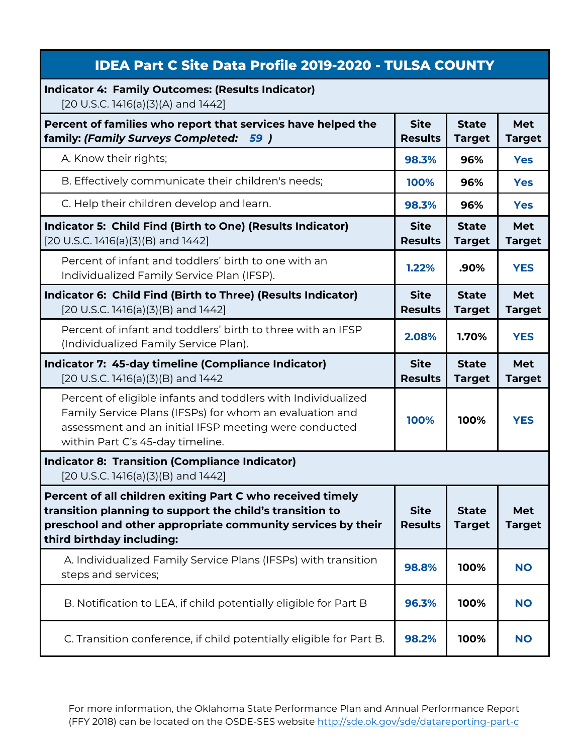## **IDEA Part C Site Data Profile 2019-2020 - TULSA COUNTY**

#### **Indicator 4: Family Outcomes: (Results Indicator)**

[20 U.S.C. 1416(a)(3)(A) and 1442]

| Percent of families who report that services have helped the<br>family: (Family Surveys Completed:<br>59)                                                                                                            | <b>Site</b><br><b>Results</b> | <b>State</b><br><b>Target</b> | <b>Met</b><br><b>Target</b> |
|----------------------------------------------------------------------------------------------------------------------------------------------------------------------------------------------------------------------|-------------------------------|-------------------------------|-----------------------------|
| A. Know their rights;                                                                                                                                                                                                | 98.3%                         | 96%                           | <b>Yes</b>                  |
| B. Effectively communicate their children's needs;                                                                                                                                                                   | 100%                          | 96%                           | <b>Yes</b>                  |
| C. Help their children develop and learn.                                                                                                                                                                            | 98.3%                         | 96%                           | <b>Yes</b>                  |
| Indicator 5: Child Find (Birth to One) (Results Indicator)<br>[20 U.S.C. 1416(a)(3)(B) and 1442]                                                                                                                     | <b>Site</b><br><b>Results</b> | <b>State</b><br><b>Target</b> | <b>Met</b><br><b>Target</b> |
| Percent of infant and toddlers' birth to one with an<br>Individualized Family Service Plan (IFSP).                                                                                                                   | 1.22%                         | .90%                          | <b>YES</b>                  |
| Indicator 6: Child Find (Birth to Three) (Results Indicator)<br>[20 U.S.C. 1416(a)(3)(B) and 1442]                                                                                                                   | <b>Site</b><br><b>Results</b> | <b>State</b><br><b>Target</b> | <b>Met</b><br><b>Target</b> |
| Percent of infant and toddlers' birth to three with an IFSP<br>(Individualized Family Service Plan).                                                                                                                 | 2.08%                         | 1.70%                         | <b>YES</b>                  |
| Indicator 7: 45-day timeline (Compliance Indicator)<br>$[20$ U.S.C. 1416(a)(3)(B) and 1442                                                                                                                           | <b>Site</b><br><b>Results</b> | <b>State</b><br><b>Target</b> | <b>Met</b><br><b>Target</b> |
| Percent of eligible infants and toddlers with Individualized<br>Family Service Plans (IFSPs) for whom an evaluation and<br>assessment and an initial IFSP meeting were conducted<br>within Part C's 45-day timeline. | 100%                          | 100%                          | <b>YES</b>                  |
| <b>Indicator 8: Transition (Compliance Indicator)</b><br>[20 U.S.C. 1416(a)(3)(B) and 1442]                                                                                                                          |                               |                               |                             |
| Percent of all children exiting Part C who received timely<br>transition planning to support the child's transition to<br>preschool and other appropriate community services by their<br>third birthday including:   | <b>Site</b><br><b>Results</b> | <b>State</b><br><b>Target</b> | <b>Met</b><br><b>Target</b> |
| A. Individualized Family Service Plans (IFSPs) with transition<br>steps and services;                                                                                                                                | 98.8%                         | 100%                          | <b>NO</b>                   |
| B. Notification to LEA, if child potentially eligible for Part B                                                                                                                                                     | 96.3%                         | 100%                          | <b>NO</b>                   |
| C. Transition conference, if child potentially eligible for Part B.                                                                                                                                                  | 98.2%                         | 100%                          | <b>NO</b>                   |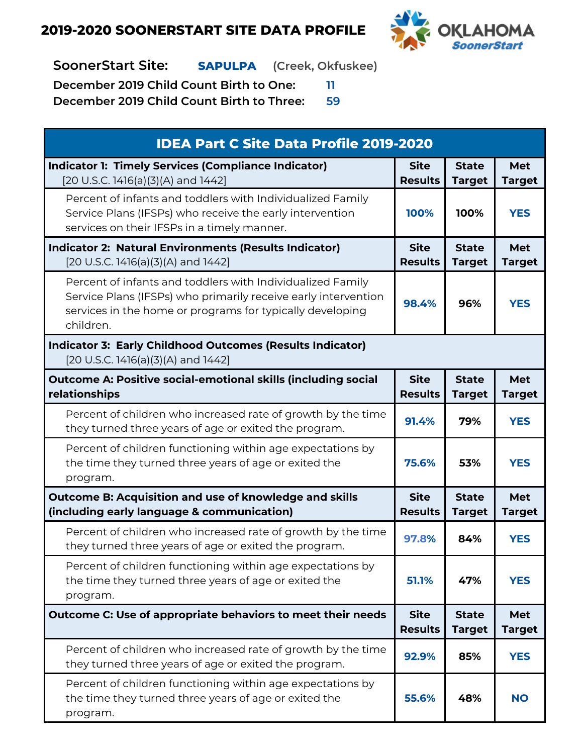

**SoonerStart Site: SAPULPA (Creek, Okfuskee)**

**December 2019 Child Count Birth to One: 11**

| <b>IDEA Part C Site Data Profile 2019-2020</b>                                                                                                                                                         |                               |                               |                             |
|--------------------------------------------------------------------------------------------------------------------------------------------------------------------------------------------------------|-------------------------------|-------------------------------|-----------------------------|
| <b>Indicator 1: Timely Services (Compliance Indicator)</b><br>[20 U.S.C. 1416(a)(3)(A) and 1442]                                                                                                       | <b>Site</b><br><b>Results</b> | <b>State</b><br><b>Target</b> | <b>Met</b><br><b>Target</b> |
| Percent of infants and toddlers with Individualized Family<br>Service Plans (IFSPs) who receive the early intervention<br>services on their IFSPs in a timely manner.                                  | 100%                          | 100%                          | <b>YES</b>                  |
| <b>Indicator 2: Natural Environments (Results Indicator)</b><br>[20 U.S.C. 1416(a)(3)(A) and 1442]                                                                                                     | <b>Site</b><br><b>Results</b> | <b>State</b><br><b>Target</b> | <b>Met</b><br><b>Target</b> |
| Percent of infants and toddlers with Individualized Family<br>Service Plans (IFSPs) who primarily receive early intervention<br>services in the home or programs for typically developing<br>children. | 98.4%                         | 96%                           | <b>YES</b>                  |
| <b>Indicator 3: Early Childhood Outcomes (Results Indicator)</b><br>[20 U.S.C. 1416(a)(3)(A) and 1442]                                                                                                 |                               |                               |                             |
| <b>Outcome A: Positive social-emotional skills (including social</b><br>relationships                                                                                                                  | <b>Site</b><br><b>Results</b> | <b>State</b><br><b>Target</b> | <b>Met</b><br><b>Target</b> |
| Percent of children who increased rate of growth by the time<br>they turned three years of age or exited the program.                                                                                  | 91.4%                         | 79%                           | <b>YES</b>                  |
| Percent of children functioning within age expectations by<br>the time they turned three years of age or exited the<br>program.                                                                        | 75.6%                         | 53%                           | <b>YES</b>                  |
| <b>Outcome B: Acquisition and use of knowledge and skills</b><br>(including early language & communication)                                                                                            | <b>Site</b><br><b>Results</b> | <b>State</b><br><b>Target</b> | <b>Met</b><br><b>Target</b> |
| Percent of children who increased rate of growth by the time<br>they turned three years of age or exited the program.                                                                                  | 97.8%                         | 84%                           | <b>YES</b>                  |
| Percent of children functioning within age expectations by<br>the time they turned three years of age or exited the<br>program.                                                                        | 51.1%                         | 47%                           | <b>YES</b>                  |
| Outcome C: Use of appropriate behaviors to meet their needs                                                                                                                                            | <b>Site</b><br><b>Results</b> | <b>State</b><br><b>Target</b> | <b>Met</b><br><b>Target</b> |
| Percent of children who increased rate of growth by the time<br>they turned three years of age or exited the program.                                                                                  | 92.9%                         | 85%                           | <b>YES</b>                  |
| Percent of children functioning within age expectations by<br>the time they turned three years of age or exited the<br>program.                                                                        | 55.6%                         | 48%                           | <b>NO</b>                   |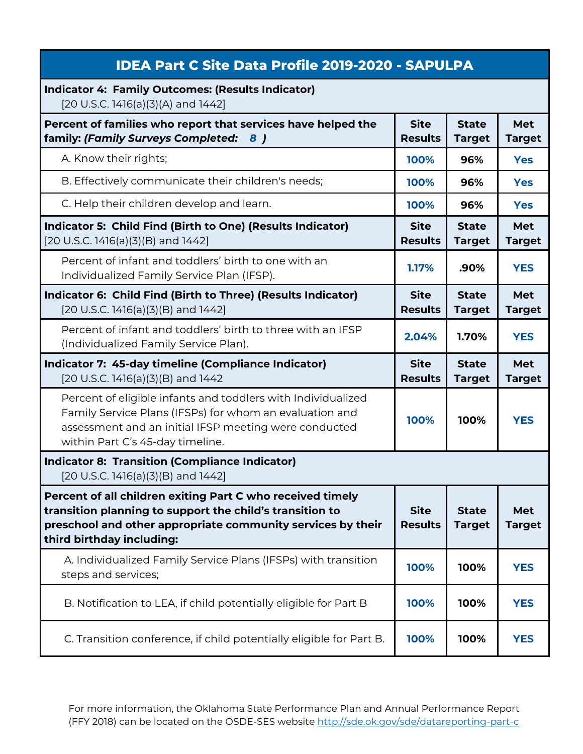| <b>IDEA Part C Site Data Profile 2019-2020 - SAPULPA</b>                                                                                                                                                             |                               |                               |                             |
|----------------------------------------------------------------------------------------------------------------------------------------------------------------------------------------------------------------------|-------------------------------|-------------------------------|-----------------------------|
| <b>Indicator 4: Family Outcomes: (Results Indicator)</b><br>[20 U.S.C. 1416(a)(3)(A) and 1442]                                                                                                                       |                               |                               |                             |
| Percent of families who report that services have helped the<br>family: (Family Surveys Completed:<br>8)                                                                                                             | <b>Site</b><br><b>Results</b> | <b>State</b><br><b>Target</b> | <b>Met</b><br><b>Target</b> |
| A. Know their rights;                                                                                                                                                                                                | 100%                          | 96%                           | <b>Yes</b>                  |
| B. Effectively communicate their children's needs;                                                                                                                                                                   | 100%                          | 96%                           | <b>Yes</b>                  |
| C. Help their children develop and learn.                                                                                                                                                                            | 100%                          | 96%                           | <b>Yes</b>                  |
| Indicator 5: Child Find (Birth to One) (Results Indicator)<br>[20 U.S.C. 1416(a)(3)(B) and 1442]                                                                                                                     | <b>Site</b><br><b>Results</b> | <b>State</b><br><b>Target</b> | <b>Met</b><br><b>Target</b> |
| Percent of infant and toddlers' birth to one with an<br>Individualized Family Service Plan (IFSP).                                                                                                                   | 1.17%                         | .90%                          | <b>YES</b>                  |
| Indicator 6: Child Find (Birth to Three) (Results Indicator)<br>$[20 U.S.C. 1416(a)(3)(B)$ and $1442]$                                                                                                               | <b>Site</b><br><b>Results</b> | <b>State</b><br><b>Target</b> | <b>Met</b><br><b>Target</b> |
| Percent of infant and toddlers' birth to three with an IFSP<br>(Individualized Family Service Plan).                                                                                                                 | 2.04%                         | 1.70%                         | <b>YES</b>                  |
|                                                                                                                                                                                                                      |                               |                               |                             |
| Indicator 7: 45-day timeline (Compliance Indicator)<br>[20 U.S.C. 1416(a)(3)(B) and 1442                                                                                                                             | <b>Site</b><br><b>Results</b> | <b>State</b><br><b>Target</b> | <b>Met</b><br><b>Target</b> |
| Percent of eligible infants and toddlers with Individualized<br>Family Service Plans (IFSPs) for whom an evaluation and<br>assessment and an initial IFSP meeting were conducted<br>within Part C's 45-day timeline. | 100%                          | 100%                          | <b>YES</b>                  |
| <b>Indicator 8: Transition (Compliance Indicator)</b><br>$[20 U.S.C. 1416(a)(3)(B)$ and $1442]$                                                                                                                      |                               |                               |                             |
| Percent of all children exiting Part C who received timely<br>transition planning to support the child's transition to<br>preschool and other appropriate community services by their<br>third birthday including:   | <b>Site</b><br><b>Results</b> | <b>State</b><br><b>Target</b> | <b>Met</b><br><b>Target</b> |
| A. Individualized Family Service Plans (IFSPs) with transition<br>steps and services;                                                                                                                                | 100%                          | 100%                          | <b>YES</b>                  |
| B. Notification to LEA, if child potentially eligible for Part B                                                                                                                                                     | 100%                          | 100%                          | <b>YES</b>                  |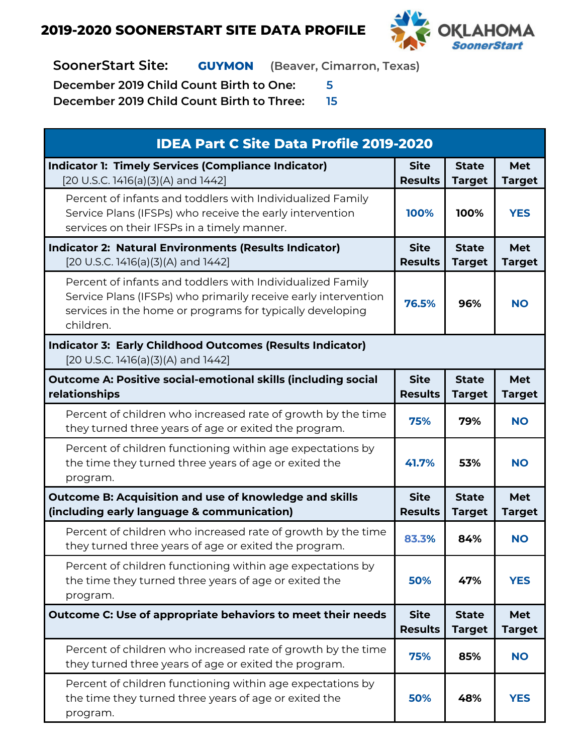

**SoonerStart Site: GUYMON (Beaver, Cimarron, Texas)**

**December 2019 Child Count Birth to One: 5**

| <b>IDEA Part C Site Data Profile 2019-2020</b>                                                                                                                                                         |                               |                               |                             |
|--------------------------------------------------------------------------------------------------------------------------------------------------------------------------------------------------------|-------------------------------|-------------------------------|-----------------------------|
| <b>Indicator 1: Timely Services (Compliance Indicator)</b><br>[20 U.S.C. 1416(a)(3)(A) and 1442]                                                                                                       | <b>Site</b><br><b>Results</b> | <b>State</b><br><b>Target</b> | <b>Met</b><br><b>Target</b> |
| Percent of infants and toddlers with Individualized Family<br>Service Plans (IFSPs) who receive the early intervention<br>services on their IFSPs in a timely manner.                                  | 100%                          | 100%                          | <b>YES</b>                  |
| <b>Indicator 2: Natural Environments (Results Indicator)</b><br>[20 U.S.C. 1416(a)(3)(A) and 1442]                                                                                                     | <b>Site</b><br><b>Results</b> | <b>State</b><br><b>Target</b> | <b>Met</b><br><b>Target</b> |
| Percent of infants and toddlers with Individualized Family<br>Service Plans (IFSPs) who primarily receive early intervention<br>services in the home or programs for typically developing<br>children. | 76.5%                         | 96%                           | <b>NO</b>                   |
| <b>Indicator 3: Early Childhood Outcomes (Results Indicator)</b><br>[20 U.S.C. 1416(a)(3)(A) and 1442]                                                                                                 |                               |                               |                             |
| <b>Outcome A: Positive social-emotional skills (including social</b><br>relationships                                                                                                                  | <b>Site</b><br><b>Results</b> | <b>State</b><br><b>Target</b> | <b>Met</b><br><b>Target</b> |
| Percent of children who increased rate of growth by the time<br>they turned three years of age or exited the program.                                                                                  | 75%                           | 79%                           | <b>NO</b>                   |
| Percent of children functioning within age expectations by<br>the time they turned three years of age or exited the<br>program.                                                                        | 41.7%                         | 53%                           | <b>NO</b>                   |
| <b>Outcome B: Acquisition and use of knowledge and skills</b><br>(including early language & communication)                                                                                            | <b>Site</b><br><b>Results</b> | <b>State</b><br><b>Target</b> | <b>Met</b><br><b>Target</b> |
| Percent of children who increased rate of growth by the time<br>they turned three years of age or exited the program.                                                                                  | 83.3%                         | 84%                           | <b>NO</b>                   |
| Percent of children functioning within age expectations by<br>the time they turned three years of age or exited the<br>program.                                                                        | 50%                           | 47%                           | <b>YES</b>                  |
| Outcome C: Use of appropriate behaviors to meet their needs                                                                                                                                            | <b>Site</b><br><b>Results</b> | <b>State</b><br><b>Target</b> | <b>Met</b><br><b>Target</b> |
| Percent of children who increased rate of growth by the time<br>they turned three years of age or exited the program.                                                                                  | 75%                           | 85%                           | <b>NO</b>                   |
| Percent of children functioning within age expectations by<br>the time they turned three years of age or exited the<br>program.                                                                        | 50%                           | 48%                           | <b>YES</b>                  |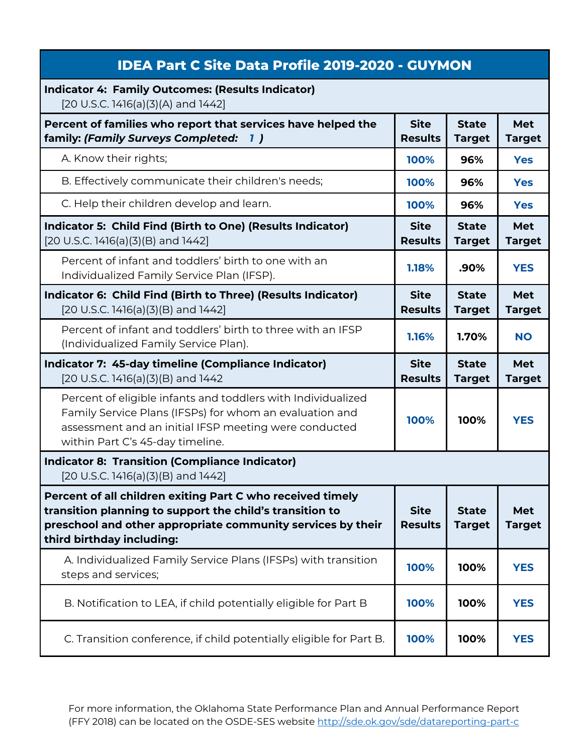| <b>IDEA Part C Site Data Profile 2019-2020 - GUYMON</b>                                                                                                                                                              |                               |                               |                             |
|----------------------------------------------------------------------------------------------------------------------------------------------------------------------------------------------------------------------|-------------------------------|-------------------------------|-----------------------------|
| <b>Indicator 4: Family Outcomes: (Results Indicator)</b><br>[20 U.S.C. 1416(a)(3)(A) and 1442]                                                                                                                       |                               |                               |                             |
| Percent of families who report that services have helped the<br>family: (Family Surveys Completed:<br><b>1</b>                                                                                                       | <b>Site</b><br><b>Results</b> | <b>State</b><br><b>Target</b> | <b>Met</b><br><b>Target</b> |
| A. Know their rights;                                                                                                                                                                                                | 100%                          | 96%                           | <b>Yes</b>                  |
| B. Effectively communicate their children's needs;                                                                                                                                                                   | 100%                          | 96%                           | <b>Yes</b>                  |
| C. Help their children develop and learn.                                                                                                                                                                            | 100%                          | 96%                           | <b>Yes</b>                  |
| Indicator 5: Child Find (Birth to One) (Results Indicator)<br>$[20 U.S.C. 1416(a)(3)(B)$ and $1442]$                                                                                                                 | <b>Site</b><br><b>Results</b> | <b>State</b><br><b>Target</b> | <b>Met</b><br><b>Target</b> |
| Percent of infant and toddlers' birth to one with an<br>Individualized Family Service Plan (IFSP).                                                                                                                   | 1.18%                         | .90%                          | <b>YES</b>                  |
| Indicator 6: Child Find (Birth to Three) (Results Indicator)<br>$[20 U.S.C. 1416(a)(3)(B)$ and $1442]$                                                                                                               | <b>Site</b><br><b>Results</b> | <b>State</b><br><b>Target</b> | <b>Met</b><br><b>Target</b> |
| Percent of infant and toddlers' birth to three with an IFSP<br>(Individualized Family Service Plan).                                                                                                                 | 1.16%                         | 1.70%                         | <b>NO</b>                   |
|                                                                                                                                                                                                                      |                               |                               |                             |
| Indicator 7: 45-day timeline (Compliance Indicator)<br>[20 U.S.C. 1416(a)(3)(B) and 1442                                                                                                                             | <b>Site</b><br><b>Results</b> | <b>State</b><br><b>Target</b> | <b>Met</b><br><b>Target</b> |
| Percent of eligible infants and toddlers with Individualized<br>Family Service Plans (IFSPs) for whom an evaluation and<br>assessment and an initial IFSP meeting were conducted<br>within Part C's 45-day timeline. | 100%                          | 100%                          | <b>YES</b>                  |
| <b>Indicator 8: Transition (Compliance Indicator)</b><br>$[20 U.S.C. 1416(a)(3)(B)$ and $1442]$                                                                                                                      |                               |                               |                             |
| Percent of all children exiting Part C who received timely<br>transition planning to support the child's transition to<br>preschool and other appropriate community services by their<br>third birthday including:   | <b>Site</b><br><b>Results</b> | <b>State</b><br><b>Target</b> | <b>Met</b><br><b>Target</b> |
| A. Individualized Family Service Plans (IFSPs) with transition<br>steps and services;                                                                                                                                | 100%                          | 100%                          | <b>YES</b>                  |
| B. Notification to LEA, if child potentially eligible for Part B                                                                                                                                                     | 100%                          | 100%                          | <b>YES</b>                  |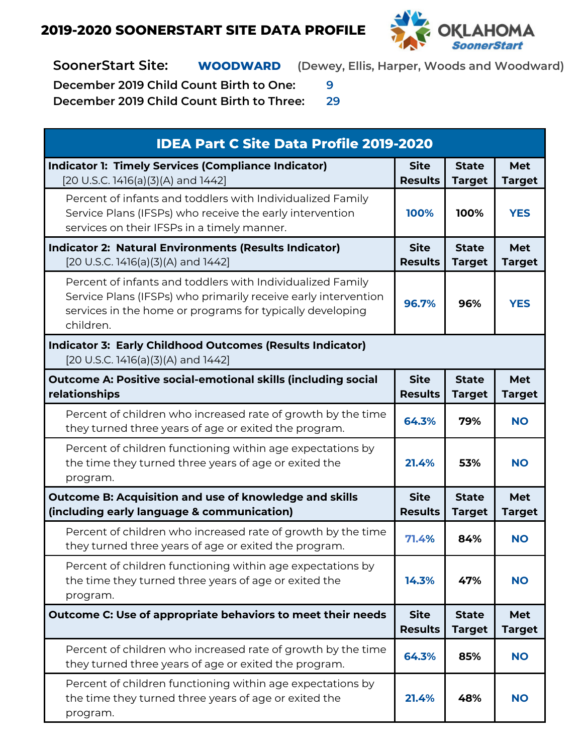

**SoonerStart Site: WOODWARD (Dewey, Ellis, Harper, Woods and Woodward)**

**December 2019 Child Count Birth to One: 9**

| <b>IDEA Part C Site Data Profile 2019-2020</b>                                                                                                                                                         |                               |                               |                             |
|--------------------------------------------------------------------------------------------------------------------------------------------------------------------------------------------------------|-------------------------------|-------------------------------|-----------------------------|
| <b>Indicator 1: Timely Services (Compliance Indicator)</b><br>[20 U.S.C. 1416(a)(3)(A) and 1442]                                                                                                       | <b>Site</b><br><b>Results</b> | <b>State</b><br><b>Target</b> | Met<br><b>Target</b>        |
| Percent of infants and toddlers with Individualized Family<br>Service Plans (IFSPs) who receive the early intervention<br>services on their IFSPs in a timely manner.                                  | 100%                          | 100%                          | <b>YES</b>                  |
| <b>Indicator 2: Natural Environments (Results Indicator)</b><br>[20 U.S.C. 1416(a)(3)(A) and 1442]                                                                                                     | <b>Site</b><br><b>Results</b> | <b>State</b><br><b>Target</b> | Met<br><b>Target</b>        |
| Percent of infants and toddlers with Individualized Family<br>Service Plans (IFSPs) who primarily receive early intervention<br>services in the home or programs for typically developing<br>children. | 96.7%                         | 96%                           | <b>YES</b>                  |
| <b>Indicator 3: Early Childhood Outcomes (Results Indicator)</b><br>[20 U.S.C. 1416(a)(3)(A) and 1442]                                                                                                 |                               |                               |                             |
| <b>Outcome A: Positive social-emotional skills (including social</b><br>relationships                                                                                                                  | <b>Site</b><br><b>Results</b> | <b>State</b><br><b>Target</b> | Met<br><b>Target</b>        |
| Percent of children who increased rate of growth by the time<br>they turned three years of age or exited the program.                                                                                  | 64.3%                         | 79%                           | <b>NO</b>                   |
| Percent of children functioning within age expectations by<br>the time they turned three years of age or exited the<br>program.                                                                        | 21.4%                         | 53%                           | <b>NO</b>                   |
| <b>Outcome B: Acquisition and use of knowledge and skills</b><br>(including early language & communication)                                                                                            | <b>Site</b><br><b>Results</b> | <b>State</b><br><b>Target</b> | <b>Met</b><br><b>Target</b> |
| Percent of children who increased rate of growth by the time<br>they turned three years of age or exited the program.                                                                                  | 71.4%                         | 84%                           | <b>NO</b>                   |
| Percent of children functioning within age expectations by<br>the time they turned three years of age or exited the<br>program.                                                                        | 14.3%                         | 47%                           | <b>NO</b>                   |
| Outcome C: Use of appropriate behaviors to meet their needs                                                                                                                                            | <b>Site</b><br><b>Results</b> | <b>State</b><br><b>Target</b> | Met<br><b>Target</b>        |
| Percent of children who increased rate of growth by the time<br>they turned three years of age or exited the program.                                                                                  | 64.3%                         | 85%                           | <b>NO</b>                   |
| Percent of children functioning within age expectations by<br>the time they turned three years of age or exited the<br>program.                                                                        | 21.4%                         | 48%                           | <b>NO</b>                   |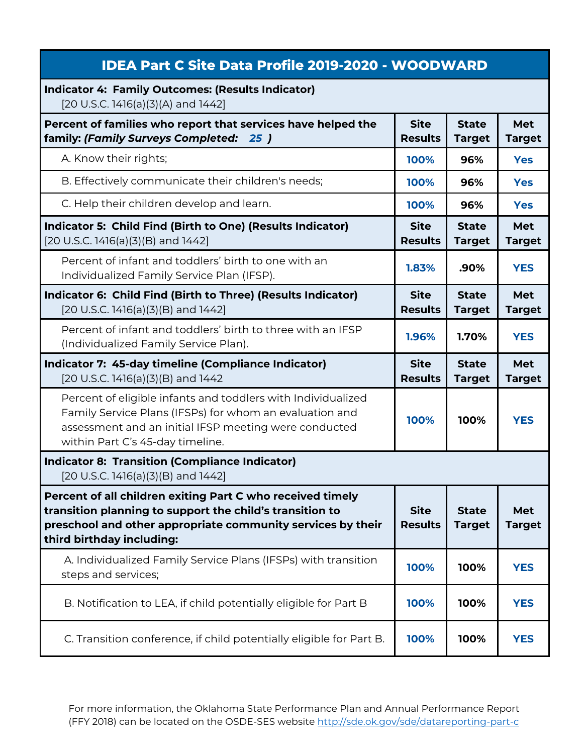| <b>IDEA Part C Site Data Profile 2019-2020 - WOODWARD</b>                                                                                                                                                            |                               |                               |                             |
|----------------------------------------------------------------------------------------------------------------------------------------------------------------------------------------------------------------------|-------------------------------|-------------------------------|-----------------------------|
| <b>Indicator 4: Family Outcomes: (Results Indicator)</b><br>[20 U.S.C. 1416(a)(3)(A) and 1442]                                                                                                                       |                               |                               |                             |
| Percent of families who report that services have helped the<br>family: (Family Surveys Completed: 25)                                                                                                               | <b>Site</b><br><b>Results</b> | <b>State</b><br><b>Target</b> | Met<br><b>Target</b>        |
| A. Know their rights;                                                                                                                                                                                                | 100%                          | 96%                           | <b>Yes</b>                  |
| B. Effectively communicate their children's needs;                                                                                                                                                                   | 100%                          | 96%                           | <b>Yes</b>                  |
| C. Help their children develop and learn.                                                                                                                                                                            | 100%                          | 96%                           | <b>Yes</b>                  |
| Indicator 5: Child Find (Birth to One) (Results Indicator)<br>[20 U.S.C. 1416(a)(3)(B) and 1442]                                                                                                                     | <b>Site</b><br><b>Results</b> | <b>State</b><br><b>Target</b> | <b>Met</b><br><b>Target</b> |
| Percent of infant and toddlers' birth to one with an<br>Individualized Family Service Plan (IFSP).                                                                                                                   | 1.83%                         | .90%                          | <b>YES</b>                  |
| Indicator 6: Child Find (Birth to Three) (Results Indicator)<br>[20 U.S.C. 1416(a)(3)(B) and 1442]                                                                                                                   | <b>Site</b><br><b>Results</b> | <b>State</b><br><b>Target</b> | <b>Met</b><br><b>Target</b> |
| Percent of infant and toddlers' birth to three with an IFSP<br>(Individualized Family Service Plan).                                                                                                                 | 1.96%                         | 1.70%                         | <b>YES</b>                  |
| Indicator 7: 45-day timeline (Compliance Indicator)<br>[20 U.S.C. 1416(a)(3)(B) and 1442                                                                                                                             | <b>Site</b><br><b>Results</b> | <b>State</b><br><b>Target</b> | <b>Met</b><br><b>Target</b> |
| Percent of eligible infants and toddlers with Individualized<br>Family Service Plans (IFSPs) for whom an evaluation and<br>assessment and an initial IFSP meeting were conducted<br>within Part C's 45-day timeline. | 100%                          | 100%                          | <b>YES</b>                  |
| <b>Indicator 8: Transition (Compliance Indicator)</b><br>$[20 U.S.C. 1416(a)(3)(B)$ and $1442]$                                                                                                                      |                               |                               |                             |
| Percent of all children exiting Part C who received timely<br>transition planning to support the child's transition to<br>preschool and other appropriate community services by their<br>third birthday including:   | <b>Site</b><br><b>Results</b> | <b>State</b><br><b>Target</b> | <b>Met</b><br><b>Target</b> |
| A. Individualized Family Service Plans (IFSPs) with transition<br>steps and services;                                                                                                                                | 100%                          | 100%                          | <b>YES</b>                  |
| B. Notification to LEA, if child potentially eligible for Part B                                                                                                                                                     | 100%                          | 100%                          | <b>YES</b>                  |
| C. Transition conference, if child potentially eligible for Part B.                                                                                                                                                  | 100%                          | 100%                          | <b>YES</b>                  |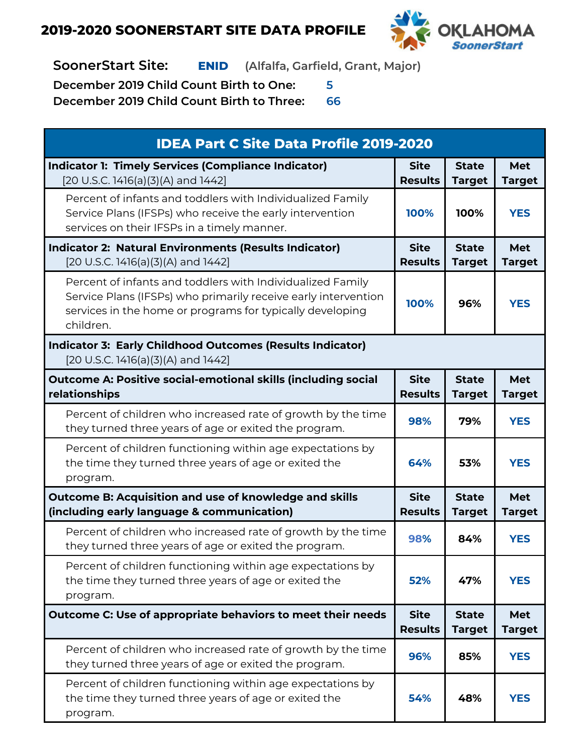

**SoonerStart Site: ENID (Alfalfa, Garfield, Grant, Major)**

**December 2019 Child Count Birth to One: 5**

| <b>IDEA Part C Site Data Profile 2019-2020</b>                                                                                                                                                         |                               |                               |                             |
|--------------------------------------------------------------------------------------------------------------------------------------------------------------------------------------------------------|-------------------------------|-------------------------------|-----------------------------|
| <b>Indicator 1: Timely Services (Compliance Indicator)</b><br>[20 U.S.C. 1416(a)(3)(A) and 1442]                                                                                                       | <b>Site</b><br><b>Results</b> | <b>State</b><br><b>Target</b> | <b>Met</b><br><b>Target</b> |
| Percent of infants and toddlers with Individualized Family<br>Service Plans (IFSPs) who receive the early intervention<br>services on their IFSPs in a timely manner.                                  | 100%                          | 100%                          | <b>YES</b>                  |
| <b>Indicator 2: Natural Environments (Results Indicator)</b><br>[20 U.S.C. 1416(a)(3)(A) and 1442]                                                                                                     | <b>Site</b><br><b>Results</b> | <b>State</b><br><b>Target</b> | <b>Met</b><br><b>Target</b> |
| Percent of infants and toddlers with Individualized Family<br>Service Plans (IFSPs) who primarily receive early intervention<br>services in the home or programs for typically developing<br>children. | 100%                          | 96%                           | <b>YES</b>                  |
| <b>Indicator 3: Early Childhood Outcomes (Results Indicator)</b><br>[20 U.S.C. 1416(a)(3)(A) and 1442]                                                                                                 |                               |                               |                             |
| <b>Outcome A: Positive social-emotional skills (including social</b><br>relationships                                                                                                                  | <b>Site</b><br><b>Results</b> | <b>State</b><br><b>Target</b> | <b>Met</b><br><b>Target</b> |
| Percent of children who increased rate of growth by the time<br>they turned three years of age or exited the program.                                                                                  | 98%                           | 79%                           | <b>YES</b>                  |
| Percent of children functioning within age expectations by<br>the time they turned three years of age or exited the<br>program.                                                                        | 64%                           | 53%                           | <b>YES</b>                  |
| <b>Outcome B: Acquisition and use of knowledge and skills</b><br>(including early language & communication)                                                                                            | <b>Site</b><br><b>Results</b> | <b>State</b><br><b>Target</b> | <b>Met</b><br><b>Target</b> |
| Percent of children who increased rate of growth by the time<br>they turned three years of age or exited the program.                                                                                  | 98%                           | 84%                           | <b>YES</b>                  |
| Percent of children functioning within age expectations by<br>the time they turned three years of age or exited the<br>program.                                                                        | 52%                           | 47%                           | <b>YES</b>                  |
| Outcome C: Use of appropriate behaviors to meet their needs                                                                                                                                            | <b>Site</b><br><b>Results</b> | <b>State</b><br><b>Target</b> | <b>Met</b><br><b>Target</b> |
| Percent of children who increased rate of growth by the time<br>they turned three years of age or exited the program.                                                                                  | 96%                           | 85%                           | <b>YES</b>                  |
| Percent of children functioning within age expectations by<br>the time they turned three years of age or exited the<br>program.                                                                        | 54%                           | 48%                           | <b>YES</b>                  |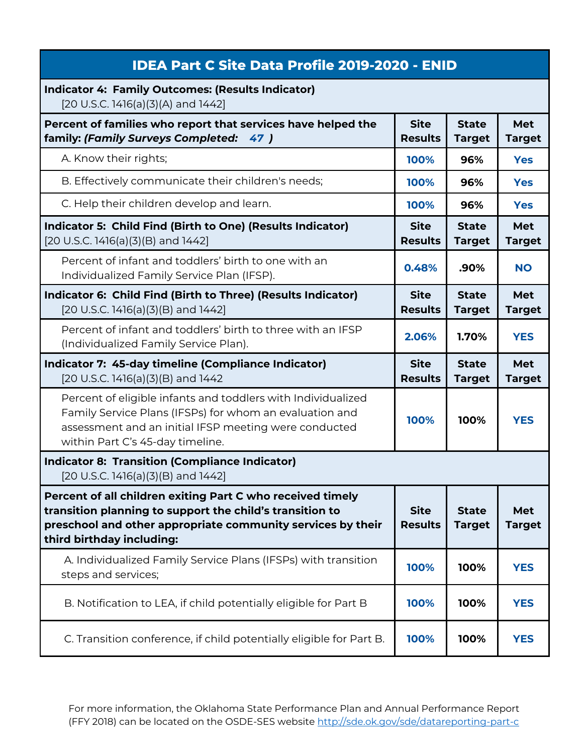| <b>IDEA Part C Site Data Profile 2019-2020 - ENID</b>                                                                                                                                                                |                               |                               |                      |
|----------------------------------------------------------------------------------------------------------------------------------------------------------------------------------------------------------------------|-------------------------------|-------------------------------|----------------------|
| <b>Indicator 4: Family Outcomes: (Results Indicator)</b><br>[20 U.S.C. 1416(a)(3)(A) and 1442]                                                                                                                       |                               |                               |                      |
| Percent of families who report that services have helped the<br>family: (Family Surveys Completed:<br>47)                                                                                                            | <b>Site</b><br><b>Results</b> | <b>State</b><br><b>Target</b> | Met<br><b>Target</b> |
| A. Know their rights;                                                                                                                                                                                                | 100%                          | 96%                           | <b>Yes</b>           |
| B. Effectively communicate their children's needs;                                                                                                                                                                   | 100%                          | 96%                           | <b>Yes</b>           |
| C. Help their children develop and learn.                                                                                                                                                                            | 100%                          | 96%                           | <b>Yes</b>           |
| Indicator 5: Child Find (Birth to One) (Results Indicator)<br>$[20 U.S.C. 1416(a)(3)(B)$ and $1442]$                                                                                                                 | <b>Site</b><br><b>Results</b> | <b>State</b><br><b>Target</b> | Met<br><b>Target</b> |
| Percent of infant and toddlers' birth to one with an<br>Individualized Family Service Plan (IFSP).                                                                                                                   | 0.48%                         | .90%                          | <b>NO</b>            |
| Indicator 6: Child Find (Birth to Three) (Results Indicator)<br>$[20 U.S.C. 1416(a)(3)(B)$ and $1442]$                                                                                                               | <b>Site</b><br><b>Results</b> | <b>State</b><br><b>Target</b> | Met<br><b>Target</b> |
| Percent of infant and toddlers' birth to three with an IFSP<br>(Individualized Family Service Plan).                                                                                                                 | 2.06%                         | 1.70%                         | <b>YES</b>           |
|                                                                                                                                                                                                                      |                               |                               |                      |
| Indicator 7: 45-day timeline (Compliance Indicator)<br>[20 U.S.C. 1416(a)(3)(B) and 1442                                                                                                                             | <b>Site</b><br><b>Results</b> | <b>State</b><br><b>Target</b> | Met<br><b>Target</b> |
| Percent of eligible infants and toddlers with Individualized<br>Family Service Plans (IFSPs) for whom an evaluation and<br>assessment and an initial IFSP meeting were conducted<br>within Part C's 45-day timeline. | 100%                          | 100%                          | <b>YES</b>           |
| <b>Indicator 8: Transition (Compliance Indicator)</b><br>$[20 U.S.C. 1416(a)(3)(B)$ and $1442]$                                                                                                                      |                               |                               |                      |
| Percent of all children exiting Part C who received timely<br>transition planning to support the child's transition to<br>preschool and other appropriate community services by their<br>third birthday including:   | <b>Site</b><br><b>Results</b> | <b>State</b><br><b>Target</b> | Met<br><b>Target</b> |
| A. Individualized Family Service Plans (IFSPs) with transition<br>steps and services;                                                                                                                                | 100%                          | 100%                          | <b>YES</b>           |
| B. Notification to LEA, if child potentially eligible for Part B                                                                                                                                                     | 100%                          | 100%                          | <b>YES</b>           |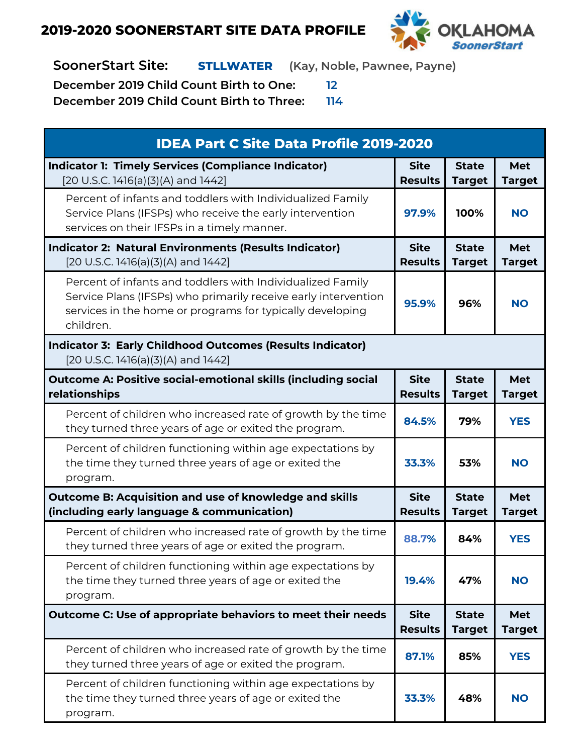

**SoonerStart Site: STLLWATER (Kay, Noble, Pawnee, Payne)**

**December 2019 Child Count Birth to One: 12**

| <b>IDEA Part C Site Data Profile 2019-2020</b>                                                                                                                                                         |                               |                               |                      |
|--------------------------------------------------------------------------------------------------------------------------------------------------------------------------------------------------------|-------------------------------|-------------------------------|----------------------|
| <b>Indicator 1: Timely Services (Compliance Indicator)</b><br>[20 U.S.C. 1416(a)(3)(A) and 1442]                                                                                                       | <b>Site</b><br><b>Results</b> | <b>State</b><br><b>Target</b> | Met<br><b>Target</b> |
| Percent of infants and toddlers with Individualized Family<br>Service Plans (IFSPs) who receive the early intervention<br>services on their IFSPs in a timely manner.                                  | 97.9%                         | 100%                          | <b>NO</b>            |
| <b>Indicator 2: Natural Environments (Results Indicator)</b><br>[20 U.S.C. 1416(a)(3)(A) and 1442]                                                                                                     | <b>Site</b><br><b>Results</b> | <b>State</b><br><b>Target</b> | Met<br><b>Target</b> |
| Percent of infants and toddlers with Individualized Family<br>Service Plans (IFSPs) who primarily receive early intervention<br>services in the home or programs for typically developing<br>children. | 95.9%                         | 96%                           | <b>NO</b>            |
| <b>Indicator 3: Early Childhood Outcomes (Results Indicator)</b><br>[20 U.S.C. 1416(a)(3)(A) and 1442]                                                                                                 |                               |                               |                      |
| <b>Outcome A: Positive social-emotional skills (including social</b><br>relationships                                                                                                                  | <b>Site</b><br><b>Results</b> | <b>State</b><br><b>Target</b> | Met<br><b>Target</b> |
| Percent of children who increased rate of growth by the time<br>they turned three years of age or exited the program.                                                                                  | 84.5%                         | 79%                           | <b>YES</b>           |
| Percent of children functioning within age expectations by<br>the time they turned three years of age or exited the<br>program.                                                                        | 33.3%                         | 53%                           | <b>NO</b>            |
| Outcome B: Acquisition and use of knowledge and skills<br>(including early language & communication)                                                                                                   | <b>Site</b><br><b>Results</b> | <b>State</b><br><b>Target</b> | Met<br><b>Target</b> |
| Percent of children who increased rate of growth by the time<br>they turned three years of age or exited the program.                                                                                  | 88.7%                         | 84%                           | <b>YES</b>           |
| Percent of children functioning within age expectations by<br>the time they turned three years of age or exited the<br>program.                                                                        | 19.4%                         | 47%                           | <b>NO</b>            |
| Outcome C: Use of appropriate behaviors to meet their needs                                                                                                                                            | <b>Site</b><br><b>Results</b> | <b>State</b><br><b>Target</b> | Met<br><b>Target</b> |
| Percent of children who increased rate of growth by the time<br>they turned three years of age or exited the program.                                                                                  | 87.1%                         | 85%                           | <b>YES</b>           |
| Percent of children functioning within age expectations by<br>the time they turned three years of age or exited the<br>program.                                                                        | 33.3%                         | 48%                           | <b>NO</b>            |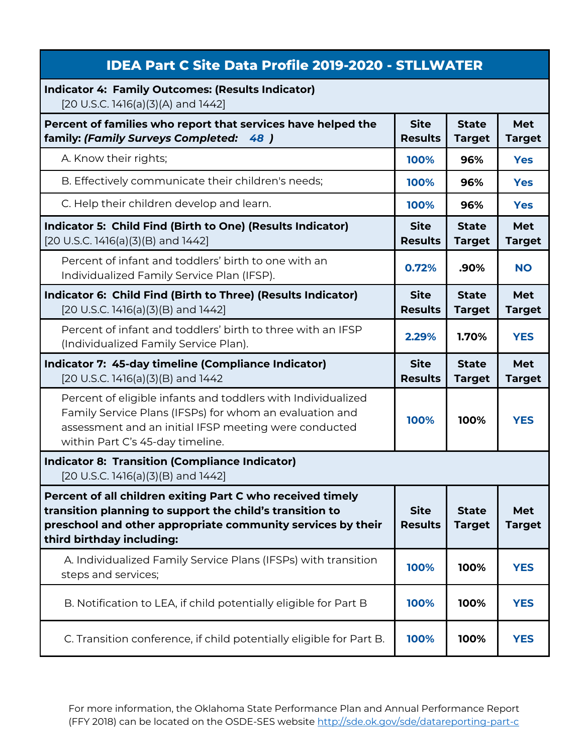| <b>IDEA Part C Site Data Profile 2019-2020 - STLLWATER</b>                                                                                                                                                           |                               |                               |                             |
|----------------------------------------------------------------------------------------------------------------------------------------------------------------------------------------------------------------------|-------------------------------|-------------------------------|-----------------------------|
| <b>Indicator 4: Family Outcomes: (Results Indicator)</b><br>[20 U.S.C. 1416(a)(3)(A) and 1442]                                                                                                                       |                               |                               |                             |
| Percent of families who report that services have helped the<br>family: (Family Surveys Completed: 48)                                                                                                               | <b>Site</b><br><b>Results</b> | <b>State</b><br><b>Target</b> | Met<br><b>Target</b>        |
| A. Know their rights;                                                                                                                                                                                                | 100%                          | 96%                           | <b>Yes</b>                  |
| B. Effectively communicate their children's needs;                                                                                                                                                                   | 100%                          | 96%                           | <b>Yes</b>                  |
| C. Help their children develop and learn.                                                                                                                                                                            | 100%                          | 96%                           | <b>Yes</b>                  |
| Indicator 5: Child Find (Birth to One) (Results Indicator)<br>[20 U.S.C. 1416(a)(3)(B) and 1442]                                                                                                                     | <b>Site</b><br><b>Results</b> | <b>State</b><br><b>Target</b> | <b>Met</b><br><b>Target</b> |
| Percent of infant and toddlers' birth to one with an<br>Individualized Family Service Plan (IFSP).                                                                                                                   | 0.72%                         | .90%                          | <b>NO</b>                   |
| Indicator 6: Child Find (Birth to Three) (Results Indicator)<br>[20 U.S.C. 1416(a)(3)(B) and 1442]                                                                                                                   | <b>Site</b><br><b>Results</b> | <b>State</b><br><b>Target</b> | Met<br><b>Target</b>        |
| Percent of infant and toddlers' birth to three with an IFSP<br>(Individualized Family Service Plan).                                                                                                                 | 2.29%                         | 1.70%                         | <b>YES</b>                  |
| Indicator 7: 45-day timeline (Compliance Indicator)<br>[20 U.S.C. 1416(a)(3)(B) and 1442                                                                                                                             | <b>Site</b><br><b>Results</b> | <b>State</b><br><b>Target</b> | Met<br><b>Target</b>        |
| Percent of eligible infants and toddlers with Individualized<br>Family Service Plans (IFSPs) for whom an evaluation and<br>assessment and an initial IFSP meeting were conducted<br>within Part C's 45-day timeline. | 100%                          | 100%                          | <b>YES</b>                  |
| <b>Indicator 8: Transition (Compliance Indicator)</b><br>[20 U.S.C. 1416(a)(3)(B) and 1442]                                                                                                                          |                               |                               |                             |
| Percent of all children exiting Part C who received timely<br>transition planning to support the child's transition to<br>preschool and other appropriate community services by their<br>third birthday including:   | <b>Site</b><br><b>Results</b> | <b>State</b><br><b>Target</b> | <b>Met</b><br><b>Target</b> |
| A. Individualized Family Service Plans (IFSPs) with transition<br>steps and services;                                                                                                                                | 100%                          | 100%                          | <b>YES</b>                  |
| B. Notification to LEA, if child potentially eligible for Part B                                                                                                                                                     | 100%                          | 100%                          | <b>YES</b>                  |
| C. Transition conference, if child potentially eligible for Part B.                                                                                                                                                  | 100%                          | 100%                          | <b>YES</b>                  |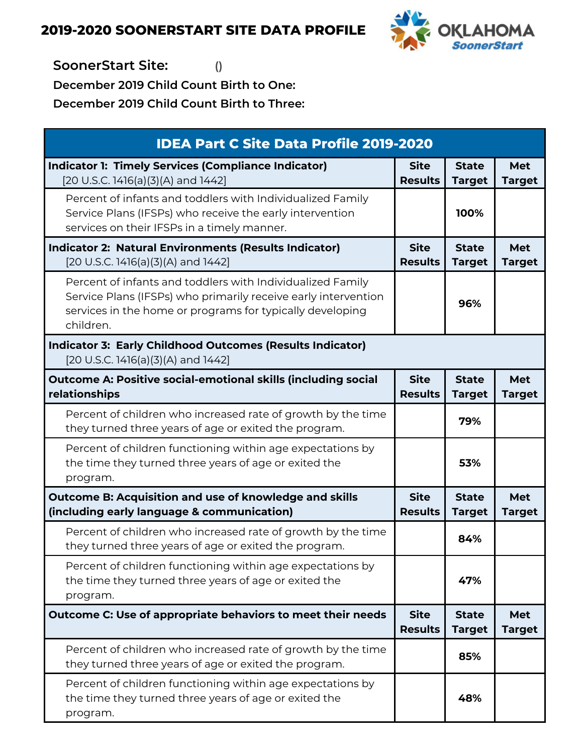

**SoonerStart Site: ()**

**December 2019 Child Count Birth to One:**

| <b>IDEA Part C Site Data Profile 2019-2020</b>                                                                                                                                                         |                               |                               |                             |
|--------------------------------------------------------------------------------------------------------------------------------------------------------------------------------------------------------|-------------------------------|-------------------------------|-----------------------------|
| <b>Indicator 1: Timely Services (Compliance Indicator)</b><br>[20 U.S.C. 1416(a)(3)(A) and 1442]                                                                                                       | <b>Site</b><br><b>Results</b> | <b>State</b><br><b>Target</b> | <b>Met</b><br><b>Target</b> |
| Percent of infants and toddlers with Individualized Family<br>Service Plans (IFSPs) who receive the early intervention<br>services on their IFSPs in a timely manner.                                  |                               | 100%                          |                             |
| <b>Indicator 2: Natural Environments (Results Indicator)</b><br>[20 U.S.C. 1416(a)(3)(A) and 1442]                                                                                                     | <b>Site</b><br><b>Results</b> | <b>State</b><br><b>Target</b> | <b>Met</b><br><b>Target</b> |
| Percent of infants and toddlers with Individualized Family<br>Service Plans (IFSPs) who primarily receive early intervention<br>services in the home or programs for typically developing<br>children. |                               | 96%                           |                             |
| <b>Indicator 3: Early Childhood Outcomes (Results Indicator)</b><br>[20 U.S.C. 1416(a)(3)(A) and 1442]                                                                                                 |                               |                               |                             |
| <b>Outcome A: Positive social-emotional skills (including social</b><br>relationships                                                                                                                  | <b>Site</b><br><b>Results</b> | <b>State</b><br><b>Target</b> | <b>Met</b><br><b>Target</b> |
| Percent of children who increased rate of growth by the time<br>they turned three years of age or exited the program.                                                                                  |                               | 79%                           |                             |
| Percent of children functioning within age expectations by<br>the time they turned three years of age or exited the<br>program.                                                                        |                               | 53%                           |                             |
| <b>Outcome B: Acquisition and use of knowledge and skills</b><br>(including early language & communication)                                                                                            | <b>Site</b><br><b>Results</b> | <b>State</b><br><b>Target</b> | <b>Met</b><br><b>Target</b> |
| Percent of children who increased rate of growth by the time<br>they turned three years of age or exited the program.                                                                                  |                               | 84%                           |                             |
| Percent of children functioning within age expectations by<br>the time they turned three years of age or exited the<br>program.                                                                        |                               | 47%                           |                             |
| Outcome C: Use of appropriate behaviors to meet their needs                                                                                                                                            | <b>Site</b><br><b>Results</b> | <b>State</b><br><b>Target</b> | <b>Met</b><br><b>Target</b> |
| Percent of children who increased rate of growth by the time<br>they turned three years of age or exited the program.                                                                                  |                               | 85%                           |                             |
| Percent of children functioning within age expectations by<br>the time they turned three years of age or exited the<br>program.                                                                        |                               | 48%                           |                             |